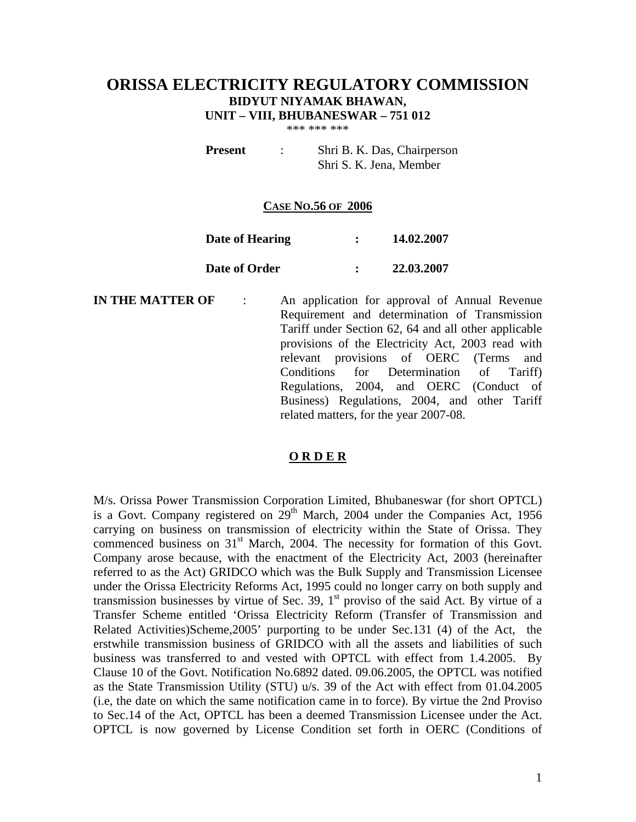# **ORISSA ELECTRICITY REGULATORY COMMISSION BIDYUT NIYAMAK BHAWAN, UNIT – VIII, BHUBANESWAR – 751 012**

\*\*\* \*\*\* \*\*\*

**Present** : Shri B. K. Das, Chairperson Shri S. K. Jena, Member

#### **CASE NO.56 OF 2006**

| Date of Hearing | 14.02.2007 |
|-----------------|------------|
| Date of Order   | 22.03.2007 |

**IN THE MATTER OF** : An application for approval of Annual Revenue Requirement and determination of Transmission Tariff under Section 62, 64 and all other applicable provisions of the Electricity Act, 2003 read with relevant provisions of OERC (Terms and Conditions for Determination of Tariff) Regulations, 2004, and OERC (Conduct of Business) Regulations, 2004, and other Tariff related matters, for the year 2007-08.

#### **O R D E R**

M/s. Orissa Power Transmission Corporation Limited, Bhubaneswar (for short OPTCL) is a Govt. Company registered on  $29<sup>th</sup>$  March, 2004 under the Companies Act, 1956 carrying on business on transmission of electricity within the State of Orissa. They commenced business on  $31<sup>st</sup>$  March, 2004. The necessity for formation of this Govt. Company arose because, with the enactment of the Electricity Act, 2003 (hereinafter referred to as the Act) GRIDCO which was the Bulk Supply and Transmission Licensee under the Orissa Electricity Reforms Act, 1995 could no longer carry on both supply and transmission businesses by virtue of Sec. 39,  $1<sup>st</sup>$  proviso of the said Act. By virtue of a Transfer Scheme entitled 'Orissa Electricity Reform (Transfer of Transmission and Related Activities)Scheme,2005' purporting to be under Sec.131 (4) of the Act, the erstwhile transmission business of GRIDCO with all the assets and liabilities of such business was transferred to and vested with OPTCL with effect from 1.4.2005. By Clause 10 of the Govt. Notification No.6892 dated. 09.06.2005, the OPTCL was notified as the State Transmission Utility (STU) u/s. 39 of the Act with effect from 01.04.2005 (i.e, the date on which the same notification came in to force). By virtue the 2nd Proviso to Sec.14 of the Act, OPTCL has been a deemed Transmission Licensee under the Act. OPTCL is now governed by License Condition set forth in OERC (Conditions of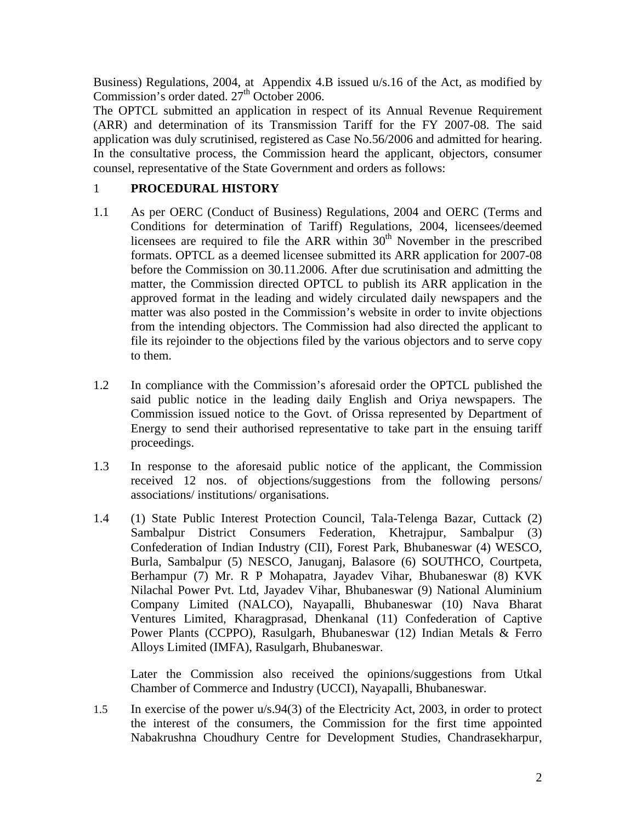Business) Regulations, 2004, at Appendix 4.B issued u/s.16 of the Act, as modified by Commission's order dated.  $27<sup>th</sup>$  October 2006.

The OPTCL submitted an application in respect of its Annual Revenue Requirement (ARR) and determination of its Transmission Tariff for the FY 2007-08. The said application was duly scrutinised, registered as Case No.56/2006 and admitted for hearing. In the consultative process, the Commission heard the applicant, objectors, consumer counsel, representative of the State Government and orders as follows:

# 1 **PROCEDURAL HISTORY**

- 1.1 As per OERC (Conduct of Business) Regulations, 2004 and OERC (Terms and Conditions for determination of Tariff) Regulations, 2004, licensees/deemed licensees are required to file the ARR within  $30<sup>th</sup>$  November in the prescribed formats. OPTCL as a deemed licensee submitted its ARR application for 2007-08 before the Commission on 30.11.2006. After due scrutinisation and admitting the matter, the Commission directed OPTCL to publish its ARR application in the approved format in the leading and widely circulated daily newspapers and the matter was also posted in the Commission's website in order to invite objections from the intending objectors. The Commission had also directed the applicant to file its rejoinder to the objections filed by the various objectors and to serve copy to them.
- 1.2 In compliance with the Commission's aforesaid order the OPTCL published the said public notice in the leading daily English and Oriya newspapers. The Commission issued notice to the Govt. of Orissa represented by Department of Energy to send their authorised representative to take part in the ensuing tariff proceedings.
- 1.3 In response to the aforesaid public notice of the applicant, the Commission received 12 nos. of objections/suggestions from the following persons/ associations/ institutions/ organisations.
- 1.4 (1) State Public Interest Protection Council, Tala-Telenga Bazar, Cuttack (2) Sambalpur District Consumers Federation, Khetrajpur, Sambalpur (3) Confederation of Indian Industry (CII), Forest Park, Bhubaneswar (4) WESCO, Burla, Sambalpur (5) NESCO, Januganj, Balasore (6) SOUTHCO, Courtpeta, Berhampur (7) Mr. R P Mohapatra, Jayadev Vihar, Bhubaneswar (8) KVK Nilachal Power Pvt. Ltd, Jayadev Vihar, Bhubaneswar (9) National Aluminium Company Limited (NALCO), Nayapalli, Bhubaneswar (10) Nava Bharat Ventures Limited, Kharagprasad, Dhenkanal (11) Confederation of Captive Power Plants (CCPPO), Rasulgarh, Bhubaneswar (12) Indian Metals & Ferro Alloys Limited (IMFA), Rasulgarh, Bhubaneswar.

Later the Commission also received the opinions/suggestions from Utkal Chamber of Commerce and Industry (UCCI), Nayapalli, Bhubaneswar.

1.5 In exercise of the power u/s.94(3) of the Electricity Act, 2003, in order to protect the interest of the consumers, the Commission for the first time appointed Nabakrushna Choudhury Centre for Development Studies, Chandrasekharpur,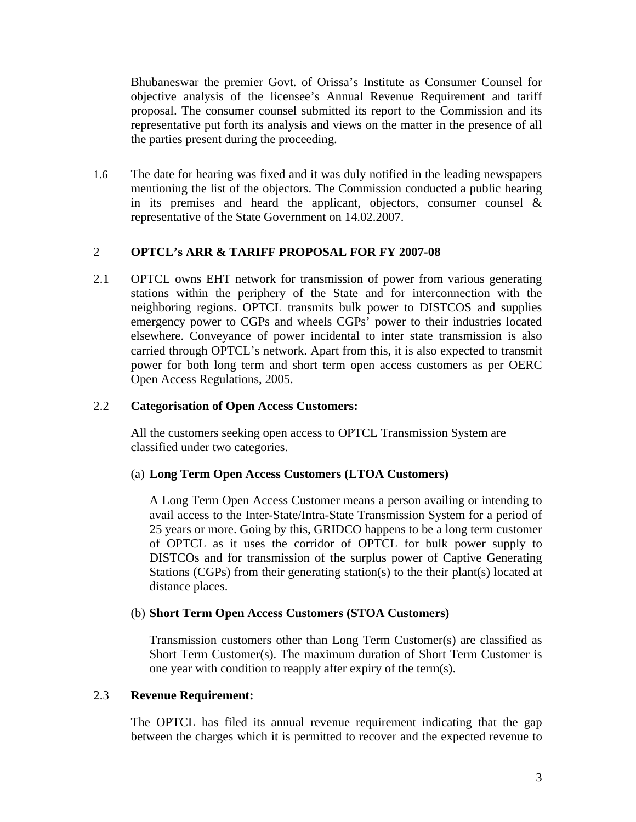Bhubaneswar the premier Govt. of Orissa's Institute as Consumer Counsel for objective analysis of the licensee's Annual Revenue Requirement and tariff proposal. The consumer counsel submitted its report to the Commission and its representative put forth its analysis and views on the matter in the presence of all the parties present during the proceeding.

1.6 The date for hearing was fixed and it was duly notified in the leading newspapers mentioning the list of the objectors. The Commission conducted a public hearing in its premises and heard the applicant, objectors, consumer counsel  $\&$ representative of the State Government on 14.02.2007.

# 2 **OPTCL's ARR & TARIFF PROPOSAL FOR FY 2007-08**

2.1 OPTCL owns EHT network for transmission of power from various generating stations within the periphery of the State and for interconnection with the neighboring regions. OPTCL transmits bulk power to DISTCOS and supplies emergency power to CGPs and wheels CGPs' power to their industries located elsewhere. Conveyance of power incidental to inter state transmission is also carried through OPTCL's network. Apart from this, it is also expected to transmit power for both long term and short term open access customers as per OERC Open Access Regulations, 2005.

# 2.2 **Categorisation of Open Access Customers:**

All the customers seeking open access to OPTCL Transmission System are classified under two categories.

# (a) **Long Term Open Access Customers (LTOA Customers)**

A Long Term Open Access Customer means a person availing or intending to avail access to the Inter-State/Intra-State Transmission System for a period of 25 years or more. Going by this, GRIDCO happens to be a long term customer of OPTCL as it uses the corridor of OPTCL for bulk power supply to DISTCOs and for transmission of the surplus power of Captive Generating Stations (CGPs) from their generating station(s) to the their plant(s) located at distance places.

# (b) **Short Term Open Access Customers (STOA Customers)**

Transmission customers other than Long Term Customer(s) are classified as Short Term Customer(s). The maximum duration of Short Term Customer is one year with condition to reapply after expiry of the term(s).

# 2.3 **Revenue Requirement:**

The OPTCL has filed its annual revenue requirement indicating that the gap between the charges which it is permitted to recover and the expected revenue to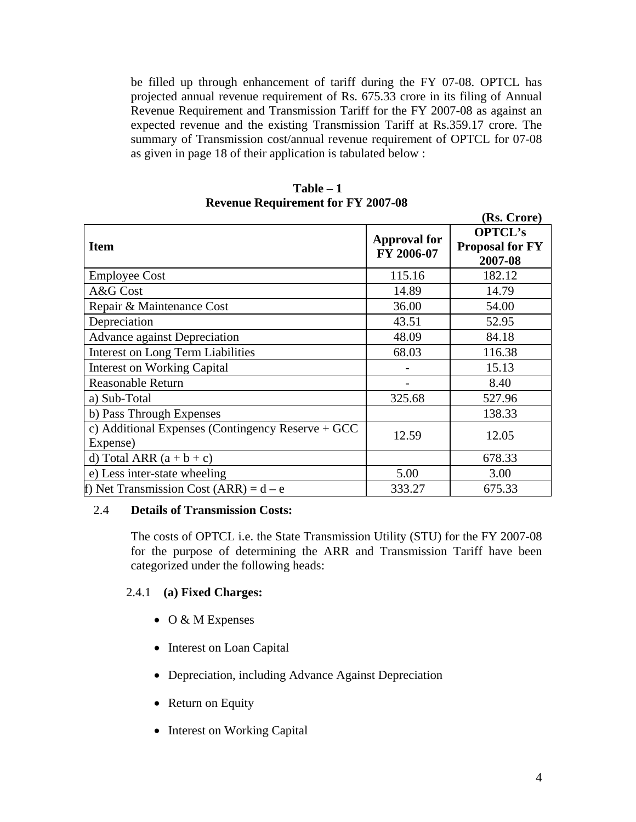be filled up through enhancement of tariff during the FY 07-08. OPTCL has projected annual revenue requirement of Rs. 675.33 crore in its filing of Annual Revenue Requirement and Transmission Tariff for the FY 2007-08 as against an expected revenue and the existing Transmission Tariff at Rs.359.17 crore. The summary of Transmission cost/annual revenue requirement of OPTCL for 07-08 as given in page 18 of their application is tabulated below :

|                                                   |                     | (15. 101)              |
|---------------------------------------------------|---------------------|------------------------|
|                                                   | <b>Approval for</b> | <b>OPTCL's</b>         |
| <b>Item</b>                                       | FY 2006-07          | <b>Proposal for FY</b> |
|                                                   |                     | 2007-08                |
| <b>Employee Cost</b>                              | 115.16              | 182.12                 |
| A&G Cost                                          | 14.89               | 14.79                  |
| Repair & Maintenance Cost                         | 36.00               | 54.00                  |
| Depreciation                                      | 43.51               | 52.95                  |
| <b>Advance against Depreciation</b>               | 48.09               | 84.18                  |
| <b>Interest on Long Term Liabilities</b>          | 68.03               | 116.38                 |
| <b>Interest on Working Capital</b>                |                     | 15.13                  |
| <b>Reasonable Return</b>                          |                     | 8.40                   |
| a) Sub-Total                                      | 325.68              | 527.96                 |
| b) Pass Through Expenses                          |                     | 138.33                 |
| c) Additional Expenses (Contingency Reserve + GCC | 12.59               | 12.05                  |
| Expense)                                          |                     |                        |
| d) Total ARR $(a + b + c)$                        |                     | 678.33                 |
| e) Less inter-state wheeling                      | 5.00                | 3.00                   |
| f) Net Transmission Cost $(ARR) = d - e$          | 333.27              | 675.33                 |

**Table – 1 Revenue Requirement for FY 2007-08** 

# 2.4 **Details of Transmission Costs:**

The costs of OPTCL i.e. the State Transmission Utility (STU) for the FY 2007-08 for the purpose of determining the ARR and Transmission Tariff have been categorized under the following heads:

# 2.4.1 **(a) Fixed Charges:**

- O & M Expenses
- Interest on Loan Capital
- Depreciation, including Advance Against Depreciation
- Return on Equity
- Interest on Working Capital

**(Rs. Crore)**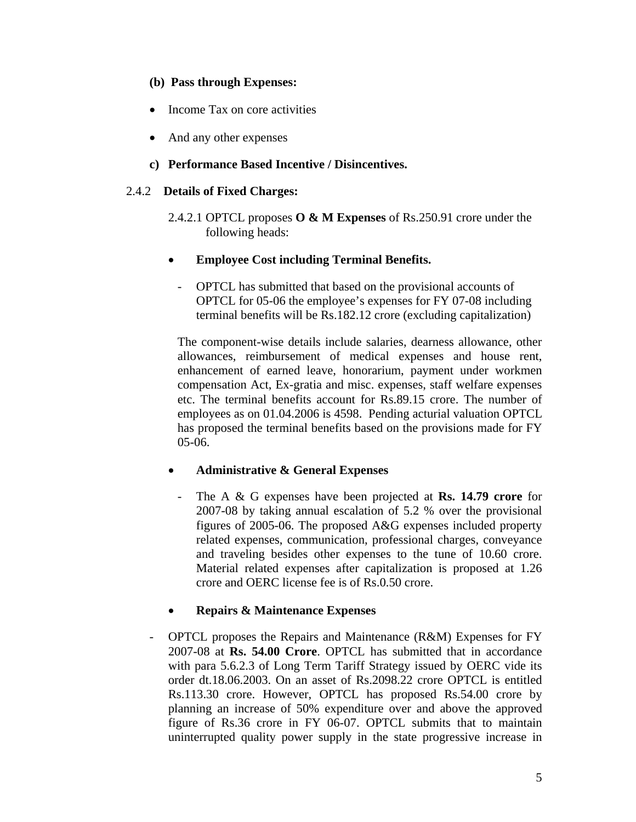# **(b) Pass through Expenses:**

- Income Tax on core activities
- And any other expenses
- **c) Performance Based Incentive / Disincentives.**

# 2.4.2 **Details of Fixed Charges:**

- 2.4.2.1 OPTCL proposes **O & M Expenses** of Rs.250.91 crore under the following heads:
- **Employee Cost including Terminal Benefits.**
	- OPTCL has submitted that based on the provisional accounts of OPTCL for 05-06 the employee's expenses for FY 07-08 including terminal benefits will be Rs.182.12 crore (excluding capitalization)

The component-wise details include salaries, dearness allowance, other allowances, reimbursement of medical expenses and house rent, enhancement of earned leave, honorarium, payment under workmen compensation Act, Ex-gratia and misc. expenses, staff welfare expenses etc. The terminal benefits account for Rs.89.15 crore. The number of employees as on 01.04.2006 is 4598. Pending acturial valuation OPTCL has proposed the terminal benefits based on the provisions made for FY 05-06.

# • **Administrative & General Expenses**

- The A & G expenses have been projected at **Rs. 14.79 crore** for 2007-08 by taking annual escalation of 5.2 % over the provisional figures of 2005-06. The proposed A&G expenses included property related expenses, communication, professional charges, conveyance and traveling besides other expenses to the tune of 10.60 crore. Material related expenses after capitalization is proposed at 1.26 crore and OERC license fee is of Rs.0.50 crore.

# • **Repairs & Maintenance Expenses**

- OPTCL proposes the Repairs and Maintenance (R&M) Expenses for FY 2007-08 at **Rs. 54.00 Crore**. OPTCL has submitted that in accordance with para 5.6.2.3 of Long Term Tariff Strategy issued by OERC vide its order dt.18.06.2003. On an asset of Rs.2098.22 crore OPTCL is entitled Rs.113.30 crore. However, OPTCL has proposed Rs.54.00 crore by planning an increase of 50% expenditure over and above the approved figure of Rs.36 crore in FY 06-07. OPTCL submits that to maintain uninterrupted quality power supply in the state progressive increase in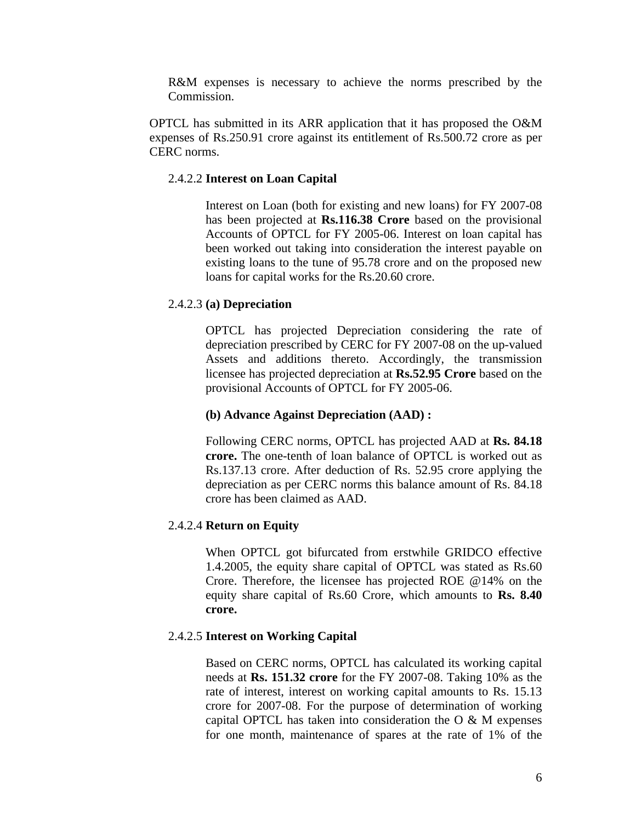R&M expenses is necessary to achieve the norms prescribed by the Commission.

OPTCL has submitted in its ARR application that it has proposed the O&M expenses of Rs.250.91 crore against its entitlement of Rs.500.72 crore as per CERC norms.

#### 2.4.2.2 **Interest on Loan Capital**

Interest on Loan (both for existing and new loans) for FY 2007-08 has been projected at **Rs.116.38 Crore** based on the provisional Accounts of OPTCL for FY 2005-06. Interest on loan capital has been worked out taking into consideration the interest payable on existing loans to the tune of 95.78 crore and on the proposed new loans for capital works for the Rs.20.60 crore.

#### 2.4.2.3 **(a) Depreciation**

OPTCL has projected Depreciation considering the rate of depreciation prescribed by CERC for FY 2007-08 on the up-valued Assets and additions thereto. Accordingly, the transmission licensee has projected depreciation at **Rs.52.95 Crore** based on the provisional Accounts of OPTCL for FY 2005-06.

#### **(b) Advance Against Depreciation (AAD) :**

Following CERC norms, OPTCL has projected AAD at **Rs. 84.18 crore.** The one-tenth of loan balance of OPTCL is worked out as Rs.137.13 crore. After deduction of Rs. 52.95 crore applying the depreciation as per CERC norms this balance amount of Rs. 84.18 crore has been claimed as AAD.

### 2.4.2.4 **Return on Equity**

When OPTCL got bifurcated from erstwhile GRIDCO effective 1.4.2005, the equity share capital of OPTCL was stated as Rs.60 Crore. Therefore, the licensee has projected ROE @14% on the equity share capital of Rs.60 Crore, which amounts to **Rs. 8.40 crore.**

### 2.4.2.5 **Interest on Working Capital**

Based on CERC norms, OPTCL has calculated its working capital needs at **Rs. 151.32 crore** for the FY 2007-08. Taking 10% as the rate of interest, interest on working capital amounts to Rs. 15.13 crore for 2007-08. For the purpose of determination of working capital OPTCL has taken into consideration the  $O & M$  expenses for one month, maintenance of spares at the rate of 1% of the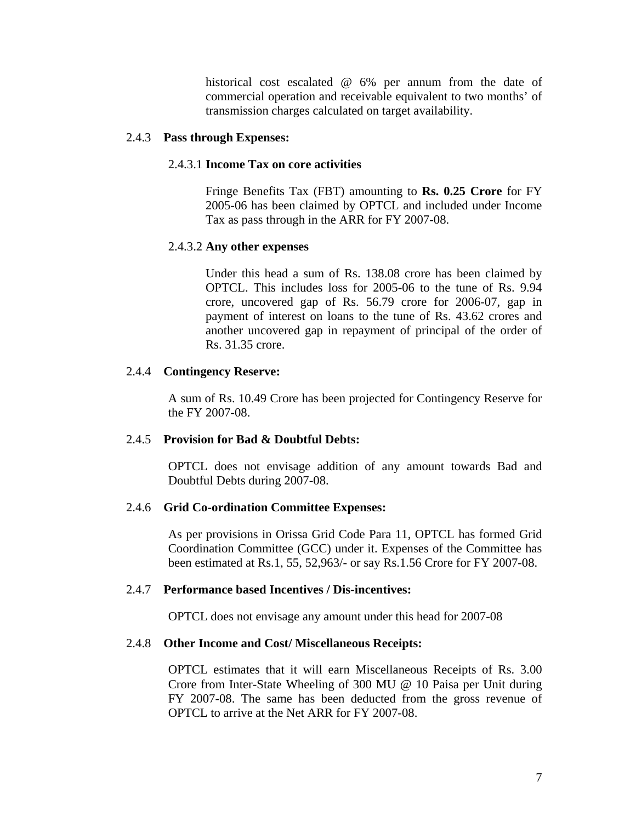historical cost escalated @ 6% per annum from the date of commercial operation and receivable equivalent to two months' of transmission charges calculated on target availability.

## 2.4.3 **Pass through Expenses:**

### 2.4.3.1 **Income Tax on core activities**

Fringe Benefits Tax (FBT) amounting to **Rs. 0.25 Crore** for FY 2005-06 has been claimed by OPTCL and included under Income Tax as pass through in the ARR for FY 2007-08.

### 2.4.3.2 **Any other expenses**

Under this head a sum of Rs. 138.08 crore has been claimed by OPTCL. This includes loss for 2005-06 to the tune of Rs. 9.94 crore, uncovered gap of Rs. 56.79 crore for 2006-07, gap in payment of interest on loans to the tune of Rs. 43.62 crores and another uncovered gap in repayment of principal of the order of Rs. 31.35 crore.

### 2.4.4 **Contingency Reserve:**

A sum of Rs. 10.49 Crore has been projected for Contingency Reserve for the FY 2007-08.

### 2.4.5 **Provision for Bad & Doubtful Debts:**

OPTCL does not envisage addition of any amount towards Bad and Doubtful Debts during 2007-08.

#### 2.4.6 **Grid Co-ordination Committee Expenses:**

As per provisions in Orissa Grid Code Para 11, OPTCL has formed Grid Coordination Committee (GCC) under it. Expenses of the Committee has been estimated at Rs.1, 55, 52,963/- or say Rs.1.56 Crore for FY 2007-08.

#### 2.4.7 **Performance based Incentives / Dis-incentives:**

OPTCL does not envisage any amount under this head for 2007-08

#### 2.4.8 **Other Income and Cost/ Miscellaneous Receipts:**

OPTCL estimates that it will earn Miscellaneous Receipts of Rs. 3.00 Crore from Inter-State Wheeling of 300 MU @ 10 Paisa per Unit during FY 2007-08. The same has been deducted from the gross revenue of OPTCL to arrive at the Net ARR for FY 2007-08.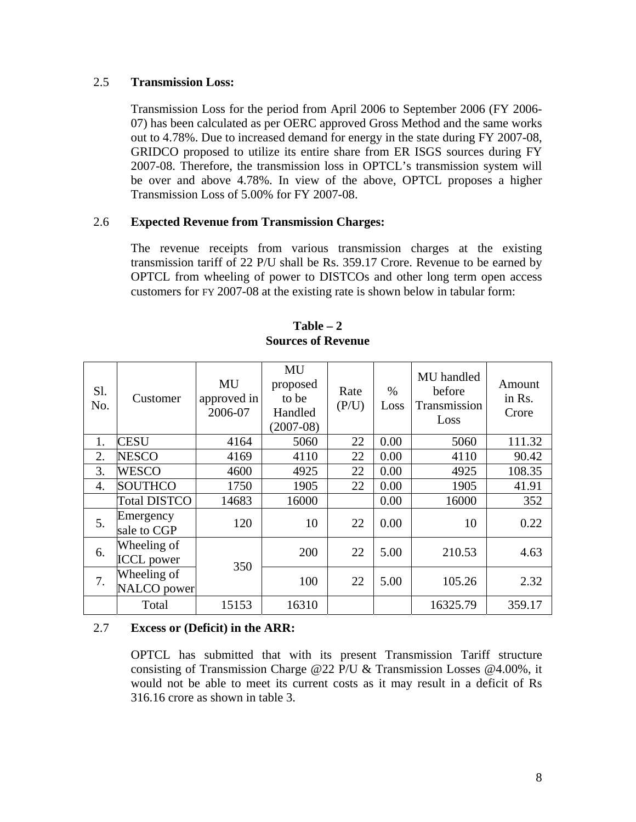### 2.5 **Transmission Loss:**

Transmission Loss for the period from April 2006 to September 2006 (FY 2006- 07) has been calculated as per OERC approved Gross Method and the same works out to 4.78%. Due to increased demand for energy in the state during FY 2007-08, GRIDCO proposed to utilize its entire share from ER ISGS sources during FY 2007-08. Therefore, the transmission loss in OPTCL's transmission system will be over and above 4.78%. In view of the above, OPTCL proposes a higher Transmission Loss of 5.00% for FY 2007-08.

# 2.6 **Expected Revenue from Transmission Charges:**

The revenue receipts from various transmission charges at the existing transmission tariff of 22 P/U shall be Rs. 359.17 Crore. Revenue to be earned by OPTCL from wheeling of power to DISTCOs and other long term open access customers for FY 2007-08 at the existing rate is shown below in tabular form:

| Sl.<br>No. | Customer                         | MU<br>approved in<br>2006-07 | MU<br>proposed<br>to be<br>Handled<br>$(2007-08)$ | Rate<br>(P/U) | $\%$<br>Loss | MU handled<br>before<br>Transmission<br>Loss | Amount<br>in Rs.<br>Crore |
|------------|----------------------------------|------------------------------|---------------------------------------------------|---------------|--------------|----------------------------------------------|---------------------------|
| 1.         | <b>CESU</b>                      | 4164                         | 5060                                              | 22            | 0.00         | 5060                                         | 111.32                    |
| 2.         | <b>NESCO</b>                     | 4169                         | 4110                                              | 22            | 0.00         | 4110                                         | 90.42                     |
| 3.         | <b>WESCO</b>                     | 4600                         | 4925                                              | 22            | 0.00         | 4925                                         | 108.35                    |
| 4.         | <b>SOUTHCO</b>                   | 1750                         | 1905                                              | 22            | 0.00         | 1905                                         | 41.91                     |
|            | <b>Total DISTCO</b>              | 14683                        | 16000                                             |               | 0.00         | 16000                                        | 352                       |
| 5.         | Emergency<br>sale to CGP         | 120                          | 10                                                | 22            | 0.00         | 10                                           | 0.22                      |
| 6.         | Wheeling of<br><b>ICCL</b> power | 350                          | 200                                               | 22            | 5.00         | 210.53                                       | 4.63                      |
| 7.         | Wheeling of<br>NALCO power       |                              | 100                                               | 22            | 5.00         | 105.26                                       | 2.32                      |
|            | Total                            | 15153                        | 16310                                             |               |              | 16325.79                                     | 359.17                    |

**Table – 2 Sources of Revenue** 

# 2.7 **Excess or (Deficit) in the ARR:**

OPTCL has submitted that with its present Transmission Tariff structure consisting of Transmission Charge @22 P/U & Transmission Losses @4.00%, it would not be able to meet its current costs as it may result in a deficit of Rs 316.16 crore as shown in table 3.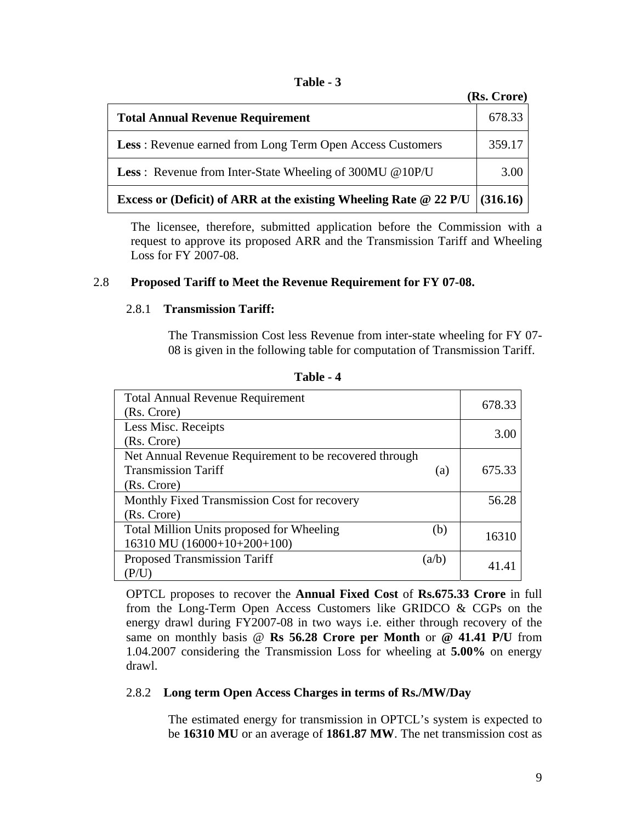| `able |  |  |
|-------|--|--|
|-------|--|--|

|                                                                                   | (Rs. Crore) |
|-----------------------------------------------------------------------------------|-------------|
| <b>Total Annual Revenue Requirement</b>                                           | 678.33      |
| <b>Less:</b> Revenue earned from Long Term Open Access Customers                  | 359.17      |
| <b>Less</b> : Revenue from Inter-State Wheeling of 300MU @10P/U                   | 3.00        |
| Excess or (Deficit) of ARR at the existing Wheeling Rate $\omega$ 22 P/U (316.16) |             |

The licensee, therefore, submitted application before the Commission with a request to approve its proposed ARR and the Transmission Tariff and Wheeling Loss for FY 2007-08.

# 2.8 **Proposed Tariff to Meet the Revenue Requirement for FY 07-08.**

# 2.8.1 **Transmission Tariff:**

The Transmission Cost less Revenue from inter-state wheeling for FY 07- 08 is given in the following table for computation of Transmission Tariff.

| <b>Total Annual Revenue Requirement</b>                | 678.33 |
|--------------------------------------------------------|--------|
| (Rs. Crore)                                            |        |
| Less Misc. Receipts                                    | 3.00   |
| (Rs. Crore)                                            |        |
| Net Annual Revenue Requirement to be recovered through |        |
| <b>Transmission Tariff</b><br>(a)                      | 675.33 |
| (Rs. Crore)                                            |        |
| Monthly Fixed Transmission Cost for recovery           | 56.28  |
| (Rs. Crore)                                            |        |
| Total Million Units proposed for Wheeling<br>(b)       |        |
| 16310 MU (16000+10+200+100)                            | 16310  |
| <b>Proposed Transmission Tariff</b><br>(a/b)           | 41.4   |
| (P/U                                                   |        |

**Table - 4** 

OPTCL proposes to recover the **Annual Fixed Cost** of **Rs.675.33 Crore** in full from the Long-Term Open Access Customers like GRIDCO & CGPs on the energy drawl during FY2007-08 in two ways i.e. either through recovery of the same on monthly basis @ **Rs 56.28 Crore per Month** or **@ 41.41 P/U** from 1.04.2007 considering the Transmission Loss for wheeling at **5.00%** on energy drawl.

# 2.8.2 **Long term Open Access Charges in terms of Rs./MW/Day**

The estimated energy for transmission in OPTCL's system is expected to be **16310 MU** or an average of **1861.87 MW**. The net transmission cost as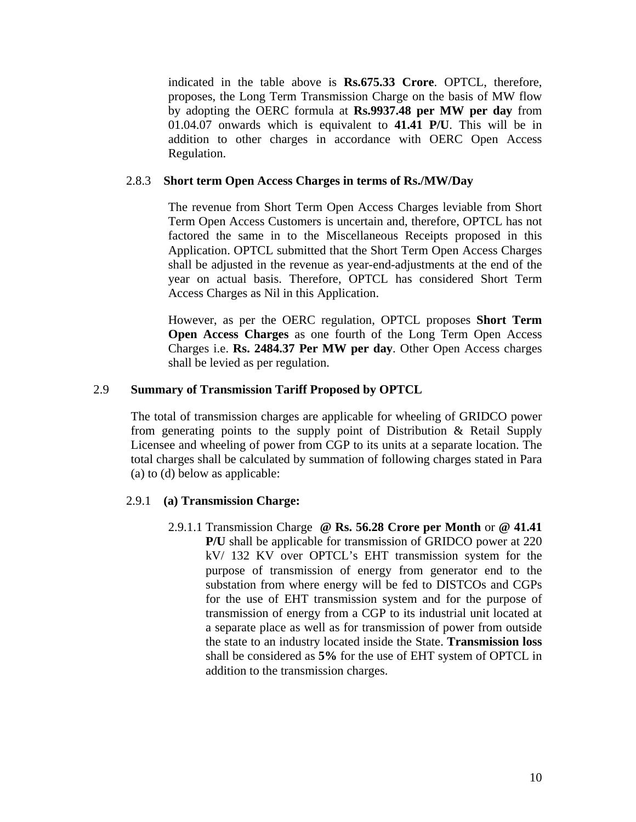indicated in the table above is **Rs.675.33 Crore**. OPTCL, therefore, proposes, the Long Term Transmission Charge on the basis of MW flow by adopting the OERC formula at **Rs.9937.48 per MW per day** from 01.04.07 onwards which is equivalent to **41.41 P/U**. This will be in addition to other charges in accordance with OERC Open Access Regulation.

# 2.8.3 **Short term Open Access Charges in terms of Rs./MW/Day**

The revenue from Short Term Open Access Charges leviable from Short Term Open Access Customers is uncertain and, therefore, OPTCL has not factored the same in to the Miscellaneous Receipts proposed in this Application. OPTCL submitted that the Short Term Open Access Charges shall be adjusted in the revenue as year-end-adjustments at the end of the year on actual basis. Therefore, OPTCL has considered Short Term Access Charges as Nil in this Application.

However, as per the OERC regulation, OPTCL proposes **Short Term Open Access Charges** as one fourth of the Long Term Open Access Charges i.e. **Rs. 2484.37 Per MW per day**. Other Open Access charges shall be levied as per regulation.

### 2.9 **Summary of Transmission Tariff Proposed by OPTCL**

The total of transmission charges are applicable for wheeling of GRIDCO power from generating points to the supply point of Distribution & Retail Supply Licensee and wheeling of power from CGP to its units at a separate location. The total charges shall be calculated by summation of following charges stated in Para (a) to (d) below as applicable:

#### 2.9.1 **(a) Transmission Charge:**

2.9.1.1 Transmission Charge **@ Rs. 56.28 Crore per Month** or **@ 41.41 P/U** shall be applicable for transmission of GRIDCO power at 220 kV/ 132 KV over OPTCL's EHT transmission system for the purpose of transmission of energy from generator end to the substation from where energy will be fed to DISTCOs and CGPs for the use of EHT transmission system and for the purpose of transmission of energy from a CGP to its industrial unit located at a separate place as well as for transmission of power from outside the state to an industry located inside the State. **Transmission loss** shall be considered as **5%** for the use of EHT system of OPTCL in addition to the transmission charges.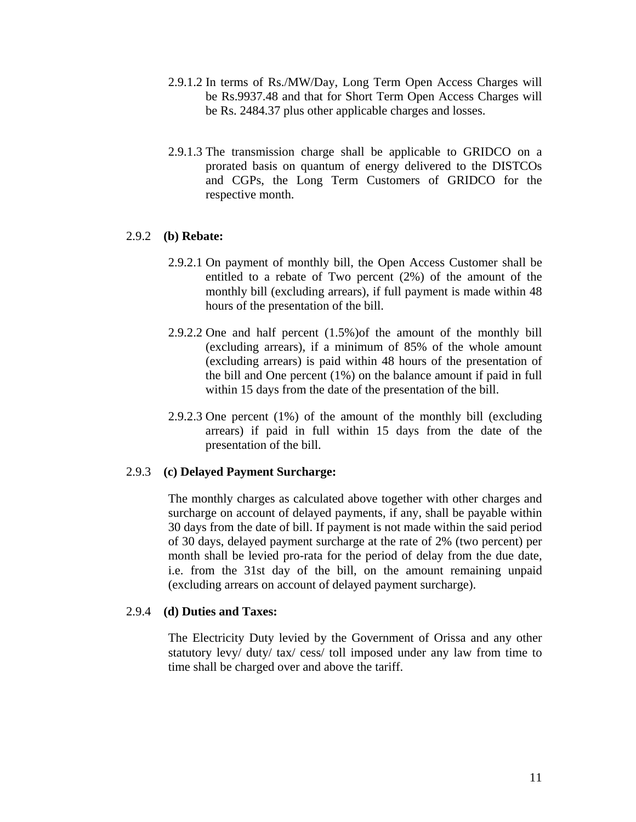- 2.9.1.2 In terms of Rs./MW/Day, Long Term Open Access Charges will be Rs.9937.48 and that for Short Term Open Access Charges will be Rs. 2484.37 plus other applicable charges and losses.
- 2.9.1.3 The transmission charge shall be applicable to GRIDCO on a prorated basis on quantum of energy delivered to the DISTCOs and CGPs, the Long Term Customers of GRIDCO for the respective month.

### 2.9.2 **(b) Rebate:**

- 2.9.2.1 On payment of monthly bill, the Open Access Customer shall be entitled to a rebate of Two percent (2%) of the amount of the monthly bill (excluding arrears), if full payment is made within 48 hours of the presentation of the bill.
- 2.9.2.2 One and half percent (1.5%)of the amount of the monthly bill (excluding arrears), if a minimum of 85% of the whole amount (excluding arrears) is paid within 48 hours of the presentation of the bill and One percent (1%) on the balance amount if paid in full within 15 days from the date of the presentation of the bill.
- 2.9.2.3 One percent (1%) of the amount of the monthly bill (excluding arrears) if paid in full within 15 days from the date of the presentation of the bill.

# 2.9.3 **(c) Delayed Payment Surcharge:**

The monthly charges as calculated above together with other charges and surcharge on account of delayed payments, if any, shall be payable within 30 days from the date of bill. If payment is not made within the said period of 30 days, delayed payment surcharge at the rate of 2% (two percent) per month shall be levied pro-rata for the period of delay from the due date, i.e. from the 31st day of the bill, on the amount remaining unpaid (excluding arrears on account of delayed payment surcharge).

# 2.9.4 **(d) Duties and Taxes:**

The Electricity Duty levied by the Government of Orissa and any other statutory levy/ duty/ tax/ cess/ toll imposed under any law from time to time shall be charged over and above the tariff.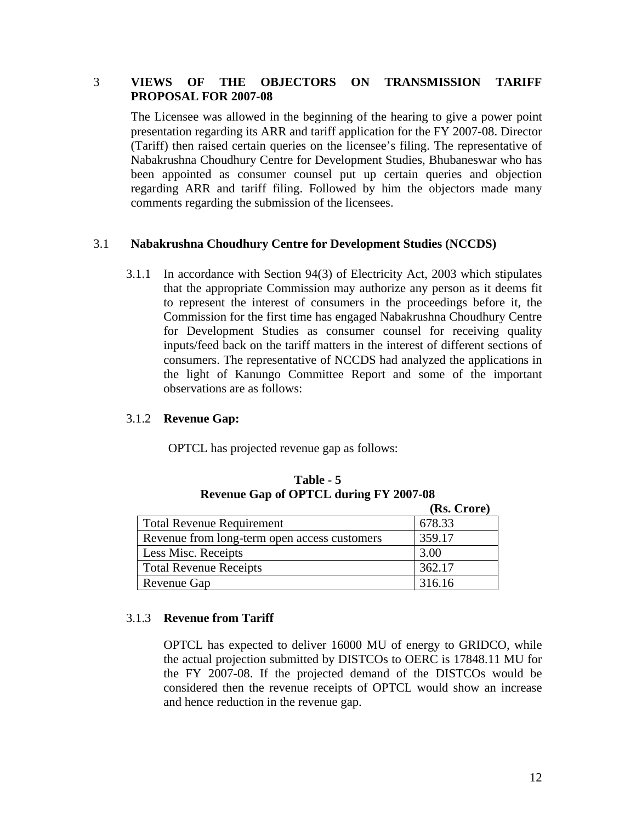# 3 **VIEWS OF THE OBJECTORS ON TRANSMISSION TARIFF PROPOSAL FOR 2007-08**

The Licensee was allowed in the beginning of the hearing to give a power point presentation regarding its ARR and tariff application for the FY 2007-08. Director (Tariff) then raised certain queries on the licensee's filing. The representative of Nabakrushna Choudhury Centre for Development Studies, Bhubaneswar who has been appointed as consumer counsel put up certain queries and objection regarding ARR and tariff filing. Followed by him the objectors made many comments regarding the submission of the licensees.

# 3.1 **Nabakrushna Choudhury Centre for Development Studies (NCCDS)**

3.1.1 In accordance with Section 94(3) of Electricity Act, 2003 which stipulates that the appropriate Commission may authorize any person as it deems fit to represent the interest of consumers in the proceedings before it, the Commission for the first time has engaged Nabakrushna Choudhury Centre for Development Studies as consumer counsel for receiving quality inputs/feed back on the tariff matters in the interest of different sections of consumers. The representative of NCCDS had analyzed the applications in the light of Kanungo Committee Report and some of the important observations are as follows:

# 3.1.2 **Revenue Gap:**

OPTCL has projected revenue gap as follows:

|                                              | (Rs. Crore) |
|----------------------------------------------|-------------|
| <b>Total Revenue Requirement</b>             | 678.33      |
| Revenue from long-term open access customers | 359.17      |
| Less Misc. Receipts                          | 3.00        |
| <b>Total Revenue Receipts</b>                | 362.17      |
| Revenue Gap                                  | 316.16      |

**Table - 5 Revenue Gap of OPTCL during FY 2007-08** 

# 3.1.3 **Revenue from Tariff**

OPTCL has expected to deliver 16000 MU of energy to GRIDCO, while the actual projection submitted by DISTCOs to OERC is 17848.11 MU for the FY 2007-08. If the projected demand of the DISTCOs would be considered then the revenue receipts of OPTCL would show an increase and hence reduction in the revenue gap.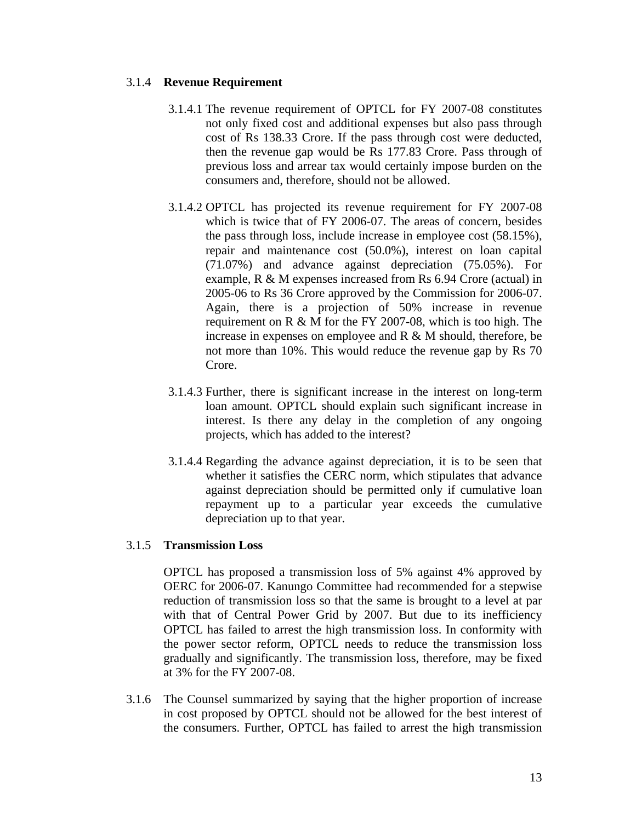# 3.1.4 **Revenue Requirement**

- 3.1.4.1 The revenue requirement of OPTCL for FY 2007-08 constitutes not only fixed cost and additional expenses but also pass through cost of Rs 138.33 Crore. If the pass through cost were deducted, then the revenue gap would be Rs 177.83 Crore. Pass through of previous loss and arrear tax would certainly impose burden on the consumers and, therefore, should not be allowed.
- 3.1.4.2 OPTCL has projected its revenue requirement for FY 2007-08 which is twice that of FY 2006-07. The areas of concern, besides the pass through loss, include increase in employee cost (58.15%), repair and maintenance cost (50.0%), interest on loan capital (71.07%) and advance against depreciation (75.05%). For example, R & M expenses increased from Rs 6.94 Crore (actual) in 2005-06 to Rs 36 Crore approved by the Commission for 2006-07. Again, there is a projection of 50% increase in revenue requirement on R & M for the FY 2007-08, which is too high. The increase in expenses on employee and R & M should, therefore, be not more than 10%. This would reduce the revenue gap by Rs 70 Crore.
- 3.1.4.3 Further, there is significant increase in the interest on long-term loan amount. OPTCL should explain such significant increase in interest. Is there any delay in the completion of any ongoing projects, which has added to the interest?
- 3.1.4.4 Regarding the advance against depreciation, it is to be seen that whether it satisfies the CERC norm, which stipulates that advance against depreciation should be permitted only if cumulative loan repayment up to a particular year exceeds the cumulative depreciation up to that year.

# 3.1.5 **Transmission Loss**

OPTCL has proposed a transmission loss of 5% against 4% approved by OERC for 2006-07. Kanungo Committee had recommended for a stepwise reduction of transmission loss so that the same is brought to a level at par with that of Central Power Grid by 2007. But due to its inefficiency OPTCL has failed to arrest the high transmission loss. In conformity with the power sector reform, OPTCL needs to reduce the transmission loss gradually and significantly. The transmission loss, therefore, may be fixed at 3% for the FY 2007-08.

3.1.6 The Counsel summarized by saying that the higher proportion of increase in cost proposed by OPTCL should not be allowed for the best interest of the consumers. Further, OPTCL has failed to arrest the high transmission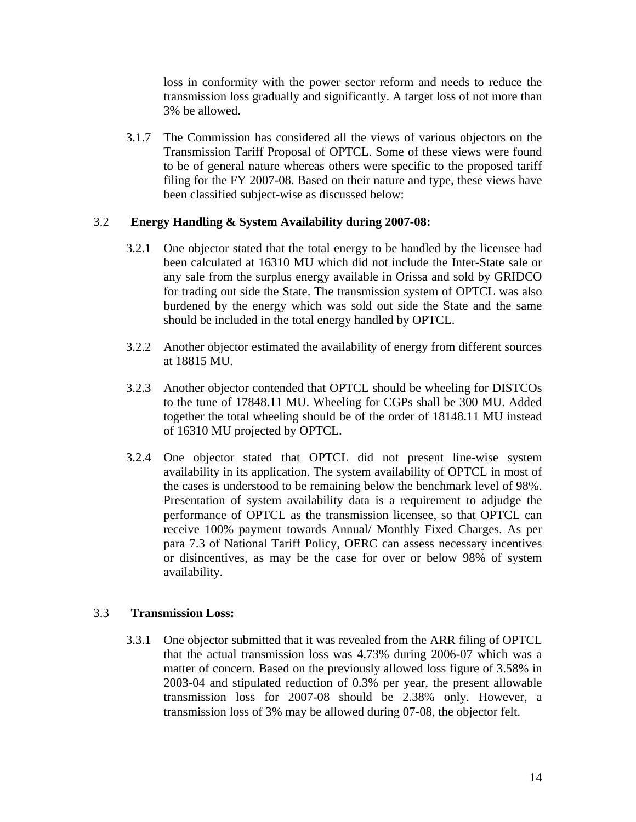loss in conformity with the power sector reform and needs to reduce the transmission loss gradually and significantly. A target loss of not more than 3% be allowed.

3.1.7 The Commission has considered all the views of various objectors on the Transmission Tariff Proposal of OPTCL. Some of these views were found to be of general nature whereas others were specific to the proposed tariff filing for the FY 2007-08. Based on their nature and type, these views have been classified subject-wise as discussed below:

# 3.2 **Energy Handling & System Availability during 2007-08:**

- 3.2.1 One objector stated that the total energy to be handled by the licensee had been calculated at 16310 MU which did not include the Inter-State sale or any sale from the surplus energy available in Orissa and sold by GRIDCO for trading out side the State. The transmission system of OPTCL was also burdened by the energy which was sold out side the State and the same should be included in the total energy handled by OPTCL.
- 3.2.2 Another objector estimated the availability of energy from different sources at 18815 MU.
- 3.2.3 Another objector contended that OPTCL should be wheeling for DISTCOs to the tune of 17848.11 MU. Wheeling for CGPs shall be 300 MU. Added together the total wheeling should be of the order of 18148.11 MU instead of 16310 MU projected by OPTCL.
- 3.2.4 One objector stated that OPTCL did not present line-wise system availability in its application. The system availability of OPTCL in most of the cases is understood to be remaining below the benchmark level of 98%. Presentation of system availability data is a requirement to adjudge the performance of OPTCL as the transmission licensee, so that OPTCL can receive 100% payment towards Annual/ Monthly Fixed Charges. As per para 7.3 of National Tariff Policy, OERC can assess necessary incentives or disincentives, as may be the case for over or below 98% of system availability.

# 3.3 **Transmission Loss:**

3.3.1 One objector submitted that it was revealed from the ARR filing of OPTCL that the actual transmission loss was 4.73% during 2006-07 which was a matter of concern. Based on the previously allowed loss figure of 3.58% in 2003-04 and stipulated reduction of 0.3% per year, the present allowable transmission loss for 2007-08 should be 2.38% only. However, a transmission loss of 3% may be allowed during 07-08, the objector felt.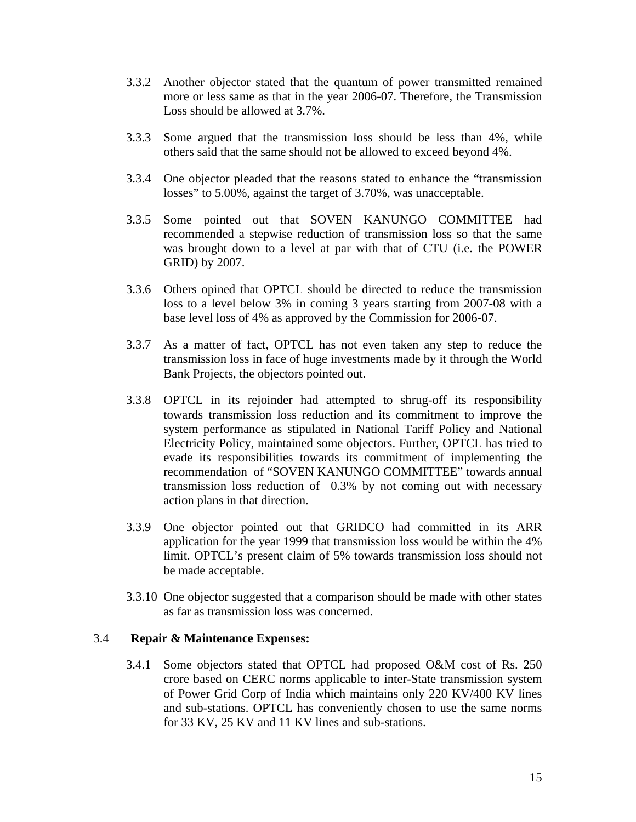- 3.3.2 Another objector stated that the quantum of power transmitted remained more or less same as that in the year 2006-07. Therefore, the Transmission Loss should be allowed at 3.7%.
- 3.3.3 Some argued that the transmission loss should be less than 4%, while others said that the same should not be allowed to exceed beyond 4%.
- 3.3.4 One objector pleaded that the reasons stated to enhance the "transmission losses" to 5.00%, against the target of 3.70%, was unacceptable.
- 3.3.5 Some pointed out that SOVEN KANUNGO COMMITTEE had recommended a stepwise reduction of transmission loss so that the same was brought down to a level at par with that of CTU (i.e. the POWER GRID) by 2007.
- 3.3.6 Others opined that OPTCL should be directed to reduce the transmission loss to a level below 3% in coming 3 years starting from 2007-08 with a base level loss of 4% as approved by the Commission for 2006-07.
- 3.3.7 As a matter of fact, OPTCL has not even taken any step to reduce the transmission loss in face of huge investments made by it through the World Bank Projects, the objectors pointed out.
- 3.3.8 OPTCL in its rejoinder had attempted to shrug-off its responsibility towards transmission loss reduction and its commitment to improve the system performance as stipulated in National Tariff Policy and National Electricity Policy, maintained some objectors. Further, OPTCL has tried to evade its responsibilities towards its commitment of implementing the recommendation of "SOVEN KANUNGO COMMITTEE" towards annual transmission loss reduction of 0.3% by not coming out with necessary action plans in that direction.
- 3.3.9 One objector pointed out that GRIDCO had committed in its ARR application for the year 1999 that transmission loss would be within the 4% limit. OPTCL's present claim of 5% towards transmission loss should not be made acceptable.
- 3.3.10 One objector suggested that a comparison should be made with other states as far as transmission loss was concerned.

#### 3.4 **Repair & Maintenance Expenses:**

3.4.1 Some objectors stated that OPTCL had proposed O&M cost of Rs. 250 crore based on CERC norms applicable to inter-State transmission system of Power Grid Corp of India which maintains only 220 KV/400 KV lines and sub-stations. OPTCL has conveniently chosen to use the same norms for 33 KV, 25 KV and 11 KV lines and sub-stations.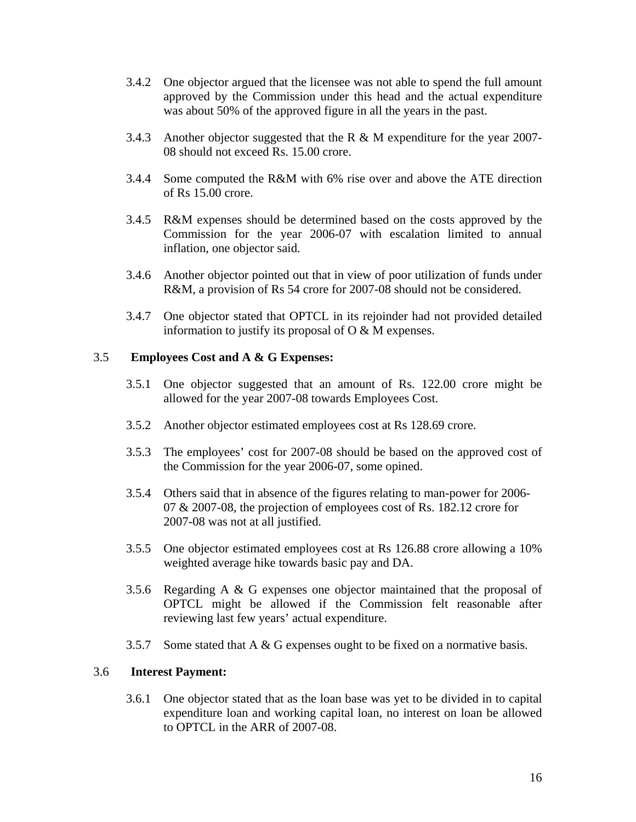- 3.4.2 One objector argued that the licensee was not able to spend the full amount approved by the Commission under this head and the actual expenditure was about 50% of the approved figure in all the years in the past.
- 3.4.3 Another objector suggested that the R & M expenditure for the year 2007- 08 should not exceed Rs. 15.00 crore.
- 3.4.4 Some computed the R&M with 6% rise over and above the ATE direction of Rs 15.00 crore.
- 3.4.5 R&M expenses should be determined based on the costs approved by the Commission for the year 2006-07 with escalation limited to annual inflation, one objector said.
- 3.4.6 Another objector pointed out that in view of poor utilization of funds under R&M, a provision of Rs 54 crore for 2007-08 should not be considered.
- 3.4.7 One objector stated that OPTCL in its rejoinder had not provided detailed information to justify its proposal of O & M expenses.

# 3.5 **Employees Cost and A & G Expenses:**

- 3.5.1 One objector suggested that an amount of Rs. 122.00 crore might be allowed for the year 2007-08 towards Employees Cost.
- 3.5.2 Another objector estimated employees cost at Rs 128.69 crore.
- 3.5.3 The employees' cost for 2007-08 should be based on the approved cost of the Commission for the year 2006-07, some opined.
- 3.5.4 Others said that in absence of the figures relating to man-power for 2006- 07 & 2007-08, the projection of employees cost of Rs. 182.12 crore for 2007-08 was not at all justified.
- 3.5.5 One objector estimated employees cost at Rs 126.88 crore allowing a 10% weighted average hike towards basic pay and DA.
- 3.5.6 Regarding A & G expenses one objector maintained that the proposal of OPTCL might be allowed if the Commission felt reasonable after reviewing last few years' actual expenditure.
- 3.5.7 Some stated that  $A \& G$  expenses ought to be fixed on a normative basis.

# 3.6 **Interest Payment:**

3.6.1 One objector stated that as the loan base was yet to be divided in to capital expenditure loan and working capital loan, no interest on loan be allowed to OPTCL in the ARR of 2007-08.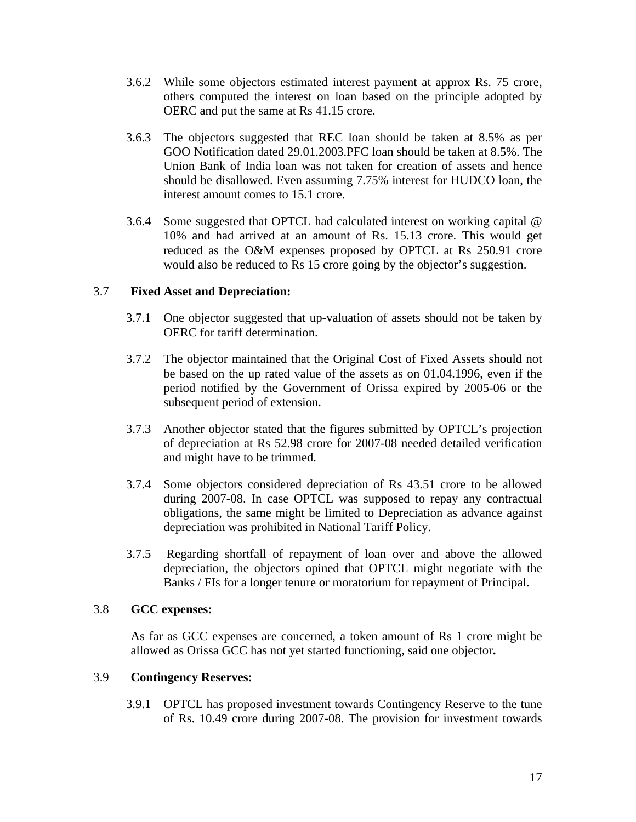- 3.6.2 While some objectors estimated interest payment at approx Rs. 75 crore, others computed the interest on loan based on the principle adopted by OERC and put the same at Rs 41.15 crore.
- 3.6.3 The objectors suggested that REC loan should be taken at 8.5% as per GOO Notification dated 29.01.2003.PFC loan should be taken at 8.5%. The Union Bank of India loan was not taken for creation of assets and hence should be disallowed. Even assuming 7.75% interest for HUDCO loan, the interest amount comes to 15.1 crore.
- 3.6.4 Some suggested that OPTCL had calculated interest on working capital @ 10% and had arrived at an amount of Rs. 15.13 crore. This would get reduced as the O&M expenses proposed by OPTCL at Rs 250.91 crore would also be reduced to Rs 15 crore going by the objector's suggestion.

# 3.7 **Fixed Asset and Depreciation:**

- 3.7.1 One objector suggested that up-valuation of assets should not be taken by OERC for tariff determination.
- 3.7.2 The objector maintained that the Original Cost of Fixed Assets should not be based on the up rated value of the assets as on 01.04.1996, even if the period notified by the Government of Orissa expired by 2005-06 or the subsequent period of extension.
- 3.7.3 Another objector stated that the figures submitted by OPTCL's projection of depreciation at Rs 52.98 crore for 2007-08 needed detailed verification and might have to be trimmed.
- 3.7.4 Some objectors considered depreciation of Rs 43.51 crore to be allowed during 2007-08. In case OPTCL was supposed to repay any contractual obligations, the same might be limited to Depreciation as advance against depreciation was prohibited in National Tariff Policy.
- 3.7.5 Regarding shortfall of repayment of loan over and above the allowed depreciation, the objectors opined that OPTCL might negotiate with the Banks / FIs for a longer tenure or moratorium for repayment of Principal.

# 3.8 **GCC expenses:**

As far as GCC expenses are concerned, a token amount of Rs 1 crore might be allowed as Orissa GCC has not yet started functioning, said one objector**.** 

# 3.9 **Contingency Reserves:**

3.9.1 OPTCL has proposed investment towards Contingency Reserve to the tune of Rs. 10.49 crore during 2007-08. The provision for investment towards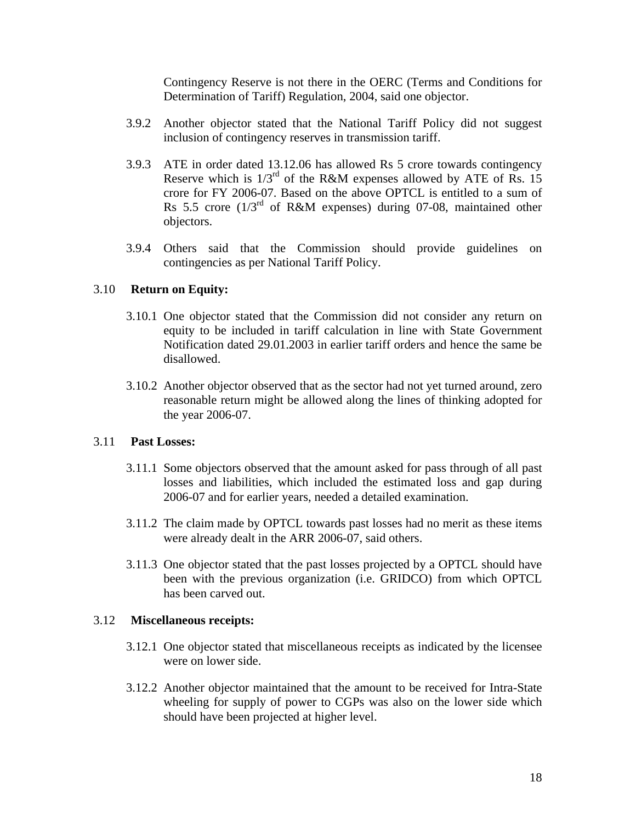Contingency Reserve is not there in the OERC (Terms and Conditions for Determination of Tariff) Regulation, 2004, said one objector.

- 3.9.2 Another objector stated that the National Tariff Policy did not suggest inclusion of contingency reserves in transmission tariff.
- 3.9.3 ATE in order dated 13.12.06 has allowed Rs 5 crore towards contingency Reserve which is  $1/3^{rd}$  of the R&M expenses allowed by ATE of Rs. 15 crore for FY 2006-07. Based on the above OPTCL is entitled to a sum of Rs 5.5 crore  $(1/3^{rd}$  of R&M expenses) during 07-08, maintained other objectors.
- 3.9.4 Others said that the Commission should provide guidelines on contingencies as per National Tariff Policy.

# 3.10 **Return on Equity:**

- 3.10.1 One objector stated that the Commission did not consider any return on equity to be included in tariff calculation in line with State Government Notification dated 29.01.2003 in earlier tariff orders and hence the same be disallowed.
- 3.10.2 Another objector observed that as the sector had not yet turned around, zero reasonable return might be allowed along the lines of thinking adopted for the year 2006-07.

# 3.11 **Past Losses:**

- 3.11.1 Some objectors observed that the amount asked for pass through of all past losses and liabilities, which included the estimated loss and gap during 2006-07 and for earlier years, needed a detailed examination.
- 3.11.2 The claim made by OPTCL towards past losses had no merit as these items were already dealt in the ARR 2006-07, said others.
- 3.11.3 One objector stated that the past losses projected by a OPTCL should have been with the previous organization (i.e. GRIDCO) from which OPTCL has been carved out.

# 3.12 **Miscellaneous receipts:**

- 3.12.1 One objector stated that miscellaneous receipts as indicated by the licensee were on lower side.
- 3.12.2 Another objector maintained that the amount to be received for Intra-State wheeling for supply of power to CGPs was also on the lower side which should have been projected at higher level.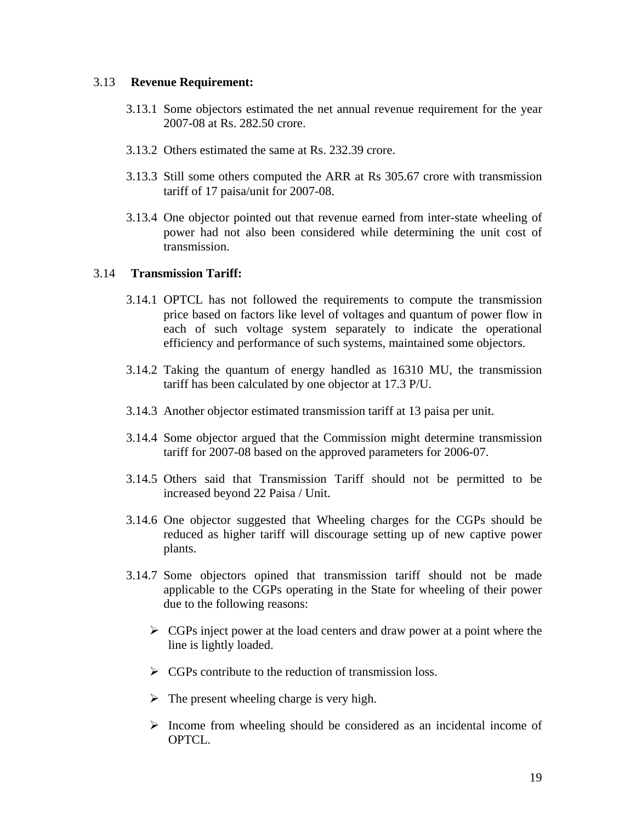### 3.13 **Revenue Requirement:**

- 3.13.1 Some objectors estimated the net annual revenue requirement for the year 2007-08 at Rs. 282.50 crore.
- 3.13.2 Others estimated the same at Rs. 232.39 crore.
- 3.13.3 Still some others computed the ARR at Rs 305.67 crore with transmission tariff of 17 paisa/unit for 2007-08.
- 3.13.4 One objector pointed out that revenue earned from inter-state wheeling of power had not also been considered while determining the unit cost of transmission.

# 3.14 **Transmission Tariff:**

- 3.14.1 OPTCL has not followed the requirements to compute the transmission price based on factors like level of voltages and quantum of power flow in each of such voltage system separately to indicate the operational efficiency and performance of such systems, maintained some objectors.
- 3.14.2 Taking the quantum of energy handled as 16310 MU, the transmission tariff has been calculated by one objector at 17.3 P/U.
- 3.14.3 Another objector estimated transmission tariff at 13 paisa per unit.
- 3.14.4 Some objector argued that the Commission might determine transmission tariff for 2007-08 based on the approved parameters for 2006-07.
- 3.14.5 Others said that Transmission Tariff should not be permitted to be increased beyond 22 Paisa / Unit.
- 3.14.6 One objector suggested that Wheeling charges for the CGPs should be reduced as higher tariff will discourage setting up of new captive power plants.
- 3.14.7 Some objectors opined that transmission tariff should not be made applicable to the CGPs operating in the State for wheeling of their power due to the following reasons:
	- $\triangleright$  CGPs inject power at the load centers and draw power at a point where the line is lightly loaded.
	- $\triangleright$  CGPs contribute to the reduction of transmission loss.
	- $\triangleright$  The present wheeling charge is very high.
	- $\triangleright$  Income from wheeling should be considered as an incidental income of OPTCL.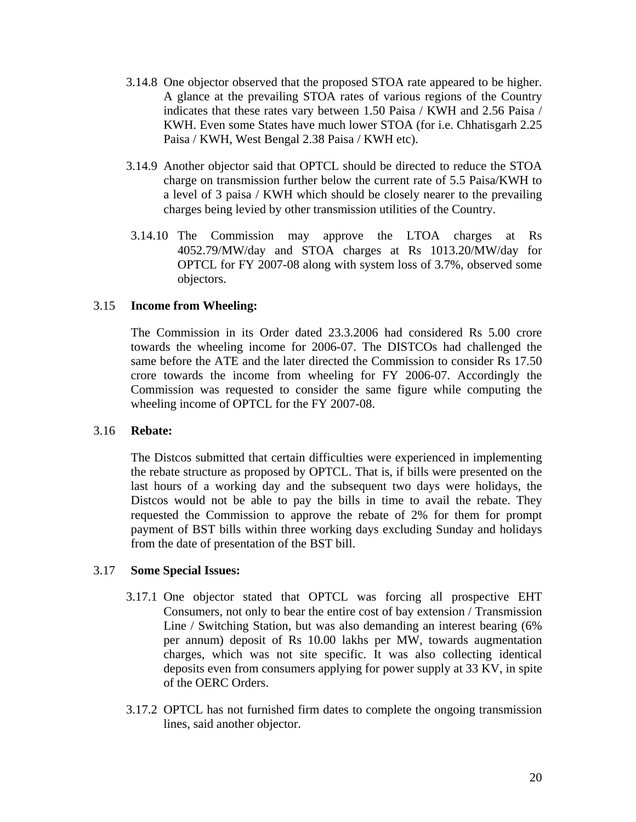- 3.14.8 One objector observed that the proposed STOA rate appeared to be higher. A glance at the prevailing STOA rates of various regions of the Country indicates that these rates vary between 1.50 Paisa / KWH and 2.56 Paisa / KWH. Even some States have much lower STOA (for i.e. Chhatisgarh 2.25 Paisa / KWH, West Bengal 2.38 Paisa / KWH etc).
- 3.14.9 Another objector said that OPTCL should be directed to reduce the STOA charge on transmission further below the current rate of 5.5 Paisa/KWH to a level of 3 paisa / KWH which should be closely nearer to the prevailing charges being levied by other transmission utilities of the Country.
- 3.14.10 The Commission may approve the LTOA charges at Rs 4052.79/MW/day and STOA charges at Rs 1013.20/MW/day for OPTCL for FY 2007-08 along with system loss of 3.7%, observed some objectors.

# 3.15 **Income from Wheeling:**

The Commission in its Order dated 23.3.2006 had considered Rs 5.00 crore towards the wheeling income for 2006-07. The DISTCOs had challenged the same before the ATE and the later directed the Commission to consider Rs 17.50 crore towards the income from wheeling for FY 2006-07. Accordingly the Commission was requested to consider the same figure while computing the wheeling income of OPTCL for the FY 2007-08.

# 3.16 **Rebate:**

The Distcos submitted that certain difficulties were experienced in implementing the rebate structure as proposed by OPTCL. That is, if bills were presented on the last hours of a working day and the subsequent two days were holidays, the Distcos would not be able to pay the bills in time to avail the rebate. They requested the Commission to approve the rebate of 2% for them for prompt payment of BST bills within three working days excluding Sunday and holidays from the date of presentation of the BST bill.

# 3.17 **Some Special Issues:**

- 3.17.1 One objector stated that OPTCL was forcing all prospective EHT Consumers, not only to bear the entire cost of bay extension / Transmission Line / Switching Station, but was also demanding an interest bearing (6% per annum) deposit of Rs 10.00 lakhs per MW, towards augmentation charges, which was not site specific. It was also collecting identical deposits even from consumers applying for power supply at 33 KV, in spite of the OERC Orders.
- 3.17.2 OPTCL has not furnished firm dates to complete the ongoing transmission lines, said another objector.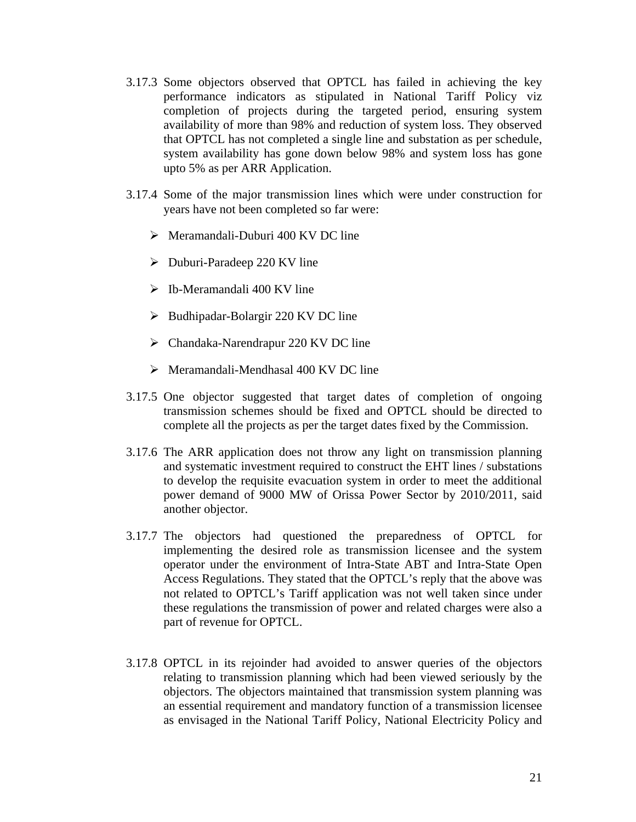- 3.17.3 Some objectors observed that OPTCL has failed in achieving the key performance indicators as stipulated in National Tariff Policy viz completion of projects during the targeted period, ensuring system availability of more than 98% and reduction of system loss. They observed that OPTCL has not completed a single line and substation as per schedule, system availability has gone down below 98% and system loss has gone upto 5% as per ARR Application.
- 3.17.4 Some of the major transmission lines which were under construction for years have not been completed so far were:
	- $\triangleright$  Meramandali-Duburi 400 KV DC line
	- $\triangleright$  Duburi-Paradeep 220 KV line
	- $\triangleright$  Ib-Meramandali 400 KV line
	- $\triangleright$  Budhipadar-Bolargir 220 KV DC line
	- $\triangleright$  Chandaka-Narendrapur 220 KV DC line
	- $\triangleright$  Meramandali-Mendhasal 400 KV DC line
- 3.17.5 One objector suggested that target dates of completion of ongoing transmission schemes should be fixed and OPTCL should be directed to complete all the projects as per the target dates fixed by the Commission.
- 3.17.6 The ARR application does not throw any light on transmission planning and systematic investment required to construct the EHT lines / substations to develop the requisite evacuation system in order to meet the additional power demand of 9000 MW of Orissa Power Sector by 2010/2011, said another objector.
- 3.17.7 The objectors had questioned the preparedness of OPTCL for implementing the desired role as transmission licensee and the system operator under the environment of Intra-State ABT and Intra-State Open Access Regulations. They stated that the OPTCL's reply that the above was not related to OPTCL's Tariff application was not well taken since under these regulations the transmission of power and related charges were also a part of revenue for OPTCL.
- 3.17.8 OPTCL in its rejoinder had avoided to answer queries of the objectors relating to transmission planning which had been viewed seriously by the objectors. The objectors maintained that transmission system planning was an essential requirement and mandatory function of a transmission licensee as envisaged in the National Tariff Policy, National Electricity Policy and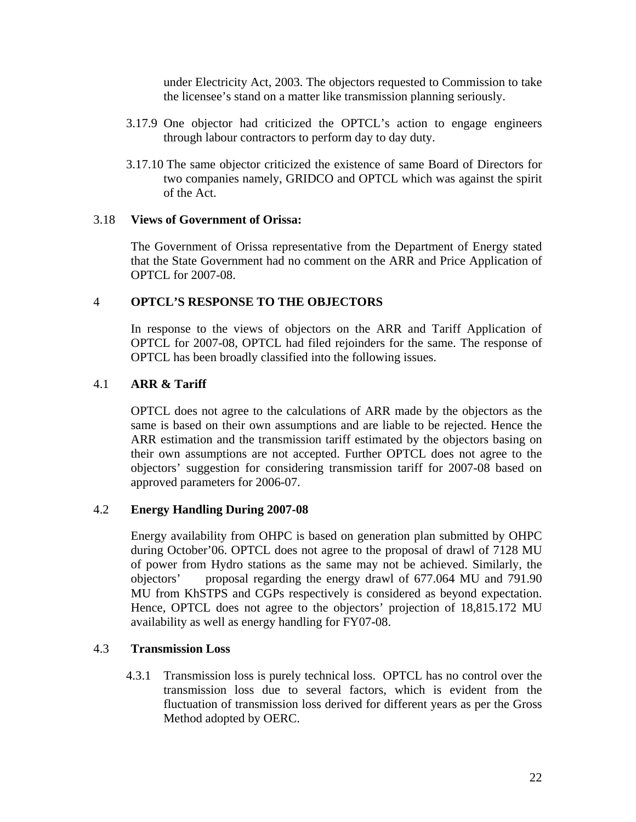under Electricity Act, 2003. The objectors requested to Commission to take the licensee's stand on a matter like transmission planning seriously.

- 3.17.9 One objector had criticized the OPTCL's action to engage engineers through labour contractors to perform day to day duty.
- 3.17.10 The same objector criticized the existence of same Board of Directors for two companies namely, GRIDCO and OPTCL which was against the spirit of the Act.

# 3.18 **Views of Government of Orissa:**

The Government of Orissa representative from the Department of Energy stated that the State Government had no comment on the ARR and Price Application of OPTCL for 2007-08.

# 4 **OPTCL'S RESPONSE TO THE OBJECTORS**

In response to the views of objectors on the ARR and Tariff Application of OPTCL for 2007-08, OPTCL had filed rejoinders for the same. The response of OPTCL has been broadly classified into the following issues.

# 4.1 **ARR & Tariff**

OPTCL does not agree to the calculations of ARR made by the objectors as the same is based on their own assumptions and are liable to be rejected. Hence the ARR estimation and the transmission tariff estimated by the objectors basing on their own assumptions are not accepted. Further OPTCL does not agree to the objectors' suggestion for considering transmission tariff for 2007-08 based on approved parameters for 2006-07.

# 4.2 **Energy Handling During 2007-08**

Energy availability from OHPC is based on generation plan submitted by OHPC during October'06. OPTCL does not agree to the proposal of drawl of 7128 MU of power from Hydro stations as the same may not be achieved. Similarly, the objectors' proposal regarding the energy drawl of 677.064 MU and 791.90 MU from KhSTPS and CGPs respectively is considered as beyond expectation. Hence, OPTCL does not agree to the objectors' projection of 18,815.172 MU availability as well as energy handling for FY07-08.

#### 4.3 **Transmission Loss**

4.3.1 Transmission loss is purely technical loss. OPTCL has no control over the transmission loss due to several factors, which is evident from the fluctuation of transmission loss derived for different years as per the Gross Method adopted by OERC.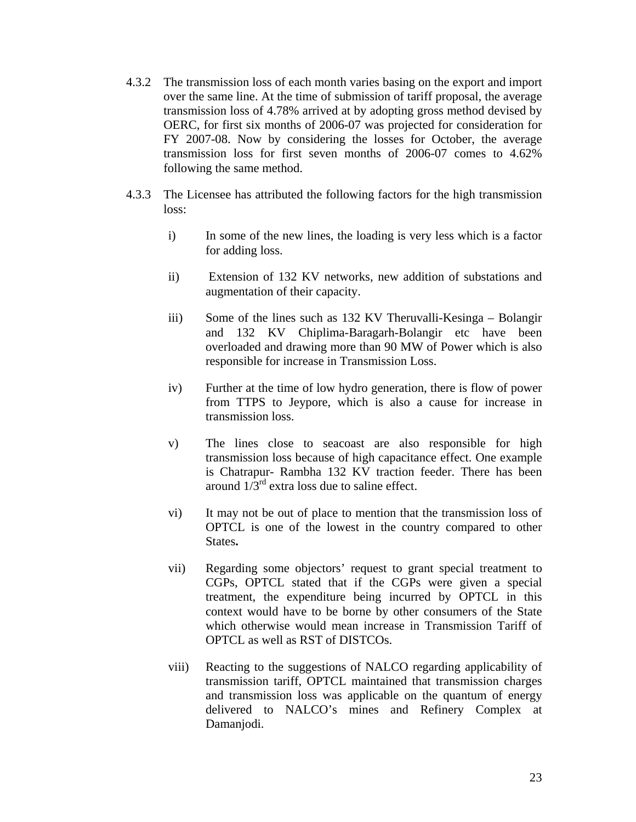- 4.3.2 The transmission loss of each month varies basing on the export and import over the same line. At the time of submission of tariff proposal, the average transmission loss of 4.78% arrived at by adopting gross method devised by OERC, for first six months of 2006-07 was projected for consideration for FY 2007-08. Now by considering the losses for October, the average transmission loss for first seven months of 2006-07 comes to 4.62% following the same method.
- 4.3.3 The Licensee has attributed the following factors for the high transmission loss:
	- i) In some of the new lines, the loading is very less which is a factor for adding loss.
	- ii) Extension of 132 KV networks, new addition of substations and augmentation of their capacity.
	- iii) Some of the lines such as 132 KV Theruvalli-Kesinga Bolangir and 132 KV Chiplima-Baragarh-Bolangir etc have been overloaded and drawing more than 90 MW of Power which is also responsible for increase in Transmission Loss.
	- iv) Further at the time of low hydro generation, there is flow of power from TTPS to Jeypore, which is also a cause for increase in transmission loss.
	- v) The lines close to seacoast are also responsible for high transmission loss because of high capacitance effect. One example is Chatrapur- Rambha 132 KV traction feeder. There has been around  $1/3^{rd}$  extra loss due to saline effect.
	- vi) It may not be out of place to mention that the transmission loss of OPTCL is one of the lowest in the country compared to other States**.**
	- vii) Regarding some objectors' request to grant special treatment to CGPs, OPTCL stated that if the CGPs were given a special treatment, the expenditure being incurred by OPTCL in this context would have to be borne by other consumers of the State which otherwise would mean increase in Transmission Tariff of OPTCL as well as RST of DISTCOs.
	- viii) Reacting to the suggestions of NALCO regarding applicability of transmission tariff, OPTCL maintained that transmission charges and transmission loss was applicable on the quantum of energy delivered to NALCO's mines and Refinery Complex at Damanjodi.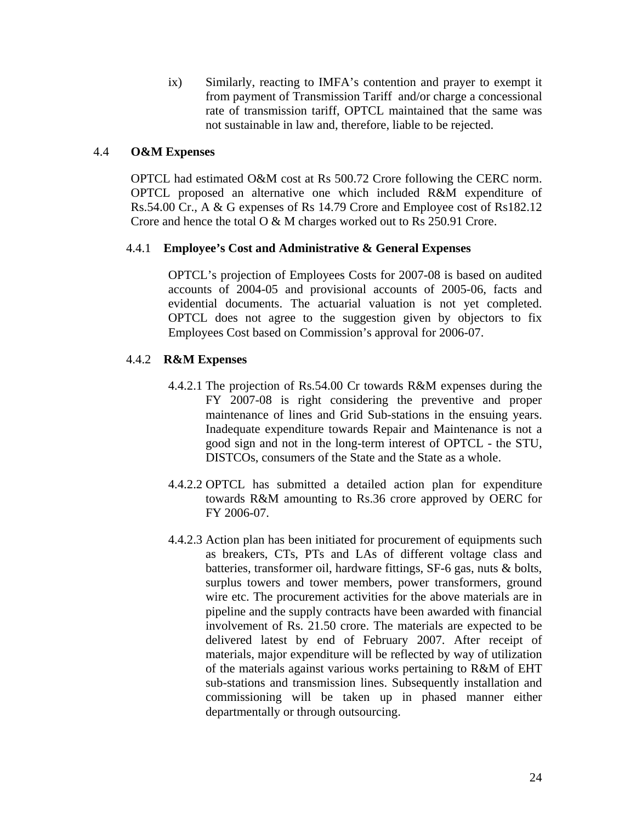ix) Similarly, reacting to IMFA's contention and prayer to exempt it from payment of Transmission Tariff and/or charge a concessional rate of transmission tariff, OPTCL maintained that the same was not sustainable in law and, therefore, liable to be rejected.

# 4.4 **O&M Expenses**

OPTCL had estimated O&M cost at Rs 500.72 Crore following the CERC norm. OPTCL proposed an alternative one which included R&M expenditure of Rs.54.00 Cr., A & G expenses of Rs 14.79 Crore and Employee cost of Rs182.12 Crore and hence the total O & M charges worked out to Rs 250.91 Crore.

# 4.4.1 **Employee's Cost and Administrative & General Expenses**

OPTCL's projection of Employees Costs for 2007-08 is based on audited accounts of 2004-05 and provisional accounts of 2005-06, facts and evidential documents. The actuarial valuation is not yet completed. OPTCL does not agree to the suggestion given by objectors to fix Employees Cost based on Commission's approval for 2006-07.

# 4.4.2 **R&M Expenses**

- 4.4.2.1 The projection of Rs.54.00 Cr towards R&M expenses during the FY 2007-08 is right considering the preventive and proper maintenance of lines and Grid Sub-stations in the ensuing years. Inadequate expenditure towards Repair and Maintenance is not a good sign and not in the long-term interest of OPTCL - the STU, DISTCOs, consumers of the State and the State as a whole.
- 4.4.2.2 OPTCL has submitted a detailed action plan for expenditure towards R&M amounting to Rs.36 crore approved by OERC for FY 2006-07.
- 4.4.2.3 Action plan has been initiated for procurement of equipments such as breakers, CTs, PTs and LAs of different voltage class and batteries, transformer oil, hardware fittings, SF-6 gas, nuts & bolts, surplus towers and tower members, power transformers, ground wire etc. The procurement activities for the above materials are in pipeline and the supply contracts have been awarded with financial involvement of Rs. 21.50 crore. The materials are expected to be delivered latest by end of February 2007. After receipt of materials, major expenditure will be reflected by way of utilization of the materials against various works pertaining to R&M of EHT sub-stations and transmission lines. Subsequently installation and commissioning will be taken up in phased manner either departmentally or through outsourcing.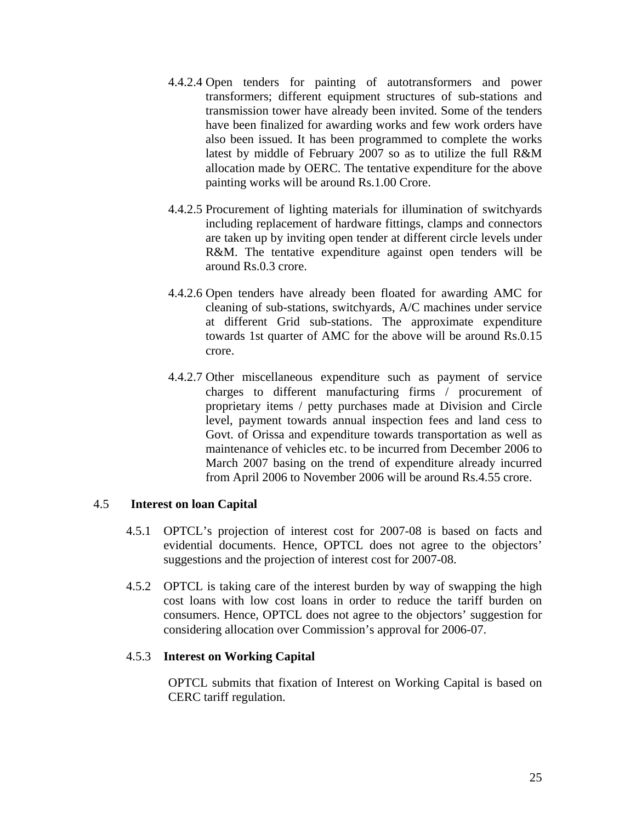- 4.4.2.4 Open tenders for painting of autotransformers and power transformers; different equipment structures of sub-stations and transmission tower have already been invited. Some of the tenders have been finalized for awarding works and few work orders have also been issued. It has been programmed to complete the works latest by middle of February 2007 so as to utilize the full R&M allocation made by OERC. The tentative expenditure for the above painting works will be around Rs.1.00 Crore.
- 4.4.2.5 Procurement of lighting materials for illumination of switchyards including replacement of hardware fittings, clamps and connectors are taken up by inviting open tender at different circle levels under R&M. The tentative expenditure against open tenders will be around Rs.0.3 crore.
- 4.4.2.6 Open tenders have already been floated for awarding AMC for cleaning of sub-stations, switchyards, A/C machines under service at different Grid sub-stations. The approximate expenditure towards 1st quarter of AMC for the above will be around Rs.0.15 crore.
- 4.4.2.7 Other miscellaneous expenditure such as payment of service charges to different manufacturing firms / procurement of proprietary items / petty purchases made at Division and Circle level, payment towards annual inspection fees and land cess to Govt. of Orissa and expenditure towards transportation as well as maintenance of vehicles etc. to be incurred from December 2006 to March 2007 basing on the trend of expenditure already incurred from April 2006 to November 2006 will be around Rs.4.55 crore.

# 4.5 **Interest on loan Capital**

- 4.5.1 OPTCL's projection of interest cost for 2007-08 is based on facts and evidential documents. Hence, OPTCL does not agree to the objectors' suggestions and the projection of interest cost for 2007-08.
- 4.5.2 OPTCL is taking care of the interest burden by way of swapping the high cost loans with low cost loans in order to reduce the tariff burden on consumers. Hence, OPTCL does not agree to the objectors' suggestion for considering allocation over Commission's approval for 2006-07.

# 4.5.3 **Interest on Working Capital**

OPTCL submits that fixation of Interest on Working Capital is based on CERC tariff regulation.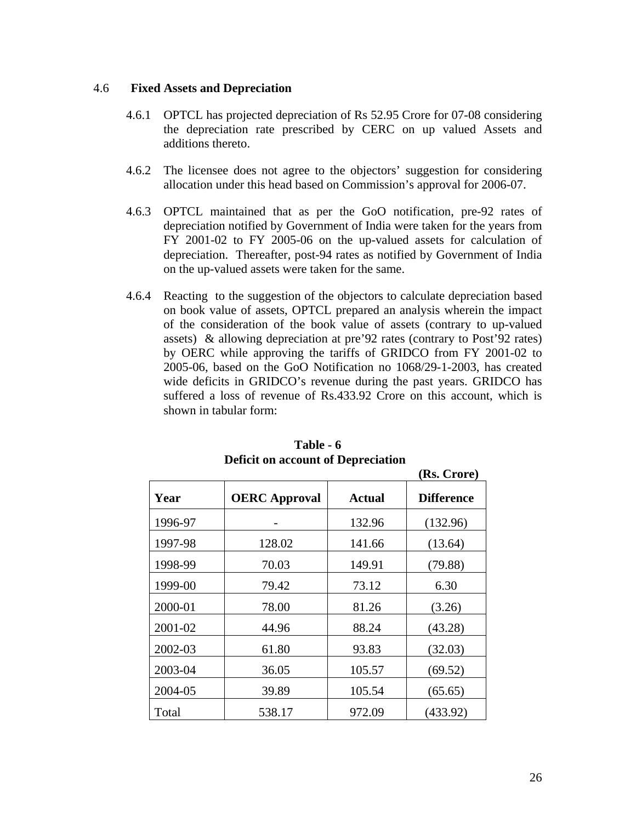### 4.6 **Fixed Assets and Depreciation**

- 4.6.1 OPTCL has projected depreciation of Rs 52.95 Crore for 07-08 considering the depreciation rate prescribed by CERC on up valued Assets and additions thereto.
- 4.6.2 The licensee does not agree to the objectors' suggestion for considering allocation under this head based on Commission's approval for 2006-07.
- 4.6.3 OPTCL maintained that as per the GoO notification, pre-92 rates of depreciation notified by Government of India were taken for the years from FY 2001-02 to FY 2005-06 on the up-valued assets for calculation of depreciation. Thereafter, post-94 rates as notified by Government of India on the up-valued assets were taken for the same.
- 4.6.4 Reacting to the suggestion of the objectors to calculate depreciation based on book value of assets, OPTCL prepared an analysis wherein the impact of the consideration of the book value of assets (contrary to up-valued assets) & allowing depreciation at pre'92 rates (contrary to Post'92 rates) by OERC while approving the tariffs of GRIDCO from FY 2001-02 to 2005-06, based on the GoO Notification no 1068/29-1-2003, has created wide deficits in GRIDCO's revenue during the past years. GRIDCO has suffered a loss of revenue of Rs.433.92 Crore on this account, which is shown in tabular form:

|         |                      |        | (Rs. Crore)       |
|---------|----------------------|--------|-------------------|
| Year    | <b>OERC</b> Approval | Actual | <b>Difference</b> |
| 1996-97 |                      | 132.96 | (132.96)          |
| 1997-98 | 128.02               | 141.66 | (13.64)           |
| 1998-99 | 70.03                | 149.91 | (79.88)           |
| 1999-00 | 79.42                | 73.12  | 6.30              |
| 2000-01 | 78.00                | 81.26  | (3.26)            |
| 2001-02 | 44.96                | 88.24  | (43.28)           |
| 2002-03 | 61.80                | 93.83  | (32.03)           |
| 2003-04 | 36.05                | 105.57 | (69.52)           |
| 2004-05 | 39.89                | 105.54 | (65.65)           |
| Total   | 538.17               | 972.09 | (433.92)          |

**Table - 6 Deficit on account of Depreciation**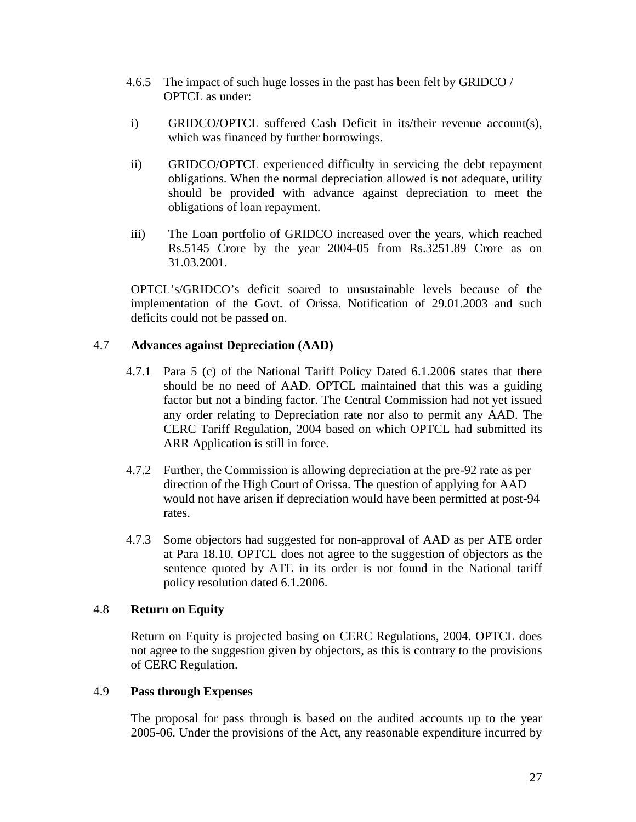- 4.6.5 The impact of such huge losses in the past has been felt by GRIDCO / OPTCL as under:
- i) GRIDCO/OPTCL suffered Cash Deficit in its/their revenue account(s), which was financed by further borrowings.
- ii) GRIDCO/OPTCL experienced difficulty in servicing the debt repayment obligations. When the normal depreciation allowed is not adequate, utility should be provided with advance against depreciation to meet the obligations of loan repayment.
- iii) The Loan portfolio of GRIDCO increased over the years, which reached Rs.5145 Crore by the year 2004-05 from Rs.3251.89 Crore as on 31.03.2001.

OPTCL's/GRIDCO's deficit soared to unsustainable levels because of the implementation of the Govt. of Orissa. Notification of 29.01.2003 and such deficits could not be passed on.

# 4.7 **Advances against Depreciation (AAD)**

- 4.7.1 Para 5 (c) of the National Tariff Policy Dated 6.1.2006 states that there should be no need of AAD. OPTCL maintained that this was a guiding factor but not a binding factor. The Central Commission had not yet issued any order relating to Depreciation rate nor also to permit any AAD. The CERC Tariff Regulation, 2004 based on which OPTCL had submitted its ARR Application is still in force.
- 4.7.2 Further, the Commission is allowing depreciation at the pre-92 rate as per direction of the High Court of Orissa. The question of applying for AAD would not have arisen if depreciation would have been permitted at post-94 rates.
- 4.7.3 Some objectors had suggested for non-approval of AAD as per ATE order at Para 18.10. OPTCL does not agree to the suggestion of objectors as the sentence quoted by ATE in its order is not found in the National tariff policy resolution dated 6.1.2006.

# 4.8 **Return on Equity**

Return on Equity is projected basing on CERC Regulations, 2004. OPTCL does not agree to the suggestion given by objectors, as this is contrary to the provisions of CERC Regulation.

# 4.9 **Pass through Expenses**

The proposal for pass through is based on the audited accounts up to the year 2005-06. Under the provisions of the Act, any reasonable expenditure incurred by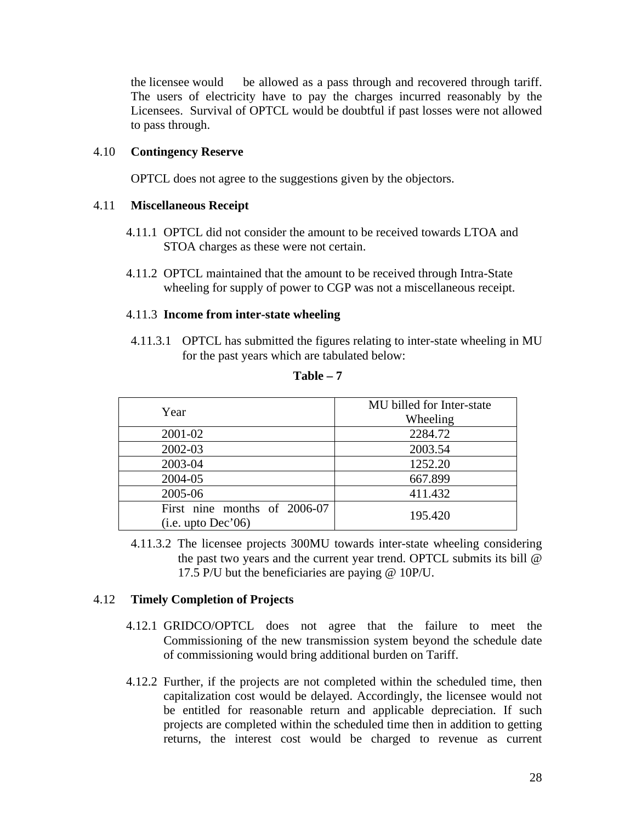the licensee would be allowed as a pass through and recovered through tariff. The users of electricity have to pay the charges incurred reasonably by the Licensees. Survival of OPTCL would be doubtful if past losses were not allowed to pass through.

# 4.10 **Contingency Reserve**

OPTCL does not agree to the suggestions given by the objectors.

## 4.11 **Miscellaneous Receipt**

- 4.11.1 OPTCL did not consider the amount to be received towards LTOA and STOA charges as these were not certain.
- 4.11.2 OPTCL maintained that the amount to be received through Intra-State wheeling for supply of power to CGP was not a miscellaneous receipt.

#### 4.11.3 **Income from inter-state wheeling**

4.11.3.1 OPTCL has submitted the figures relating to inter-state wheeling in MU for the past years which are tabulated below:

| Year                                                | MU billed for Inter-state<br>Wheeling |
|-----------------------------------------------------|---------------------------------------|
| 2001-02                                             | 2284.72                               |
| 2002-03                                             | 2003.54                               |
| 2003-04                                             | 1252.20                               |
| 2004-05                                             | 667.899                               |
| 2005-06                                             | 411.432                               |
| First nine months of 2006-07<br>(i.e. up to Dec'06) | 195.420                               |

**Table – 7** 

4.11.3.2 The licensee projects 300MU towards inter-state wheeling considering the past two years and the current year trend. OPTCL submits its bill @ 17.5 P/U but the beneficiaries are paying @ 10P/U.

# 4.12 **Timely Completion of Projects**

- 4.12.1 GRIDCO/OPTCL does not agree that the failure to meet the Commissioning of the new transmission system beyond the schedule date of commissioning would bring additional burden on Tariff.
- 4.12.2 Further, if the projects are not completed within the scheduled time, then capitalization cost would be delayed. Accordingly, the licensee would not be entitled for reasonable return and applicable depreciation. If such projects are completed within the scheduled time then in addition to getting returns, the interest cost would be charged to revenue as current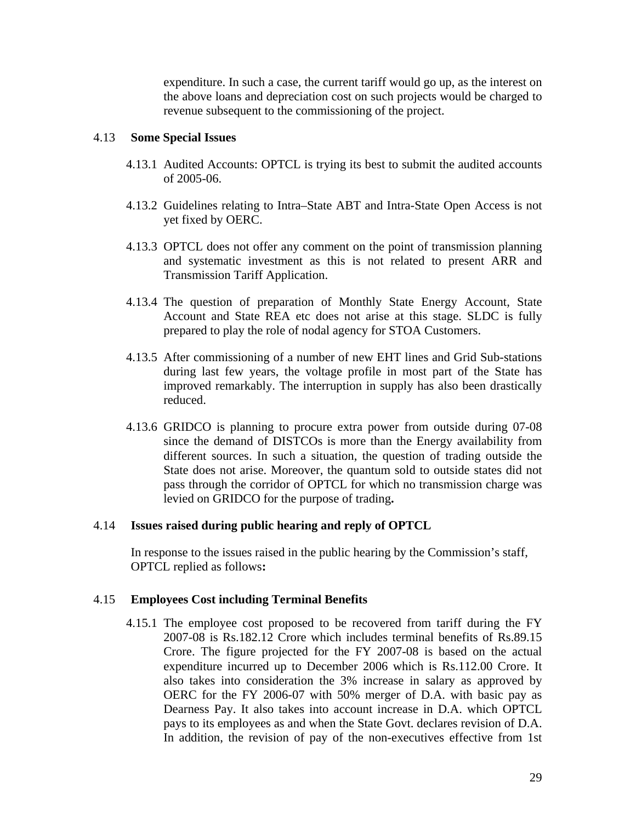expenditure. In such a case, the current tariff would go up, as the interest on the above loans and depreciation cost on such projects would be charged to revenue subsequent to the commissioning of the project.

# 4.13 **Some Special Issues**

- 4.13.1 Audited Accounts: OPTCL is trying its best to submit the audited accounts of 2005-06.
- 4.13.2 Guidelines relating to Intra–State ABT and Intra-State Open Access is not yet fixed by OERC.
- 4.13.3 OPTCL does not offer any comment on the point of transmission planning and systematic investment as this is not related to present ARR and Transmission Tariff Application.
- 4.13.4 The question of preparation of Monthly State Energy Account, State Account and State REA etc does not arise at this stage. SLDC is fully prepared to play the role of nodal agency for STOA Customers.
- 4.13.5 After commissioning of a number of new EHT lines and Grid Sub-stations during last few years, the voltage profile in most part of the State has improved remarkably. The interruption in supply has also been drastically reduced.
- 4.13.6 GRIDCO is planning to procure extra power from outside during 07-08 since the demand of DISTCOs is more than the Energy availability from different sources. In such a situation, the question of trading outside the State does not arise. Moreover, the quantum sold to outside states did not pass through the corridor of OPTCL for which no transmission charge was levied on GRIDCO for the purpose of trading**.**

# 4.14 **Issues raised during public hearing and reply of OPTCL**

In response to the issues raised in the public hearing by the Commission's staff, OPTCL replied as follows**:** 

# 4.15 **Employees Cost including Terminal Benefits**

4.15.1 The employee cost proposed to be recovered from tariff during the FY 2007-08 is Rs.182.12 Crore which includes terminal benefits of Rs.89.15 Crore. The figure projected for the FY 2007-08 is based on the actual expenditure incurred up to December 2006 which is Rs.112.00 Crore. It also takes into consideration the 3% increase in salary as approved by OERC for the FY 2006-07 with 50% merger of D.A. with basic pay as Dearness Pay. It also takes into account increase in D.A. which OPTCL pays to its employees as and when the State Govt. declares revision of D.A. In addition, the revision of pay of the non-executives effective from 1st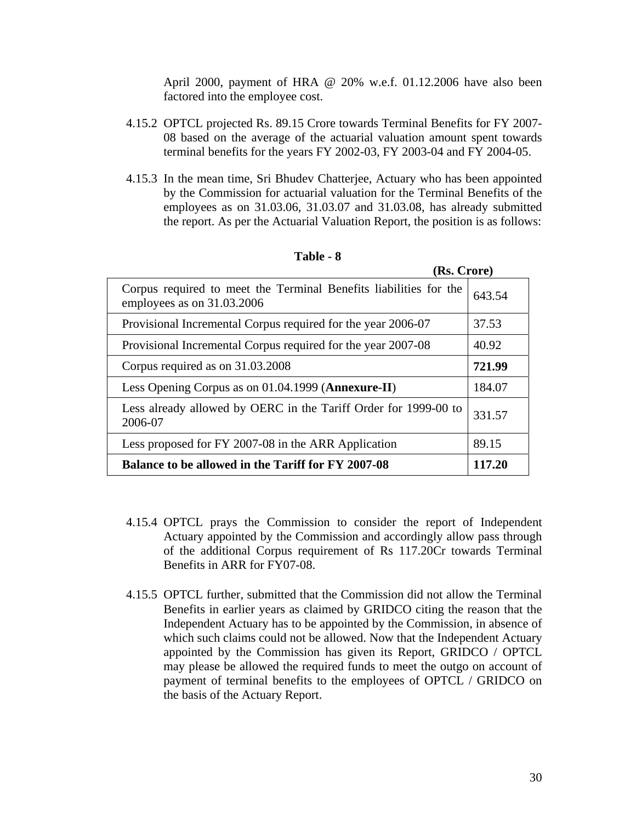April 2000, payment of HRA @ 20% w.e.f. 01.12.2006 have also been factored into the employee cost.

- 4.15.2 OPTCL projected Rs. 89.15 Crore towards Terminal Benefits for FY 2007- 08 based on the average of the actuarial valuation amount spent towards terminal benefits for the years FY 2002-03, FY 2003-04 and FY 2004-05.
- 4.15.3 In the mean time, Sri Bhudev Chatterjee, Actuary who has been appointed by the Commission for actuarial valuation for the Terminal Benefits of the employees as on 31.03.06, 31.03.07 and 31.03.08, has already submitted the report. As per the Actuarial Valuation Report, the position is as follows:

| (Rs. Crore)                                                                                     |        |
|-------------------------------------------------------------------------------------------------|--------|
| Corpus required to meet the Terminal Benefits liabilities for the<br>employees as on 31.03.2006 | 643.54 |
| Provisional Incremental Corpus required for the year 2006-07                                    | 37.53  |
| Provisional Incremental Corpus required for the year 2007-08                                    | 40.92  |
| Corpus required as on 31.03.2008                                                                | 721.99 |
| Less Opening Corpus as on 01.04.1999 (Annexure-II)                                              | 184.07 |
| Less already allowed by OERC in the Tariff Order for 1999-00 to<br>2006-07                      | 331.57 |
| Less proposed for FY 2007-08 in the ARR Application                                             | 89.15  |
| <b>Balance to be allowed in the Tariff for FY 2007-08</b>                                       | 117.20 |

**Table - 8** 

- 4.15.4 OPTCL prays the Commission to consider the report of Independent Actuary appointed by the Commission and accordingly allow pass through of the additional Corpus requirement of Rs 117.20Cr towards Terminal Benefits in ARR for FY07-08.
- 4.15.5 OPTCL further, submitted that the Commission did not allow the Terminal Benefits in earlier years as claimed by GRIDCO citing the reason that the Independent Actuary has to be appointed by the Commission, in absence of which such claims could not be allowed. Now that the Independent Actuary appointed by the Commission has given its Report, GRIDCO / OPTCL may please be allowed the required funds to meet the outgo on account of payment of terminal benefits to the employees of OPTCL / GRIDCO on the basis of the Actuary Report.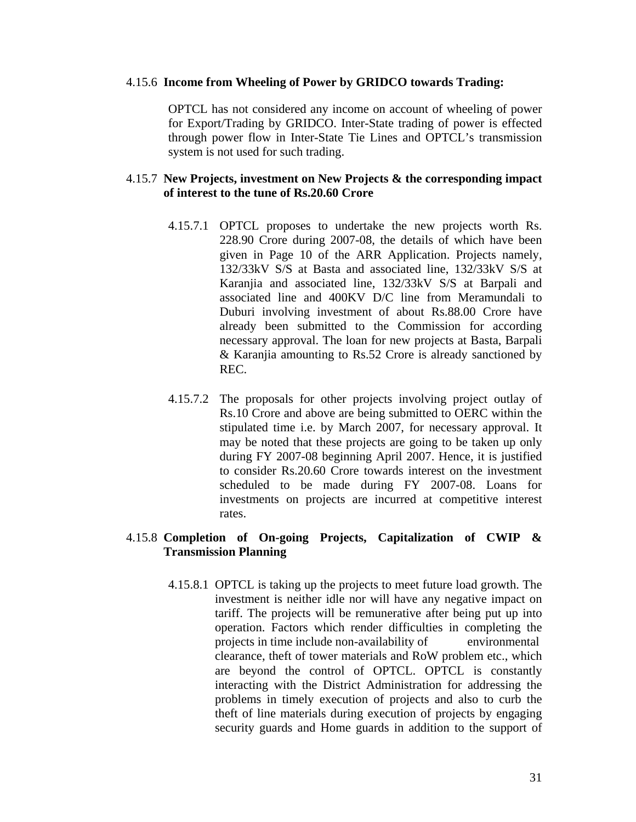#### 4.15.6 **Income from Wheeling of Power by GRIDCO towards Trading:**

OPTCL has not considered any income on account of wheeling of power for Export/Trading by GRIDCO. Inter-State trading of power is effected through power flow in Inter-State Tie Lines and OPTCL's transmission system is not used for such trading.

# 4.15.7 **New Projects, investment on New Projects & the corresponding impact of interest to the tune of Rs.20.60 Crore**

- 4.15.7.1 OPTCL proposes to undertake the new projects worth Rs. 228.90 Crore during 2007-08, the details of which have been given in Page 10 of the ARR Application. Projects namely, 132/33kV S/S at Basta and associated line, 132/33kV S/S at Karanjia and associated line, 132/33kV S/S at Barpali and associated line and 400KV D/C line from Meramundali to Duburi involving investment of about Rs.88.00 Crore have already been submitted to the Commission for according necessary approval. The loan for new projects at Basta, Barpali & Karanjia amounting to Rs.52 Crore is already sanctioned by REC.
- 4.15.7.2 The proposals for other projects involving project outlay of Rs.10 Crore and above are being submitted to OERC within the stipulated time i.e. by March 2007, for necessary approval. It may be noted that these projects are going to be taken up only during FY 2007-08 beginning April 2007. Hence, it is justified to consider Rs.20.60 Crore towards interest on the investment scheduled to be made during FY 2007-08. Loans for investments on projects are incurred at competitive interest rates.

# 4.15.8 **Completion of On-going Projects, Capitalization of CWIP & Transmission Planning**

4.15.8.1 OPTCL is taking up the projects to meet future load growth. The investment is neither idle nor will have any negative impact on tariff. The projects will be remunerative after being put up into operation. Factors which render difficulties in completing the projects in time include non-availability of environmental clearance, theft of tower materials and RoW problem etc., which are beyond the control of OPTCL. OPTCL is constantly interacting with the District Administration for addressing the problems in timely execution of projects and also to curb the theft of line materials during execution of projects by engaging security guards and Home guards in addition to the support of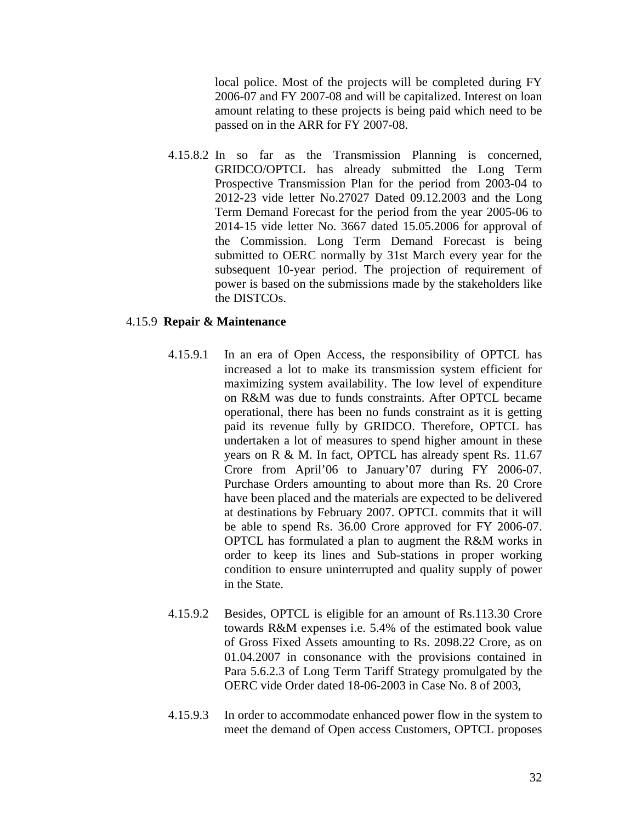local police. Most of the projects will be completed during FY 2006-07 and FY 2007-08 and will be capitalized. Interest on loan amount relating to these projects is being paid which need to be passed on in the ARR for FY 2007-08.

4.15.8.2 In so far as the Transmission Planning is concerned, GRIDCO/OPTCL has already submitted the Long Term Prospective Transmission Plan for the period from 2003-04 to 2012-23 vide letter No.27027 Dated 09.12.2003 and the Long Term Demand Forecast for the period from the year 2005-06 to 2014-15 vide letter No. 3667 dated 15.05.2006 for approval of the Commission. Long Term Demand Forecast is being submitted to OERC normally by 31st March every year for the subsequent 10-year period. The projection of requirement of power is based on the submissions made by the stakeholders like the DISTCOs.

### 4.15.9 **Repair & Maintenance**

- 4.15.9.1 In an era of Open Access, the responsibility of OPTCL has increased a lot to make its transmission system efficient for maximizing system availability. The low level of expenditure on R&M was due to funds constraints. After OPTCL became operational, there has been no funds constraint as it is getting paid its revenue fully by GRIDCO. Therefore, OPTCL has undertaken a lot of measures to spend higher amount in these years on R & M. In fact, OPTCL has already spent Rs. 11.67 Crore from April'06 to January'07 during FY 2006-07. Purchase Orders amounting to about more than Rs. 20 Crore have been placed and the materials are expected to be delivered at destinations by February 2007. OPTCL commits that it will be able to spend Rs. 36.00 Crore approved for FY 2006-07. OPTCL has formulated a plan to augment the R&M works in order to keep its lines and Sub-stations in proper working condition to ensure uninterrupted and quality supply of power in the State.
- 4.15.9.2 Besides, OPTCL is eligible for an amount of Rs.113.30 Crore towards R&M expenses i.e. 5.4% of the estimated book value of Gross Fixed Assets amounting to Rs. 2098.22 Crore, as on 01.04.2007 in consonance with the provisions contained in Para 5.6.2.3 of Long Term Tariff Strategy promulgated by the OERC vide Order dated 18-06-2003 in Case No. 8 of 2003,
- 4.15.9.3 In order to accommodate enhanced power flow in the system to meet the demand of Open access Customers, OPTCL proposes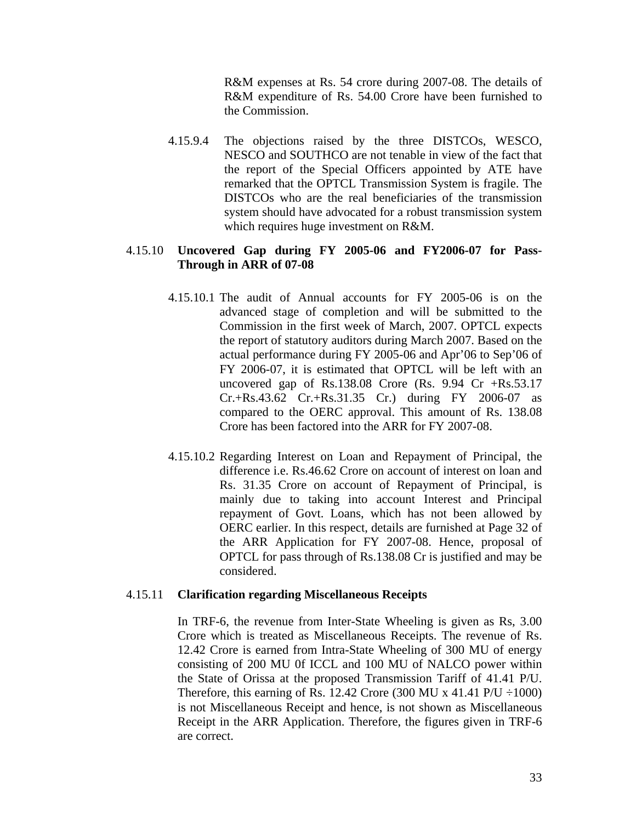R&M expenses at Rs. 54 crore during 2007-08. The details of R&M expenditure of Rs. 54.00 Crore have been furnished to the Commission.

4.15.9.4 The objections raised by the three DISTCOs, WESCO, NESCO and SOUTHCO are not tenable in view of the fact that the report of the Special Officers appointed by ATE have remarked that the OPTCL Transmission System is fragile. The DISTCOs who are the real beneficiaries of the transmission system should have advocated for a robust transmission system which requires huge investment on R&M.

### 4.15.10 **Uncovered Gap during FY 2005-06 and FY2006-07 for Pass-Through in ARR of 07-08**

- 4.15.10.1 The audit of Annual accounts for FY 2005-06 is on the advanced stage of completion and will be submitted to the Commission in the first week of March, 2007. OPTCL expects the report of statutory auditors during March 2007. Based on the actual performance during FY 2005-06 and Apr'06 to Sep'06 of FY 2006-07, it is estimated that OPTCL will be left with an uncovered gap of Rs.138.08 Crore (Rs.  $9.94$  Cr  $+$ Rs.53.17 Cr.+Rs.43.62 Cr.+Rs.31.35 Cr.) during FY 2006-07 as compared to the OERC approval. This amount of Rs. 138.08 Crore has been factored into the ARR for FY 2007-08.
- 4.15.10.2 Regarding Interest on Loan and Repayment of Principal, the difference i.e. Rs.46.62 Crore on account of interest on loan and Rs. 31.35 Crore on account of Repayment of Principal, is mainly due to taking into account Interest and Principal repayment of Govt. Loans, which has not been allowed by OERC earlier. In this respect, details are furnished at Page 32 of the ARR Application for FY 2007-08. Hence, proposal of OPTCL for pass through of Rs.138.08 Cr is justified and may be considered.

#### 4.15.11 **Clarification regarding Miscellaneous Receipts**

In TRF-6, the revenue from Inter-State Wheeling is given as Rs, 3.00 Crore which is treated as Miscellaneous Receipts. The revenue of Rs. 12.42 Crore is earned from Intra-State Wheeling of 300 MU of energy consisting of 200 MU 0f ICCL and 100 MU of NALCO power within the State of Orissa at the proposed Transmission Tariff of 41.41 P/U. Therefore, this earning of Rs. 12.42 Crore (300 MU x 41.41  $P/U \div 1000$ ) is not Miscellaneous Receipt and hence, is not shown as Miscellaneous Receipt in the ARR Application. Therefore, the figures given in TRF-6 are correct.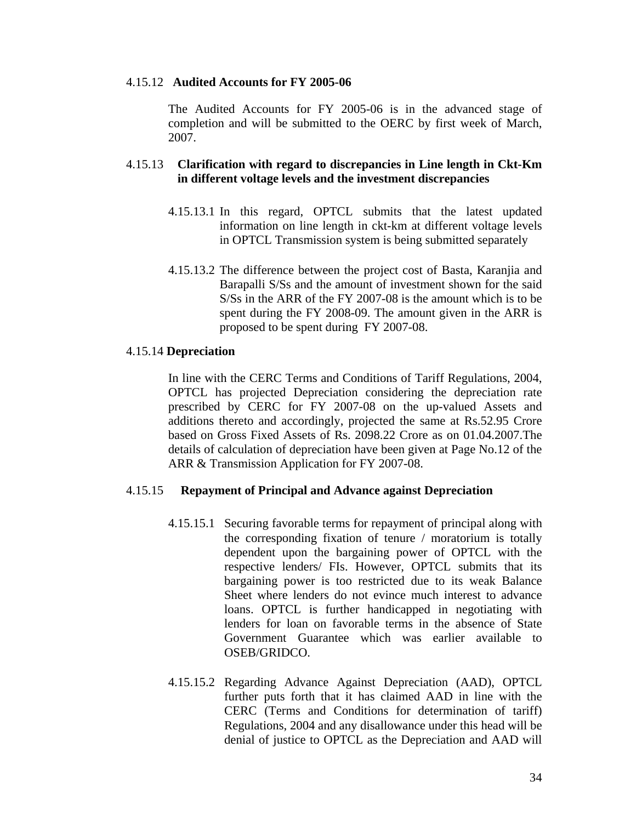#### 4.15.12 **Audited Accounts for FY 2005-06**

The Audited Accounts for FY 2005-06 is in the advanced stage of completion and will be submitted to the OERC by first week of March, 2007.

# 4.15.13 **Clarification with regard to discrepancies in Line length in Ckt-Km in different voltage levels and the investment discrepancies**

- 4.15.13.1 In this regard, OPTCL submits that the latest updated information on line length in ckt-km at different voltage levels in OPTCL Transmission system is being submitted separately
- 4.15.13.2 The difference between the project cost of Basta, Karanjia and Barapalli S/Ss and the amount of investment shown for the said S/Ss in the ARR of the FY 2007-08 is the amount which is to be spent during the FY 2008-09. The amount given in the ARR is proposed to be spent during FY 2007-08.

#### 4.15.14 **Depreciation**

In line with the CERC Terms and Conditions of Tariff Regulations, 2004, OPTCL has projected Depreciation considering the depreciation rate prescribed by CERC for FY 2007-08 on the up-valued Assets and additions thereto and accordingly, projected the same at Rs.52.95 Crore based on Gross Fixed Assets of Rs. 2098.22 Crore as on 01.04.2007.The details of calculation of depreciation have been given at Page No.12 of the ARR & Transmission Application for FY 2007-08.

#### 4.15.15 **Repayment of Principal and Advance against Depreciation**

- 4.15.15.1 Securing favorable terms for repayment of principal along with the corresponding fixation of tenure / moratorium is totally dependent upon the bargaining power of OPTCL with the respective lenders/ FIs. However, OPTCL submits that its bargaining power is too restricted due to its weak Balance Sheet where lenders do not evince much interest to advance loans. OPTCL is further handicapped in negotiating with lenders for loan on favorable terms in the absence of State Government Guarantee which was earlier available to OSEB/GRIDCO.
- 4.15.15.2 Regarding Advance Against Depreciation (AAD), OPTCL further puts forth that it has claimed AAD in line with the CERC (Terms and Conditions for determination of tariff) Regulations, 2004 and any disallowance under this head will be denial of justice to OPTCL as the Depreciation and AAD will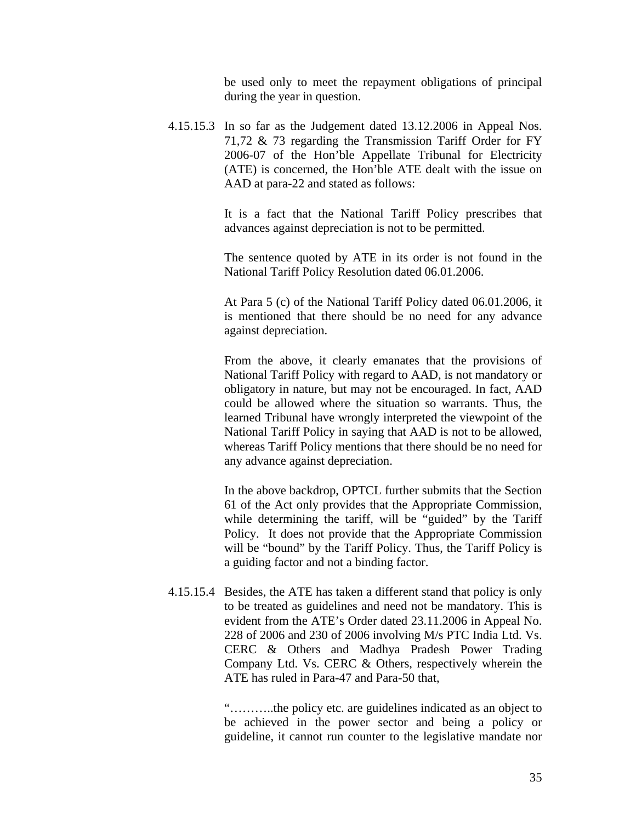be used only to meet the repayment obligations of principal during the year in question.

4.15.15.3 In so far as the Judgement dated 13.12.2006 in Appeal Nos. 71,72 & 73 regarding the Transmission Tariff Order for FY 2006-07 of the Hon'ble Appellate Tribunal for Electricity (ATE) is concerned, the Hon'ble ATE dealt with the issue on AAD at para-22 and stated as follows:

> It is a fact that the National Tariff Policy prescribes that advances against depreciation is not to be permitted.

> The sentence quoted by ATE in its order is not found in the National Tariff Policy Resolution dated 06.01.2006.

> At Para 5 (c) of the National Tariff Policy dated 06.01.2006, it is mentioned that there should be no need for any advance against depreciation.

> From the above, it clearly emanates that the provisions of National Tariff Policy with regard to AAD, is not mandatory or obligatory in nature, but may not be encouraged. In fact, AAD could be allowed where the situation so warrants. Thus, the learned Tribunal have wrongly interpreted the viewpoint of the National Tariff Policy in saying that AAD is not to be allowed, whereas Tariff Policy mentions that there should be no need for any advance against depreciation.

> In the above backdrop, OPTCL further submits that the Section 61 of the Act only provides that the Appropriate Commission, while determining the tariff, will be "guided" by the Tariff Policy. It does not provide that the Appropriate Commission will be "bound" by the Tariff Policy. Thus, the Tariff Policy is a guiding factor and not a binding factor.

4.15.15.4 Besides, the ATE has taken a different stand that policy is only to be treated as guidelines and need not be mandatory. This is evident from the ATE's Order dated 23.11.2006 in Appeal No. 228 of 2006 and 230 of 2006 involving M/s PTC India Ltd. Vs. CERC & Others and Madhya Pradesh Power Trading Company Ltd. Vs. CERC & Others, respectively wherein the ATE has ruled in Para-47 and Para-50 that,

> "………..the policy etc. are guidelines indicated as an object to be achieved in the power sector and being a policy or guideline, it cannot run counter to the legislative mandate nor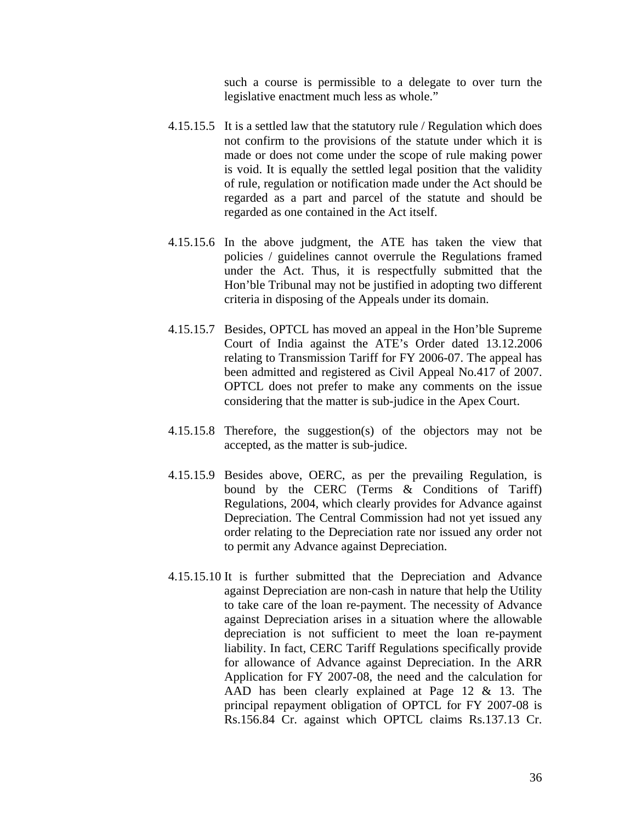such a course is permissible to a delegate to over turn the legislative enactment much less as whole."

- 4.15.15.5 It is a settled law that the statutory rule / Regulation which does not confirm to the provisions of the statute under which it is made or does not come under the scope of rule making power is void. It is equally the settled legal position that the validity of rule, regulation or notification made under the Act should be regarded as a part and parcel of the statute and should be regarded as one contained in the Act itself.
- 4.15.15.6 In the above judgment, the ATE has taken the view that policies / guidelines cannot overrule the Regulations framed under the Act. Thus, it is respectfully submitted that the Hon'ble Tribunal may not be justified in adopting two different criteria in disposing of the Appeals under its domain.
- 4.15.15.7 Besides, OPTCL has moved an appeal in the Hon'ble Supreme Court of India against the ATE's Order dated 13.12.2006 relating to Transmission Tariff for FY 2006-07. The appeal has been admitted and registered as Civil Appeal No.417 of 2007. OPTCL does not prefer to make any comments on the issue considering that the matter is sub-judice in the Apex Court.
- 4.15.15.8 Therefore, the suggestion(s) of the objectors may not be accepted, as the matter is sub-judice.
- 4.15.15.9 Besides above, OERC, as per the prevailing Regulation, is bound by the CERC (Terms & Conditions of Tariff) Regulations, 2004, which clearly provides for Advance against Depreciation. The Central Commission had not yet issued any order relating to the Depreciation rate nor issued any order not to permit any Advance against Depreciation.
- 4.15.15.10 It is further submitted that the Depreciation and Advance against Depreciation are non-cash in nature that help the Utility to take care of the loan re-payment. The necessity of Advance against Depreciation arises in a situation where the allowable depreciation is not sufficient to meet the loan re-payment liability. In fact, CERC Tariff Regulations specifically provide for allowance of Advance against Depreciation. In the ARR Application for FY 2007-08, the need and the calculation for AAD has been clearly explained at Page 12 & 13. The principal repayment obligation of OPTCL for FY 2007-08 is Rs.156.84 Cr. against which OPTCL claims Rs.137.13 Cr.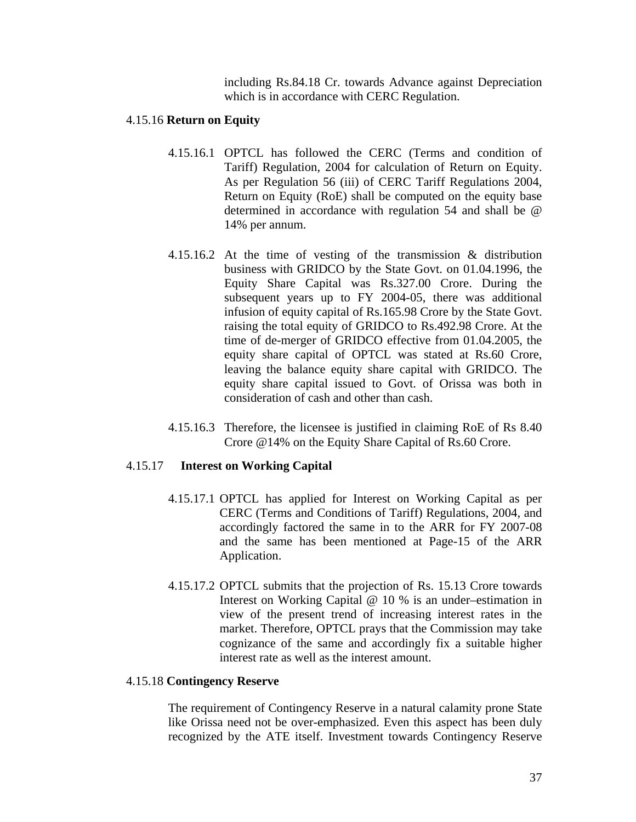including Rs.84.18 Cr. towards Advance against Depreciation which is in accordance with CERC Regulation.

# 4.15.16 **Return on Equity**

- 4.15.16.1 OPTCL has followed the CERC (Terms and condition of Tariff) Regulation, 2004 for calculation of Return on Equity. As per Regulation 56 (iii) of CERC Tariff Regulations 2004, Return on Equity (RoE) shall be computed on the equity base determined in accordance with regulation 54 and shall be @ 14% per annum.
- 4.15.16.2 At the time of vesting of the transmission & distribution business with GRIDCO by the State Govt. on 01.04.1996, the Equity Share Capital was Rs.327.00 Crore. During the subsequent years up to FY 2004-05, there was additional infusion of equity capital of Rs.165.98 Crore by the State Govt. raising the total equity of GRIDCO to Rs.492.98 Crore. At the time of de-merger of GRIDCO effective from 01.04.2005, the equity share capital of OPTCL was stated at Rs.60 Crore, leaving the balance equity share capital with GRIDCO. The equity share capital issued to Govt. of Orissa was both in consideration of cash and other than cash.
- 4.15.16.3 Therefore, the licensee is justified in claiming RoE of Rs 8.40 Crore @14% on the Equity Share Capital of Rs.60 Crore.

# 4.15.17 **Interest on Working Capital**

- 4.15.17.1 OPTCL has applied for Interest on Working Capital as per CERC (Terms and Conditions of Tariff) Regulations, 2004, and accordingly factored the same in to the ARR for FY 2007-08 and the same has been mentioned at Page-15 of the ARR Application.
- 4.15.17.2 OPTCL submits that the projection of Rs. 15.13 Crore towards Interest on Working Capital @ 10 % is an under–estimation in view of the present trend of increasing interest rates in the market. Therefore, OPTCL prays that the Commission may take cognizance of the same and accordingly fix a suitable higher interest rate as well as the interest amount.

# 4.15.18 **Contingency Reserve**

The requirement of Contingency Reserve in a natural calamity prone State like Orissa need not be over-emphasized. Even this aspect has been duly recognized by the ATE itself. Investment towards Contingency Reserve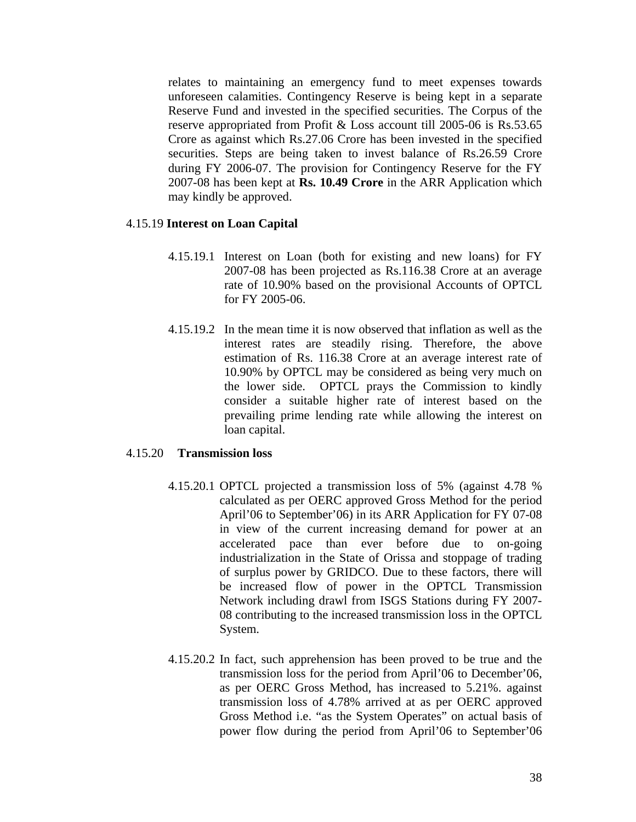relates to maintaining an emergency fund to meet expenses towards unforeseen calamities. Contingency Reserve is being kept in a separate Reserve Fund and invested in the specified securities. The Corpus of the reserve appropriated from Profit & Loss account till 2005-06 is Rs.53.65 Crore as against which Rs.27.06 Crore has been invested in the specified securities. Steps are being taken to invest balance of Rs.26.59 Crore during FY 2006-07. The provision for Contingency Reserve for the FY 2007-08 has been kept at **Rs. 10.49 Crore** in the ARR Application which may kindly be approved.

### 4.15.19 **Interest on Loan Capital**

- 4.15.19.1 Interest on Loan (both for existing and new loans) for FY 2007-08 has been projected as Rs.116.38 Crore at an average rate of 10.90% based on the provisional Accounts of OPTCL for FY 2005-06.
- 4.15.19.2 In the mean time it is now observed that inflation as well as the interest rates are steadily rising. Therefore, the above estimation of Rs. 116.38 Crore at an average interest rate of 10.90% by OPTCL may be considered as being very much on the lower side. OPTCL prays the Commission to kindly consider a suitable higher rate of interest based on the prevailing prime lending rate while allowing the interest on loan capital.

#### 4.15.20 **Transmission loss**

- 4.15.20.1 OPTCL projected a transmission loss of 5% (against 4.78 % calculated as per OERC approved Gross Method for the period April'06 to September'06) in its ARR Application for FY 07-08 in view of the current increasing demand for power at an accelerated pace than ever before due to on-going industrialization in the State of Orissa and stoppage of trading of surplus power by GRIDCO. Due to these factors, there will be increased flow of power in the OPTCL Transmission Network including drawl from ISGS Stations during FY 2007- 08 contributing to the increased transmission loss in the OPTCL System.
- 4.15.20.2 In fact, such apprehension has been proved to be true and the transmission loss for the period from April'06 to December'06, as per OERC Gross Method, has increased to 5.21%. against transmission loss of 4.78% arrived at as per OERC approved Gross Method i.e. "as the System Operates" on actual basis of power flow during the period from April'06 to September'06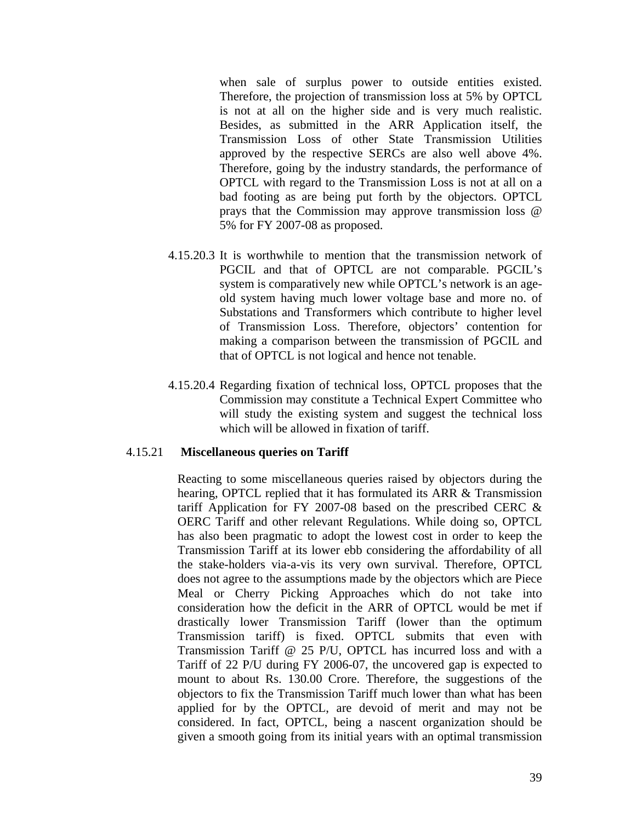when sale of surplus power to outside entities existed. Therefore, the projection of transmission loss at 5% by OPTCL is not at all on the higher side and is very much realistic. Besides, as submitted in the ARR Application itself, the Transmission Loss of other State Transmission Utilities approved by the respective SERCs are also well above 4%. Therefore, going by the industry standards, the performance of OPTCL with regard to the Transmission Loss is not at all on a bad footing as are being put forth by the objectors. OPTCL prays that the Commission may approve transmission loss @ 5% for FY 2007-08 as proposed.

- 4.15.20.3 It is worthwhile to mention that the transmission network of PGCIL and that of OPTCL are not comparable. PGCIL's system is comparatively new while OPTCL's network is an ageold system having much lower voltage base and more no. of Substations and Transformers which contribute to higher level of Transmission Loss. Therefore, objectors' contention for making a comparison between the transmission of PGCIL and that of OPTCL is not logical and hence not tenable.
- 4.15.20.4 Regarding fixation of technical loss, OPTCL proposes that the Commission may constitute a Technical Expert Committee who will study the existing system and suggest the technical loss which will be allowed in fixation of tariff.

#### 4.15.21 **Miscellaneous queries on Tariff**

Reacting to some miscellaneous queries raised by objectors during the hearing, OPTCL replied that it has formulated its ARR & Transmission tariff Application for FY 2007-08 based on the prescribed CERC & OERC Tariff and other relevant Regulations. While doing so, OPTCL has also been pragmatic to adopt the lowest cost in order to keep the Transmission Tariff at its lower ebb considering the affordability of all the stake-holders via-a-vis its very own survival. Therefore, OPTCL does not agree to the assumptions made by the objectors which are Piece Meal or Cherry Picking Approaches which do not take into consideration how the deficit in the ARR of OPTCL would be met if drastically lower Transmission Tariff (lower than the optimum Transmission tariff) is fixed. OPTCL submits that even with Transmission Tariff @ 25 P/U, OPTCL has incurred loss and with a Tariff of 22 P/U during FY 2006-07, the uncovered gap is expected to mount to about Rs. 130.00 Crore. Therefore, the suggestions of the objectors to fix the Transmission Tariff much lower than what has been applied for by the OPTCL, are devoid of merit and may not be considered. In fact, OPTCL, being a nascent organization should be given a smooth going from its initial years with an optimal transmission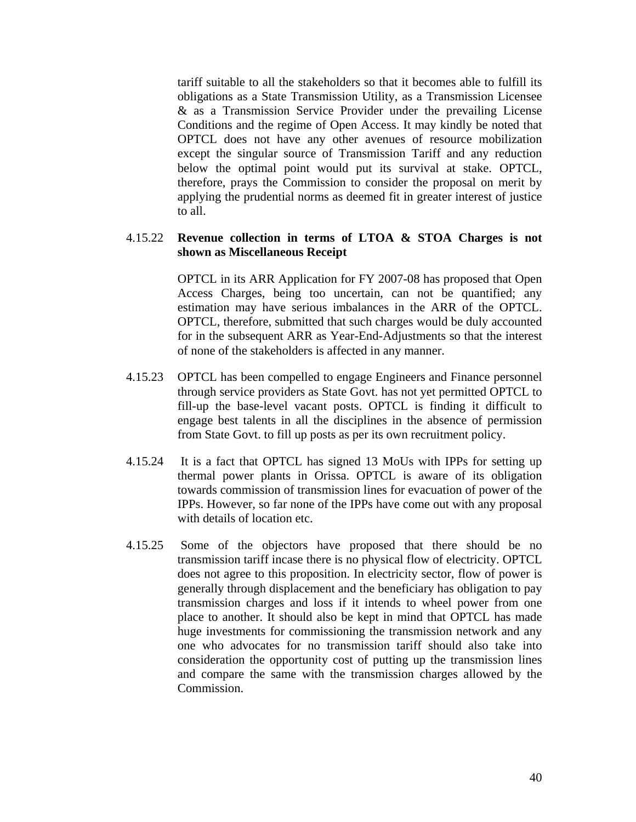tariff suitable to all the stakeholders so that it becomes able to fulfill its obligations as a State Transmission Utility, as a Transmission Licensee & as a Transmission Service Provider under the prevailing License Conditions and the regime of Open Access. It may kindly be noted that OPTCL does not have any other avenues of resource mobilization except the singular source of Transmission Tariff and any reduction below the optimal point would put its survival at stake. OPTCL, therefore, prays the Commission to consider the proposal on merit by applying the prudential norms as deemed fit in greater interest of justice to all.

# 4.15.22 **Revenue collection in terms of LTOA & STOA Charges is not shown as Miscellaneous Receipt**

OPTCL in its ARR Application for FY 2007-08 has proposed that Open Access Charges, being too uncertain, can not be quantified; any estimation may have serious imbalances in the ARR of the OPTCL. OPTCL, therefore, submitted that such charges would be duly accounted for in the subsequent ARR as Year-End-Adjustments so that the interest of none of the stakeholders is affected in any manner.

- 4.15.23 OPTCL has been compelled to engage Engineers and Finance personnel through service providers as State Govt. has not yet permitted OPTCL to fill-up the base-level vacant posts. OPTCL is finding it difficult to engage best talents in all the disciplines in the absence of permission from State Govt. to fill up posts as per its own recruitment policy.
- 4.15.24 It is a fact that OPTCL has signed 13 MoUs with IPPs for setting up thermal power plants in Orissa. OPTCL is aware of its obligation towards commission of transmission lines for evacuation of power of the IPPs. However, so far none of the IPPs have come out with any proposal with details of location etc.
- 4.15.25 Some of the objectors have proposed that there should be no transmission tariff incase there is no physical flow of electricity. OPTCL does not agree to this proposition. In electricity sector, flow of power is generally through displacement and the beneficiary has obligation to pay transmission charges and loss if it intends to wheel power from one place to another. It should also be kept in mind that OPTCL has made huge investments for commissioning the transmission network and any one who advocates for no transmission tariff should also take into consideration the opportunity cost of putting up the transmission lines and compare the same with the transmission charges allowed by the Commission.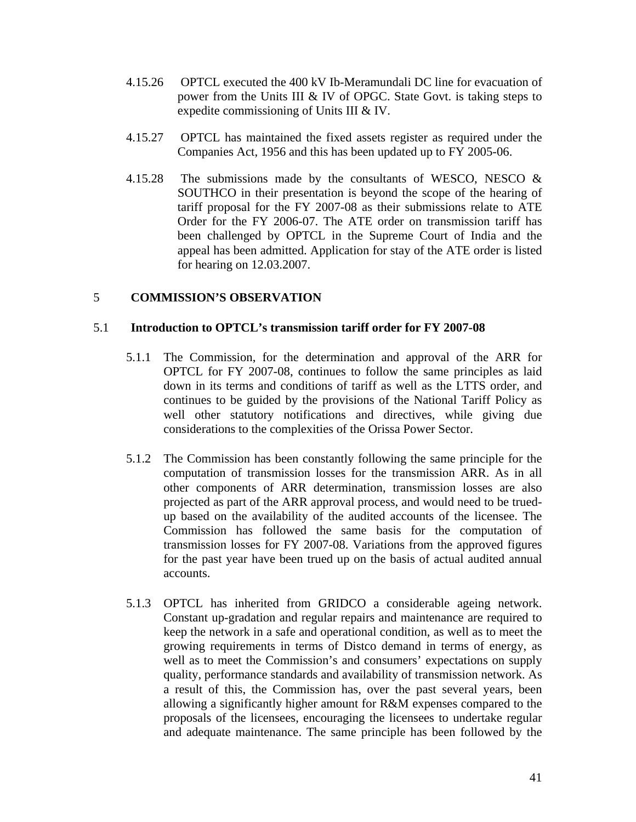- 4.15.26 OPTCL executed the 400 kV Ib-Meramundali DC line for evacuation of power from the Units III & IV of OPGC. State Govt. is taking steps to expedite commissioning of Units III & IV.
- 4.15.27 OPTCL has maintained the fixed assets register as required under the Companies Act, 1956 and this has been updated up to FY 2005-06.
- 4.15.28 The submissions made by the consultants of WESCO, NESCO & SOUTHCO in their presentation is beyond the scope of the hearing of tariff proposal for the FY 2007-08 as their submissions relate to ATE Order for the FY 2006-07. The ATE order on transmission tariff has been challenged by OPTCL in the Supreme Court of India and the appeal has been admitted. Application for stay of the ATE order is listed for hearing on 12.03.2007.

# 5 **COMMISSION'S OBSERVATION**

# 5.1 **Introduction to OPTCL's transmission tariff order for FY 2007-08**

- 5.1.1 The Commission, for the determination and approval of the ARR for OPTCL for FY 2007-08, continues to follow the same principles as laid down in its terms and conditions of tariff as well as the LTTS order, and continues to be guided by the provisions of the National Tariff Policy as well other statutory notifications and directives, while giving due considerations to the complexities of the Orissa Power Sector.
- 5.1.2 The Commission has been constantly following the same principle for the computation of transmission losses for the transmission ARR. As in all other components of ARR determination, transmission losses are also projected as part of the ARR approval process, and would need to be truedup based on the availability of the audited accounts of the licensee. The Commission has followed the same basis for the computation of transmission losses for FY 2007-08. Variations from the approved figures for the past year have been trued up on the basis of actual audited annual accounts.
- 5.1.3 OPTCL has inherited from GRIDCO a considerable ageing network. Constant up-gradation and regular repairs and maintenance are required to keep the network in a safe and operational condition, as well as to meet the growing requirements in terms of Distco demand in terms of energy, as well as to meet the Commission's and consumers' expectations on supply quality, performance standards and availability of transmission network. As a result of this, the Commission has, over the past several years, been allowing a significantly higher amount for R&M expenses compared to the proposals of the licensees, encouraging the licensees to undertake regular and adequate maintenance. The same principle has been followed by the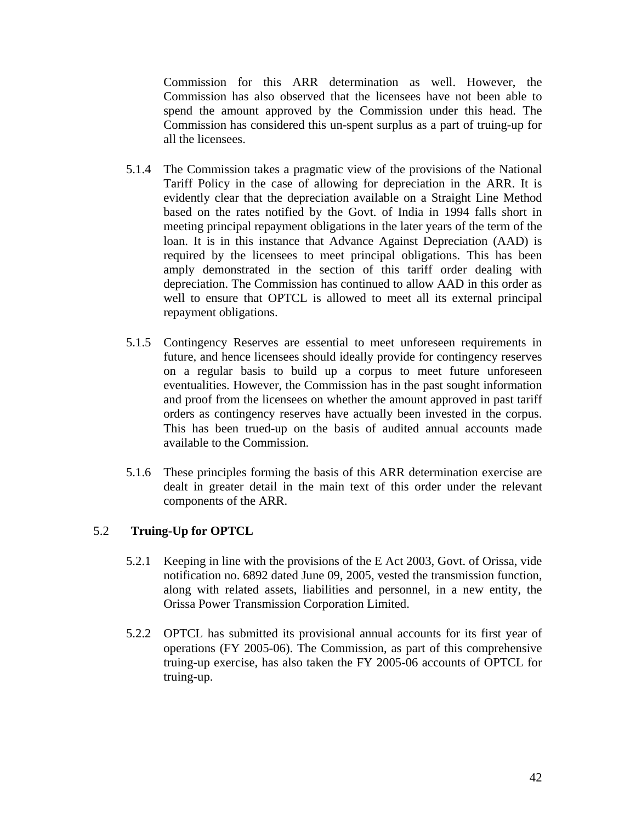Commission for this ARR determination as well. However, the Commission has also observed that the licensees have not been able to spend the amount approved by the Commission under this head. The Commission has considered this un-spent surplus as a part of truing-up for all the licensees.

- 5.1.4 The Commission takes a pragmatic view of the provisions of the National Tariff Policy in the case of allowing for depreciation in the ARR. It is evidently clear that the depreciation available on a Straight Line Method based on the rates notified by the Govt. of India in 1994 falls short in meeting principal repayment obligations in the later years of the term of the loan. It is in this instance that Advance Against Depreciation (AAD) is required by the licensees to meet principal obligations. This has been amply demonstrated in the section of this tariff order dealing with depreciation. The Commission has continued to allow AAD in this order as well to ensure that OPTCL is allowed to meet all its external principal repayment obligations.
- 5.1.5 Contingency Reserves are essential to meet unforeseen requirements in future, and hence licensees should ideally provide for contingency reserves on a regular basis to build up a corpus to meet future unforeseen eventualities. However, the Commission has in the past sought information and proof from the licensees on whether the amount approved in past tariff orders as contingency reserves have actually been invested in the corpus. This has been trued-up on the basis of audited annual accounts made available to the Commission.
- 5.1.6 These principles forming the basis of this ARR determination exercise are dealt in greater detail in the main text of this order under the relevant components of the ARR.

# 5.2 **Truing-Up for OPTCL**

- 5.2.1 Keeping in line with the provisions of the E Act 2003, Govt. of Orissa, vide notification no. 6892 dated June 09, 2005, vested the transmission function, along with related assets, liabilities and personnel, in a new entity, the Orissa Power Transmission Corporation Limited.
- 5.2.2 OPTCL has submitted its provisional annual accounts for its first year of operations (FY 2005-06). The Commission, as part of this comprehensive truing-up exercise, has also taken the FY 2005-06 accounts of OPTCL for truing-up.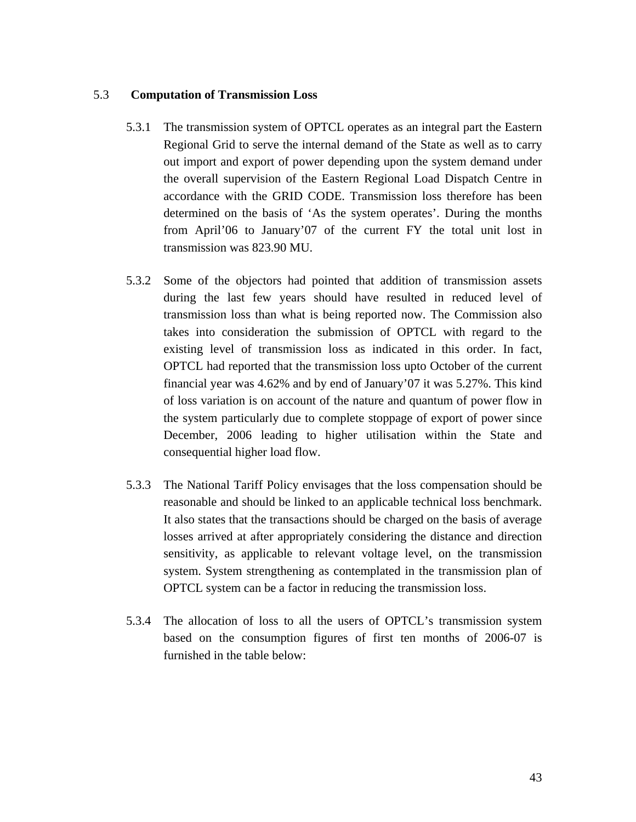# 5.3 **Computation of Transmission Loss**

- 5.3.1 The transmission system of OPTCL operates as an integral part the Eastern Regional Grid to serve the internal demand of the State as well as to carry out import and export of power depending upon the system demand under the overall supervision of the Eastern Regional Load Dispatch Centre in accordance with the GRID CODE. Transmission loss therefore has been determined on the basis of 'As the system operates'. During the months from April'06 to January'07 of the current FY the total unit lost in transmission was 823.90 MU.
- 5.3.2 Some of the objectors had pointed that addition of transmission assets during the last few years should have resulted in reduced level of transmission loss than what is being reported now. The Commission also takes into consideration the submission of OPTCL with regard to the existing level of transmission loss as indicated in this order. In fact, OPTCL had reported that the transmission loss upto October of the current financial year was 4.62% and by end of January'07 it was 5.27%. This kind of loss variation is on account of the nature and quantum of power flow in the system particularly due to complete stoppage of export of power since December, 2006 leading to higher utilisation within the State and consequential higher load flow.
- 5.3.3 The National Tariff Policy envisages that the loss compensation should be reasonable and should be linked to an applicable technical loss benchmark. It also states that the transactions should be charged on the basis of average losses arrived at after appropriately considering the distance and direction sensitivity, as applicable to relevant voltage level, on the transmission system. System strengthening as contemplated in the transmission plan of OPTCL system can be a factor in reducing the transmission loss.
- 5.3.4 The allocation of loss to all the users of OPTCL's transmission system based on the consumption figures of first ten months of 2006-07 is furnished in the table below: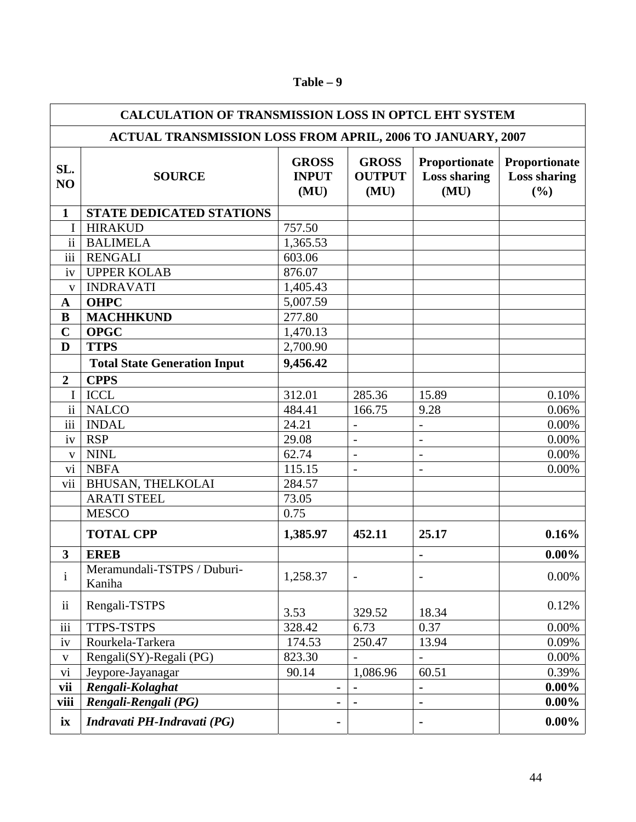| <b>CALCULATION OF TRANSMISSION LOSS IN OPTCL EHT SYSTEM</b>       |                                       |                                      |                                       |                                              |                                             |  |  |  |  |
|-------------------------------------------------------------------|---------------------------------------|--------------------------------------|---------------------------------------|----------------------------------------------|---------------------------------------------|--|--|--|--|
| <b>ACTUAL TRANSMISSION LOSS FROM APRIL, 2006 TO JANUARY, 2007</b> |                                       |                                      |                                       |                                              |                                             |  |  |  |  |
| SL.<br>NO                                                         | <b>SOURCE</b>                         | <b>GROSS</b><br><b>INPUT</b><br>(MU) | <b>GROSS</b><br><b>OUTPUT</b><br>(MU) | Proportionate<br><b>Loss sharing</b><br>(MU) | Proportionate<br><b>Loss sharing</b><br>(%) |  |  |  |  |
| 1                                                                 | <b>STATE DEDICATED STATIONS</b>       |                                      |                                       |                                              |                                             |  |  |  |  |
| I                                                                 | <b>HIRAKUD</b>                        | 757.50                               |                                       |                                              |                                             |  |  |  |  |
| $\mathbf{ii}$                                                     | <b>BALIMELA</b>                       | 1,365.53                             |                                       |                                              |                                             |  |  |  |  |
| $\overline{iii}$                                                  | <b>RENGALI</b>                        | 603.06                               |                                       |                                              |                                             |  |  |  |  |
| iv                                                                | <b>UPPER KOLAB</b>                    | 876.07                               |                                       |                                              |                                             |  |  |  |  |
| $\mathbf{V}$                                                      | <b>INDRAVATI</b>                      | 1,405.43                             |                                       |                                              |                                             |  |  |  |  |
| $\mathbf A$                                                       | <b>OHPC</b>                           | 5,007.59                             |                                       |                                              |                                             |  |  |  |  |
| ${\bf B}$                                                         | <b>MACHHKUND</b>                      | 277.80                               |                                       |                                              |                                             |  |  |  |  |
| $\mathbf C$                                                       | <b>OPGC</b>                           | 1,470.13                             |                                       |                                              |                                             |  |  |  |  |
| D                                                                 | <b>TTPS</b>                           | 2,700.90                             |                                       |                                              |                                             |  |  |  |  |
|                                                                   | <b>Total State Generation Input</b>   | 9,456.42                             |                                       |                                              |                                             |  |  |  |  |
| $\boldsymbol{2}$                                                  | <b>CPPS</b>                           |                                      |                                       |                                              |                                             |  |  |  |  |
| I                                                                 | <b>ICCL</b>                           | 312.01                               | 285.36                                | 15.89                                        | 0.10%                                       |  |  |  |  |
| $\overline{ii}$                                                   | <b>NALCO</b>                          | 484.41                               | 166.75                                | 9.28                                         | 0.06%                                       |  |  |  |  |
| $\overline{iii}$                                                  | <b>INDAL</b>                          | 24.21                                |                                       |                                              | 0.00%                                       |  |  |  |  |
| iv                                                                | <b>RSP</b>                            | 29.08                                | $\overline{\phantom{a}}$              | $\overline{\phantom{a}}$                     | 0.00%                                       |  |  |  |  |
| $\mathbf V$                                                       | <b>NINL</b>                           | 62.74                                | $\overline{\phantom{a}}$              | $\qquad \qquad -$                            | 0.00%                                       |  |  |  |  |
| vi                                                                | <b>NBFA</b>                           | 115.15                               | $\overline{\phantom{a}}$              |                                              | 0.00%                                       |  |  |  |  |
| vii                                                               | <b>BHUSAN, THELKOLAI</b>              | 284.57                               |                                       |                                              |                                             |  |  |  |  |
|                                                                   | <b>ARATI STEEL</b>                    | 73.05                                |                                       |                                              |                                             |  |  |  |  |
|                                                                   | <b>MESCO</b>                          | 0.75                                 |                                       |                                              |                                             |  |  |  |  |
|                                                                   | <b>TOTAL CPP</b>                      | 1,385.97                             | 452.11                                | 25.17                                        | 0.16%                                       |  |  |  |  |
| $\overline{\mathbf{3}}$                                           | <b>EREB</b>                           |                                      |                                       | $\blacksquare$                               | $0.00\%$                                    |  |  |  |  |
| $\mathbf{i}$                                                      | Meramundali-TSTPS / Duburi-<br>Kaniha | 1,258.37                             | $\overline{\phantom{a}}$              |                                              | $0.00\%$                                    |  |  |  |  |
| ii                                                                | Rengali-TSTPS                         | 3.53                                 | 329.52                                | 18.34                                        | 0.12%                                       |  |  |  |  |
| $\overline{\text{iii}}$                                           | <b>TTPS-TSTPS</b>                     | 328.42                               | 6.73                                  | 0.37                                         | 0.00%                                       |  |  |  |  |
| iv                                                                | Rourkela-Tarkera                      | 174.53                               | 250.47                                | 13.94                                        | 0.09%                                       |  |  |  |  |
| $\mathbf{V}$                                                      | Rengali(SY)-Regali (PG)               | 823.30                               |                                       |                                              | 0.00%                                       |  |  |  |  |
| vi                                                                | Jeypore-Jayanagar                     | 90.14                                | 1,086.96                              | 60.51                                        | 0.39%                                       |  |  |  |  |
| vii                                                               | Rengali-Kolaghat                      | $\blacksquare$                       | $\blacksquare$                        |                                              | $0.00\%$                                    |  |  |  |  |
| viii                                                              | Rengali-Rengali (PG)                  |                                      | $\blacksquare$                        | $\blacksquare$                               | $0.00\%$                                    |  |  |  |  |
| ix                                                                | Indravati PH-Indravati (PG)           |                                      |                                       |                                              | $0.00\%$                                    |  |  |  |  |

# **Table – 9**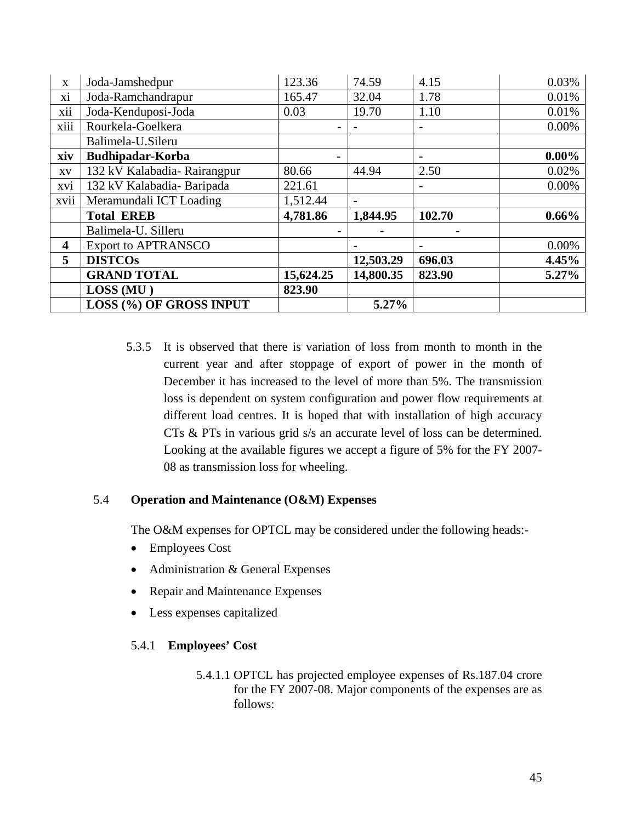| $\mathbf X$                 | Joda-Jamshedpur             | 123.36         | 74.59     | 4.15   | 0.03%    |
|-----------------------------|-----------------------------|----------------|-----------|--------|----------|
| xi                          | Joda-Ramchandrapur          | 165.47         | 32.04     | 1.78   | 0.01%    |
| $\ddot{\phantom{0}}$<br>X11 | Joda-Kenduposi-Joda         | 0.03           | 19.70     | 1.10   | 0.01%    |
| xiii                        | Rourkela-Goelkera           |                |           |        | 0.00%    |
|                             | Balimela-U.Sileru           |                |           |        |          |
| xiv                         | Budhipadar-Korba            | $\blacksquare$ |           |        | $0.00\%$ |
| XV                          | 132 kV Kalabadia-Rairangpur | 80.66          | 44.94     | 2.50   | 0.02%    |
| xvi                         | 132 kV Kalabadia-Baripada   | 221.61         |           |        | 0.00%    |
| xvii                        | Meramundali ICT Loading     | 1,512.44       |           |        |          |
|                             | <b>Total EREB</b>           | 4,781.86       | 1,844.95  | 102.70 | $0.66\%$ |
|                             | Balimela-U. Silleru         |                |           |        |          |
| $\overline{\mathbf{4}}$     | <b>Export to APTRANSCO</b>  |                |           |        | 0.00%    |
| 5                           | <b>DISTCOs</b>              |                | 12,503.29 | 696.03 | 4.45%    |
|                             | <b>GRAND TOTAL</b>          | 15,624.25      | 14,800.35 | 823.90 | 5.27%    |
|                             | LOSS (MU)                   | 823.90         |           |        |          |
|                             | LOSS (%) OF GROSS INPUT     |                | 5.27%     |        |          |

5.3.5 It is observed that there is variation of loss from month to month in the current year and after stoppage of export of power in the month of December it has increased to the level of more than 5%. The transmission loss is dependent on system configuration and power flow requirements at different load centres. It is hoped that with installation of high accuracy CTs & PTs in various grid s/s an accurate level of loss can be determined. Looking at the available figures we accept a figure of 5% for the FY 2007- 08 as transmission loss for wheeling.

# 5.4 **Operation and Maintenance (O&M) Expenses**

The O&M expenses for OPTCL may be considered under the following heads:-

- Employees Cost
- Administration & General Expenses
- Repair and Maintenance Expenses
- Less expenses capitalized

# 5.4.1 **Employees' Cost**

5.4.1.1 OPTCL has projected employee expenses of Rs.187.04 crore for the FY 2007-08. Major components of the expenses are as follows: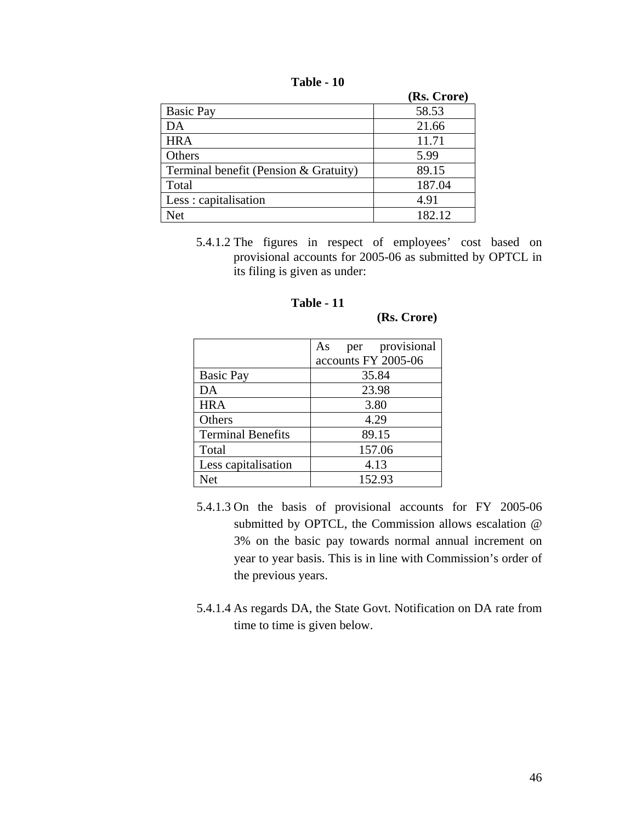|  | Table<br>10 |
|--|-------------|
|--|-------------|

|                                       | (Rs. Crore) |
|---------------------------------------|-------------|
| <b>Basic Pay</b>                      | 58.53       |
| DA                                    | 21.66       |
| <b>HRA</b>                            | 11.71       |
| Others                                | 5.99        |
| Terminal benefit (Pension & Gratuity) | 89.15       |
| Total                                 | 187.04      |
| Less: capitalisation                  | 4.91        |
| Net                                   | 182.12      |

5.4.1.2 The figures in respect of employees' cost based on provisional accounts for 2005-06 as submitted by OPTCL in its filing is given as under:

# **Table - 11**

 **(Rs. Crore)** 

|                          | per provisional<br>As |  |  |  |  |  |
|--------------------------|-----------------------|--|--|--|--|--|
|                          | accounts FY 2005-06   |  |  |  |  |  |
| <b>Basic Pay</b>         | 35.84                 |  |  |  |  |  |
| DA                       | 23.98                 |  |  |  |  |  |
| <b>HRA</b>               | 3.80                  |  |  |  |  |  |
| Others                   | 4.29                  |  |  |  |  |  |
| <b>Terminal Benefits</b> | 89.15                 |  |  |  |  |  |
| Total                    | 157.06                |  |  |  |  |  |
| Less capitalisation      | 4.13                  |  |  |  |  |  |
| <b>Net</b>               | 152.93                |  |  |  |  |  |

- 5.4.1.3 On the basis of provisional accounts for FY 2005-06 submitted by OPTCL, the Commission allows escalation @ 3% on the basic pay towards normal annual increment on year to year basis. This is in line with Commission's order of the previous years.
- 5.4.1.4 As regards DA, the State Govt. Notification on DA rate from time to time is given below.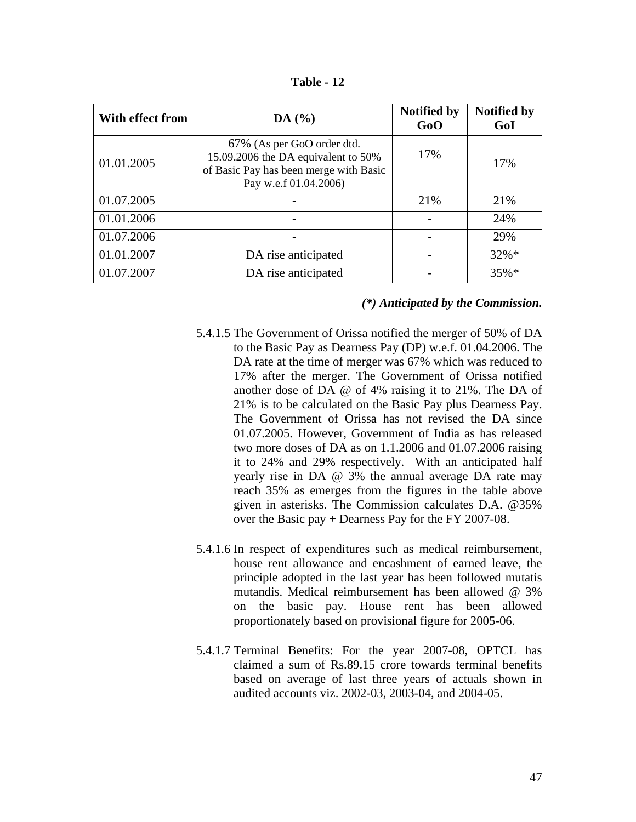| With effect from | DA(%)                                                                                                                                | <b>Notified by</b><br>GoO | <b>Notified by</b><br>GoI |
|------------------|--------------------------------------------------------------------------------------------------------------------------------------|---------------------------|---------------------------|
| 01.01.2005       | 67% (As per GoO order dtd.<br>15.09.2006 the DA equivalent to 50%<br>of Basic Pay has been merge with Basic<br>Pay w.e.f 01.04.2006) | 17%                       | 17%                       |
| 01.07.2005       |                                                                                                                                      | 21%                       | 21%                       |
| 01.01.2006       |                                                                                                                                      |                           | 24%                       |
| 01.07.2006       |                                                                                                                                      |                           | 29%                       |
| 01.01.2007       | DA rise anticipated                                                                                                                  |                           | $32\% *$                  |
| 01.07.2007       | DA rise anticipated                                                                                                                  |                           | $35\%*$                   |

**Table - 12** 

#### *(\*) Anticipated by the Commission.*

- 5.4.1.5 The Government of Orissa notified the merger of 50% of DA to the Basic Pay as Dearness Pay (DP) w.e.f. 01.04.2006. The DA rate at the time of merger was 67% which was reduced to 17% after the merger. The Government of Orissa notified another dose of DA @ of 4% raising it to 21%. The DA of 21% is to be calculated on the Basic Pay plus Dearness Pay. The Government of Orissa has not revised the DA since 01.07.2005. However, Government of India as has released two more doses of DA as on 1.1.2006 and 01.07.2006 raising it to 24% and 29% respectively. With an anticipated half yearly rise in DA @ 3% the annual average DA rate may reach 35% as emerges from the figures in the table above given in asterisks. The Commission calculates D.A. @35% over the Basic pay + Dearness Pay for the FY 2007-08.
- 5.4.1.6 In respect of expenditures such as medical reimbursement, house rent allowance and encashment of earned leave, the principle adopted in the last year has been followed mutatis mutandis. Medical reimbursement has been allowed @ 3% on the basic pay. House rent has been allowed proportionately based on provisional figure for 2005-06.
- 5.4.1.7 Terminal Benefits: For the year 2007-08, OPTCL has claimed a sum of Rs.89.15 crore towards terminal benefits based on average of last three years of actuals shown in audited accounts viz. 2002-03, 2003-04, and 2004-05.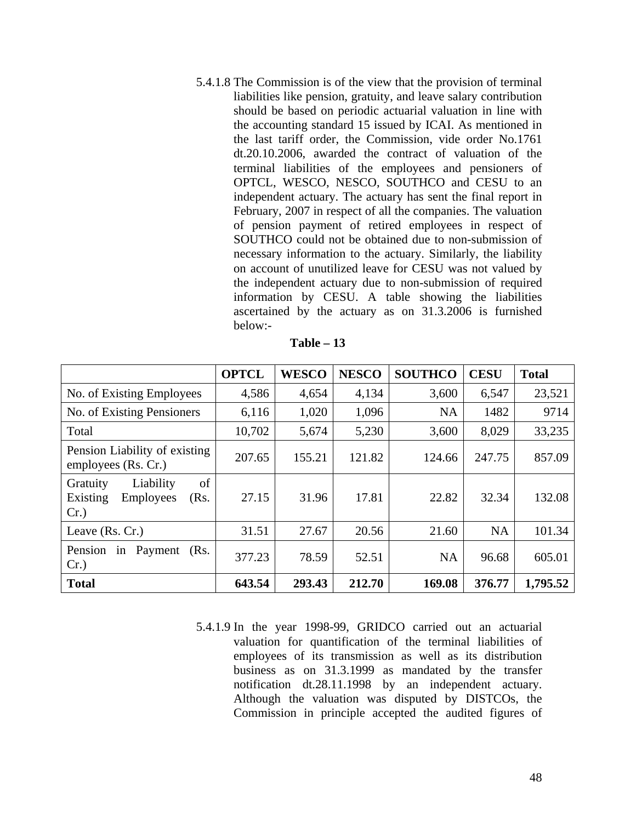5.4.1.8 The Commission is of the view that the provision of terminal liabilities like pension, gratuity, and leave salary contribution should be based on periodic actuarial valuation in line with the accounting standard 15 issued by ICAI. As mentioned in the last tariff order, the Commission, vide order No.1761 dt.20.10.2006, awarded the contract of valuation of the terminal liabilities of the employees and pensioners of OPTCL, WESCO, NESCO, SOUTHCO and CESU to an independent actuary. The actuary has sent the final report in February, 2007 in respect of all the companies. The valuation of pension payment of retired employees in respect of SOUTHCO could not be obtained due to non-submission of necessary information to the actuary. Similarly, the liability on account of unutilized leave for CESU was not valued by the independent actuary due to non-submission of required information by CESU. A table showing the liabilities ascertained by the actuary as on 31.3.2006 is furnished below:-

| l'able |  |
|--------|--|
|--------|--|

|                                                                                | <b>OPTCL</b> | <b>WESCO</b> | <b>NESCO</b> | <b>SOUTHCO</b> | <b>CESU</b> | <b>Total</b> |
|--------------------------------------------------------------------------------|--------------|--------------|--------------|----------------|-------------|--------------|
| No. of Existing Employees                                                      | 4,586        | 4,654        | 4,134        | 3,600          | 6,547       | 23,521       |
| No. of Existing Pensioners                                                     | 6,116        | 1,020        | 1,096        | <b>NA</b>      | 1482        | 9714         |
| Total                                                                          | 10,702       | 5,674        | 5,230        | 3,600          | 8,029       | 33,235       |
| Pension Liability of existing<br>employees (Rs. Cr.)                           | 207.65       | 155.21       | 121.82       | 124.66         | 247.75      | 857.09       |
| of<br>Liability<br>Gratuity<br>Existing<br><b>Employees</b><br>(Rs.<br>$Cr.$ ) | 27.15        | 31.96        | 17.81        | 22.82          | 32.34       | 132.08       |
| Leave (Rs. Cr.)                                                                | 31.51        | 27.67        | 20.56        | 21.60          | <b>NA</b>   | 101.34       |
| Payment<br>(Rs.<br>Pension<br>1n<br>$Cr.$ )                                    | 377.23       | 78.59        | 52.51        | <b>NA</b>      | 96.68       | 605.01       |
| <b>Total</b>                                                                   | 643.54       | 293.43       | 212.70       | 169.08         | 376.77      | 1,795.52     |

5.4.1.9 In the year 1998-99, GRIDCO carried out an actuarial valuation for quantification of the terminal liabilities of employees of its transmission as well as its distribution business as on 31.3.1999 as mandated by the transfer notification dt.28.11.1998 by an independent actuary. Although the valuation was disputed by DISTCOs, the Commission in principle accepted the audited figures of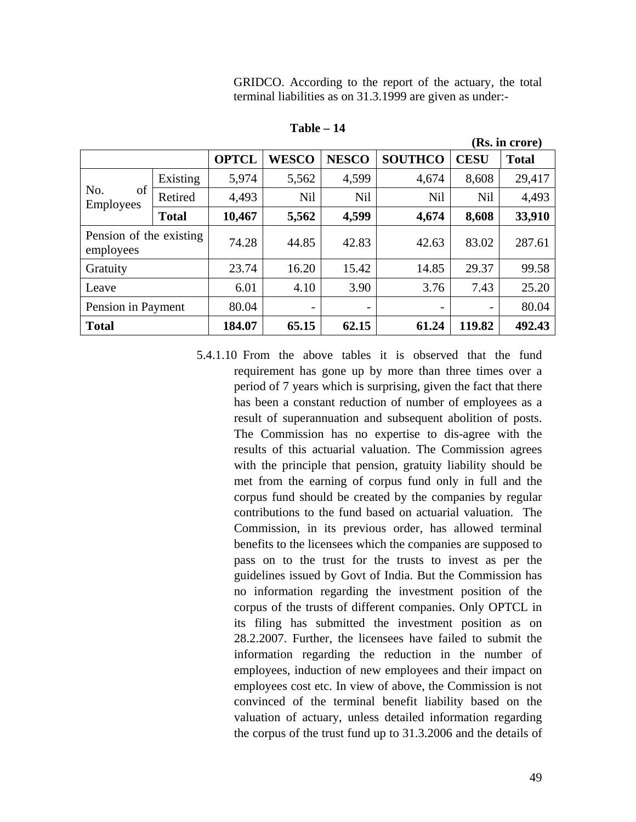GRIDCO. According to the report of the actuary, the total terminal liabilities as on 31.3.1999 are given as under:-

**(Rs. in crore)** 

**Table – 14** 

| (Ks. In crore)                       |              |              |                          |                          |                |                          |              |
|--------------------------------------|--------------|--------------|--------------------------|--------------------------|----------------|--------------------------|--------------|
|                                      |              | <b>OPTCL</b> | <b>WESCO</b>             | <b>NESCO</b>             | <b>SOUTHCO</b> | <b>CESU</b>              | <b>Total</b> |
|                                      | Existing     | 5,974        | 5,562                    | 4,599                    | 4,674          | 8,608                    | 29,417       |
| of<br>No.<br><b>Employees</b>        | Retired      | 4,493        | <b>Nil</b>               | <b>Nil</b>               | <b>Nil</b>     | <b>Nil</b>               | 4,493        |
|                                      | <b>Total</b> | 10,467       | 5,562                    | 4,599                    | 4,674          | 8,608                    | 33,910       |
| Pension of the existing<br>employees |              | 74.28        | 44.85                    | 42.83                    | 42.63          | 83.02                    | 287.61       |
| Gratuity                             |              | 23.74        | 16.20                    | 15.42                    | 14.85          | 29.37                    | 99.58        |
| Leave                                |              | 6.01         | 4.10                     | 3.90                     | 3.76           | 7.43                     | 25.20        |
| Pension in Payment                   |              | 80.04        | $\overline{\phantom{a}}$ | $\overline{\phantom{0}}$ |                | $\overline{\phantom{a}}$ | 80.04        |
| <b>Total</b>                         |              | 184.07       | 65.15                    | 62.15                    | 61.24          | 119.82                   | 492.43       |

5.4.1.10 From the above tables it is observed that the fund requirement has gone up by more than three times over a period of 7 years which is surprising, given the fact that there has been a constant reduction of number of employees as a result of superannuation and subsequent abolition of posts. The Commission has no expertise to dis-agree with the results of this actuarial valuation. The Commission agrees with the principle that pension, gratuity liability should be met from the earning of corpus fund only in full and the corpus fund should be created by the companies by regular contributions to the fund based on actuarial valuation. The Commission, in its previous order, has allowed terminal benefits to the licensees which the companies are supposed to pass on to the trust for the trusts to invest as per the guidelines issued by Govt of India. But the Commission has no information regarding the investment position of the corpus of the trusts of different companies. Only OPTCL in its filing has submitted the investment position as on 28.2.2007. Further, the licensees have failed to submit the information regarding the reduction in the number of employees, induction of new employees and their impact on employees cost etc. In view of above, the Commission is not convinced of the terminal benefit liability based on the valuation of actuary, unless detailed information regarding the corpus of the trust fund up to 31.3.2006 and the details of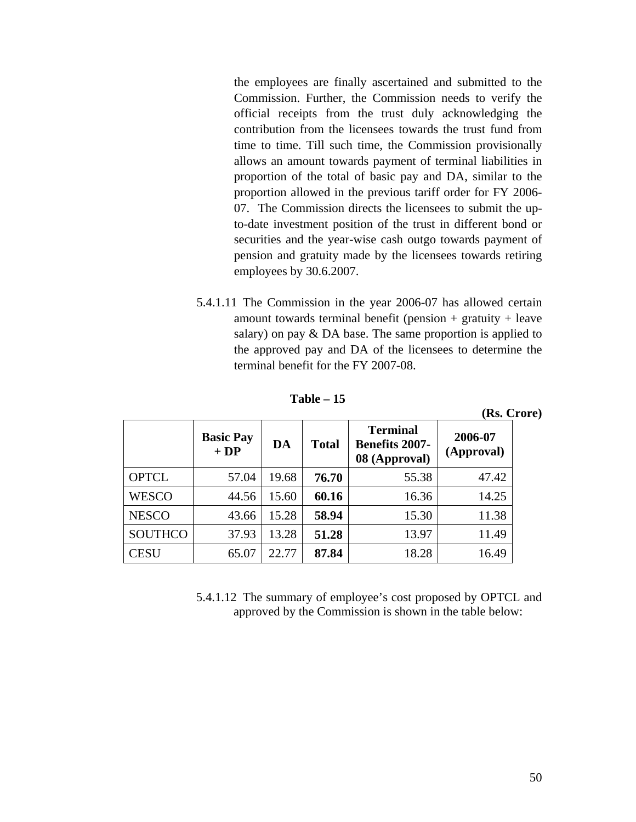the employees are finally ascertained and submitted to the Commission. Further, the Commission needs to verify the official receipts from the trust duly acknowledging the contribution from the licensees towards the trust fund from time to time. Till such time, the Commission provisionally allows an amount towards payment of terminal liabilities in proportion of the total of basic pay and DA, similar to the proportion allowed in the previous tariff order for FY 2006- 07. The Commission directs the licensees to submit the upto-date investment position of the trust in different bond or securities and the year-wise cash outgo towards payment of pension and gratuity made by the licensees towards retiring employees by 30.6.2007.

5.4.1.11 The Commission in the year 2006-07 has allowed certain amount towards terminal benefit (pension  $+$  gratuity  $+$  leave salary) on pay & DA base. The same proportion is applied to the approved pay and DA of the licensees to determine the terminal benefit for the FY 2007-08.

**Table – 15** 

|                |                           |       |              |                                                           | (Rs. Crore)           |  |
|----------------|---------------------------|-------|--------------|-----------------------------------------------------------|-----------------------|--|
|                | <b>Basic Pay</b><br>$+DP$ | DA    | <b>Total</b> | <b>Terminal</b><br><b>Benefits 2007-</b><br>08 (Approval) | 2006-07<br>(Approval) |  |
| <b>OPTCL</b>   | 57.04                     | 19.68 | 76.70        | 55.38                                                     | 47.42                 |  |
| <b>WESCO</b>   | 44.56                     | 15.60 | 60.16        | 16.36                                                     | 14.25                 |  |
| <b>NESCO</b>   | 43.66                     | 15.28 | 58.94        | 15.30                                                     | 11.38                 |  |
| <b>SOUTHCO</b> | 37.93                     | 13.28 | 51.28        | 13.97                                                     | 11.49                 |  |
| <b>CESU</b>    | 65.07                     | 22.77 | 87.84        | 18.28                                                     | 16.49                 |  |

5.4.1.12 The summary of employee's cost proposed by OPTCL and approved by the Commission is shown in the table below: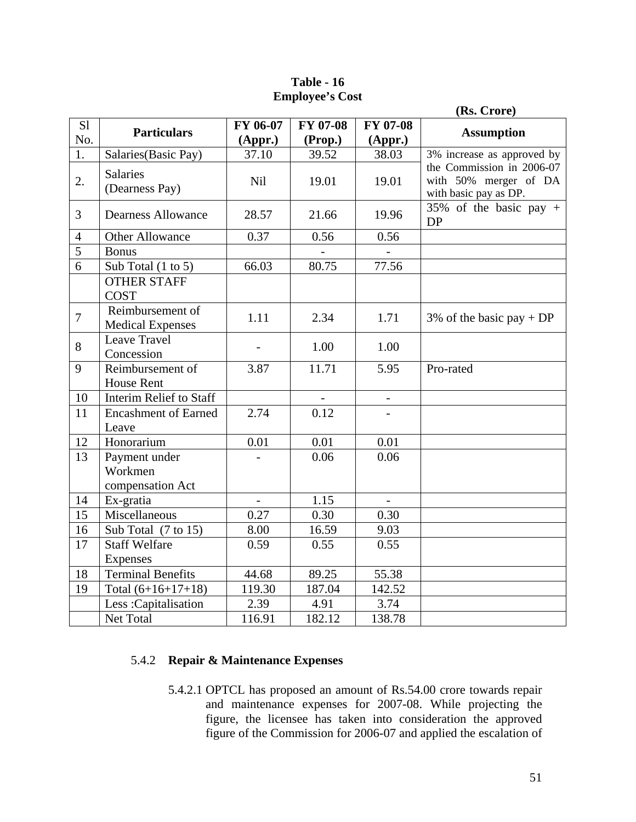|                |                                              |                |                 |                          | (Rs. Crore)                                                                 |  |  |  |
|----------------|----------------------------------------------|----------------|-----------------|--------------------------|-----------------------------------------------------------------------------|--|--|--|
| S1             | <b>Particulars</b>                           | FY 06-07       | <b>FY 07-08</b> | <b>FY 07-08</b>          |                                                                             |  |  |  |
| No.            |                                              | (Appr.)        | (Prop.)         | (Appr.)                  | <b>Assumption</b>                                                           |  |  |  |
| 1.             | Salaries(Basic Pay)                          | 37.10          | 39.52           | 38.03                    | 3% increase as approved by                                                  |  |  |  |
| 2.             | <b>Salaries</b><br>(Dearness Pay)            | Nil            | 19.01           | 19.01                    | the Commission in 2006-07<br>with 50% merger of DA<br>with basic pay as DP. |  |  |  |
| 3              | <b>Dearness Allowance</b>                    | 28.57          | 21.66           | 19.96                    | 35% of the basic pay $+$<br>DP                                              |  |  |  |
| $\overline{4}$ | Other Allowance                              | 0.37           | 0.56            | 0.56                     |                                                                             |  |  |  |
| $\overline{5}$ | <b>Bonus</b>                                 |                |                 |                          |                                                                             |  |  |  |
| 6              | Sub Total (1 to 5)                           | 66.03          | 80.75           | 77.56                    |                                                                             |  |  |  |
|                | <b>OTHER STAFF</b><br><b>COST</b>            |                |                 |                          |                                                                             |  |  |  |
| $\overline{7}$ | Reimbursement of<br><b>Medical Expenses</b>  | 1.11           | 2.34            | 1.71                     | 3% of the basic pay + DP                                                    |  |  |  |
| 8              | Leave Travel<br>Concession                   |                | 1.00            | 1.00                     |                                                                             |  |  |  |
| 9              | Reimbursement of<br><b>House Rent</b>        | 3.87           | 11.71           | 5.95                     | Pro-rated                                                                   |  |  |  |
| 10             | <b>Interim Relief to Staff</b>               |                |                 |                          |                                                                             |  |  |  |
| 11             | <b>Encashment of Earned</b><br>Leave         | 2.74           | 0.12            |                          |                                                                             |  |  |  |
| 12             | Honorarium                                   | 0.01           | 0.01            | 0.01                     |                                                                             |  |  |  |
| 13             | Payment under<br>Workmen<br>compensation Act |                | 0.06            | 0.06                     |                                                                             |  |  |  |
| 14             | Ex-gratia                                    | $\blacksquare$ | 1.15            | $\overline{\phantom{a}}$ |                                                                             |  |  |  |
| 15             | $\overline{\text{M}}$ iscellaneous           | 0.27           | 0.30            | 0.30                     |                                                                             |  |  |  |
| 16             | Sub Total (7 to 15)                          | 8.00           | 16.59           | 9.03                     |                                                                             |  |  |  |
| 17             | <b>Staff Welfare</b><br>Expenses             | 0.59           | 0.55            | 0.55                     |                                                                             |  |  |  |
| 18             | <b>Terminal Benefits</b>                     | 44.68          | 89.25           | 55.38                    |                                                                             |  |  |  |
| 19             | Total $(6+16+17+18)$                         | 119.30         | 187.04          | 142.52                   |                                                                             |  |  |  |
|                | Less: Capitalisation                         | 2.39           | 4.91            | 3.74                     |                                                                             |  |  |  |
|                | Net Total                                    | 116.91         | 182.12          | 138.78                   |                                                                             |  |  |  |

# **Table - 16 Employee's Cost**

# 5.4.2 **Repair & Maintenance Expenses**

5.4.2.1 OPTCL has proposed an amount of Rs.54.00 crore towards repair and maintenance expenses for 2007-08. While projecting the figure, the licensee has taken into consideration the approved figure of the Commission for 2006-07 and applied the escalation of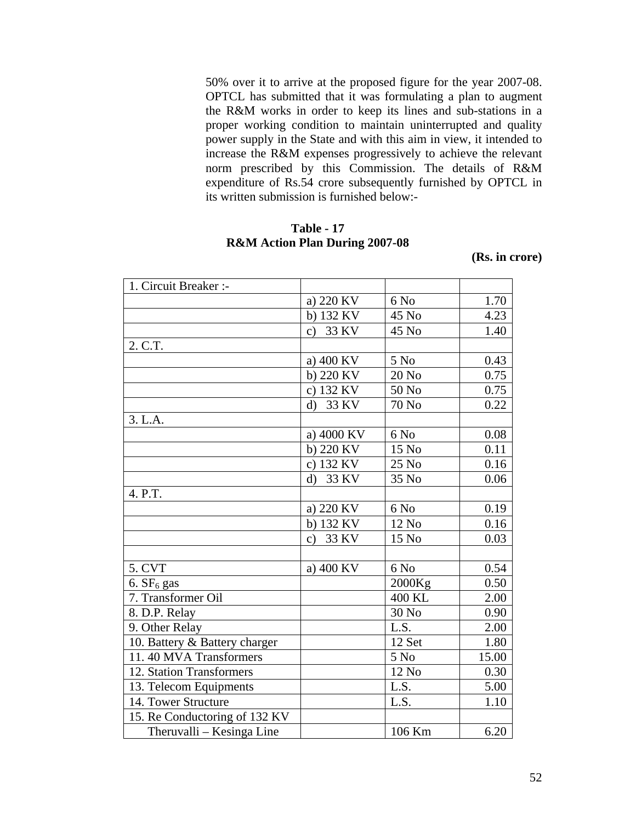50% over it to arrive at the proposed figure for the year 2007-08. OPTCL has submitted that it was formulating a plan to augment the R&M works in order to keep its lines and sub-stations in a proper working condition to maintain uninterrupted and quality power supply in the State and with this aim in view, it intended to increase the R&M expenses progressively to achieve the relevant norm prescribed by this Commission. The details of R&M expenditure of Rs.54 crore subsequently furnished by OPTCL in its written submission is furnished below:-

# **Table - 17 R&M Action Plan During 2007-08**

**(Rs. in crore)** 

| 1. Circuit Breaker :-         |                        |              |       |
|-------------------------------|------------------------|--------------|-------|
|                               | a) 220 KV              | 6 No         | 1.70  |
|                               | b) 132 KV              | 45 No        | 4.23  |
|                               | 33 KV<br>$\mathbf{c})$ | 45 No        | 1.40  |
| 2. C.T.                       |                        |              |       |
|                               | a) 400 KV              | 5 No         | 0.43  |
|                               | b) 220 KV              | 20 No        | 0.75  |
|                               | c) 132 KV              | 50 No        | 0.75  |
|                               | 33 KV<br>$\mathbf{d}$  | <b>70 No</b> | 0.22  |
| 3. L.A.                       |                        |              |       |
|                               | a) 4000 KV             | 6 No         | 0.08  |
|                               | b) 220 KV              | 15 No        | 0.11  |
|                               | c) 132 KV              | 25 No        | 0.16  |
|                               | 33 KV<br>$\mathbf{d}$  | 35 No        | 0.06  |
| 4. P.T.                       |                        |              |       |
|                               | a) 220 KV              | 6 No         | 0.19  |
|                               | b) 132 KV              | 12 No        | 0.16  |
|                               | 33 KV<br>$\mathbf{c})$ | 15 No        | 0.03  |
|                               |                        |              |       |
| 5. CVT                        | a) 400 KV              | 6 No         | 0.54  |
| 6. $SF6$ gas                  |                        | 2000Kg       | 0.50  |
| 7. Transformer Oil            |                        | 400 KL       | 2.00  |
| 8. D.P. Relay                 |                        | 30 No        | 0.90  |
| 9. Other Relay                |                        | L.S.         | 2.00  |
| 10. Battery & Battery charger |                        | 12 Set       | 1.80  |
| 11.40 MVA Transformers        |                        | 5 No         | 15.00 |
| 12. Station Transformers      |                        | 12 No        | 0.30  |
| 13. Telecom Equipments        |                        | L.S.         | 5.00  |
| 14. Tower Structure           |                        | L.S.         | 1.10  |
| 15. Re Conductoring of 132 KV |                        |              |       |
| Theruvalli - Kesinga Line     |                        | 106 Km       | 6.20  |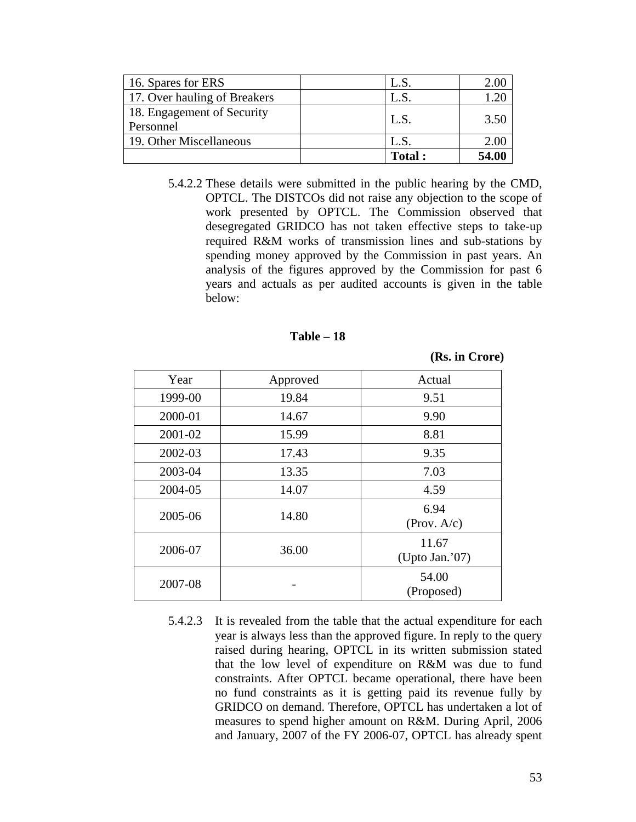| 16. Spares for ERS                      | L.S.          | 2.00  |
|-----------------------------------------|---------------|-------|
| 17. Over hauling of Breakers            |               |       |
| 18. Engagement of Security<br>Personnel | L.S.          | 3.50  |
| 19. Other Miscellaneous                 | L.S.          | 2.00  |
|                                         | <b>Total:</b> | 54.00 |

5.4.2.2 These details were submitted in the public hearing by the CMD, OPTCL. The DISTCOs did not raise any objection to the scope of work presented by OPTCL. The Commission observed that desegregated GRIDCO has not taken effective steps to take-up required R&M works of transmission lines and sub-stations by spending money approved by the Commission in past years. An analysis of the figures approved by the Commission for past 6 years and actuals as per audited accounts is given in the table below:

#### **Table – 18**

**(Rs. in Crore)** 

| Year             | Approved | Actual                  |
|------------------|----------|-------------------------|
| 1999-00          | 19.84    | 9.51                    |
| 2000-01          | 14.67    | 9.90                    |
| 2001-02          | 15.99    | 8.81                    |
| 2002-03          | 17.43    | 9.35                    |
| 2003-04          | 13.35    | 7.03                    |
| 2004-05<br>14.07 |          | 4.59                    |
| 2005-06          | 14.80    | 6.94<br>(Prov. A/c)     |
| 2006-07          | 36.00    | 11.67<br>(Upto Jan.'07) |
| 2007-08          |          | 54.00<br>(Proposed)     |

5.4.2.3 It is revealed from the table that the actual expenditure for each year is always less than the approved figure. In reply to the query raised during hearing, OPTCL in its written submission stated that the low level of expenditure on R&M was due to fund constraints. After OPTCL became operational, there have been no fund constraints as it is getting paid its revenue fully by GRIDCO on demand. Therefore, OPTCL has undertaken a lot of measures to spend higher amount on R&M. During April, 2006 and January, 2007 of the FY 2006-07, OPTCL has already spent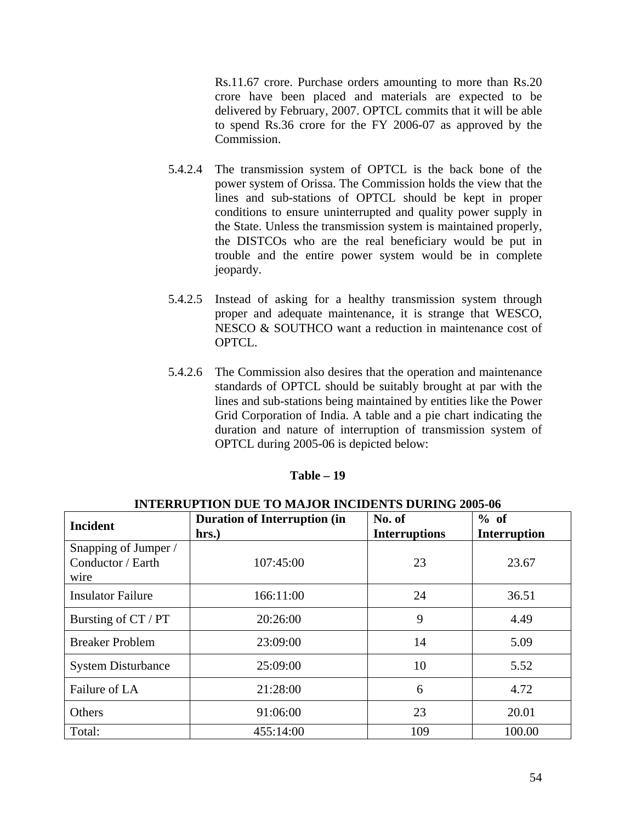Rs.11.67 crore. Purchase orders amounting to more than Rs.20 crore have been placed and materials are expected to be delivered by February, 2007. OPTCL commits that it will be able to spend Rs.36 crore for the FY 2006-07 as approved by the Commission.

- 5.4.2.4 The transmission system of OPTCL is the back bone of the power system of Orissa. The Commission holds the view that the lines and sub-stations of OPTCL should be kept in proper conditions to ensure uninterrupted and quality power supply in the State. Unless the transmission system is maintained properly, the DISTCOs who are the real beneficiary would be put in trouble and the entire power system would be in complete jeopardy.
- 5.4.2.5 Instead of asking for a healthy transmission system through proper and adequate maintenance, it is strange that WESCO, NESCO & SOUTHCO want a reduction in maintenance cost of OPTCL.
- 5.4.2.6 The Commission also desires that the operation and maintenance standards of OPTCL should be suitably brought at par with the lines and sub-stations being maintained by entities like the Power Grid Corporation of India. A table and a pie chart indicating the duration and nature of interruption of transmission system of OPTCL during 2005-06 is depicted below:

### **Table – 19**

| <b>Incident</b>                                   | <b>Duration of Interruption (in</b><br>hrs.) | No. of<br><b>Interruptions</b> | % of<br><b>Interruption</b> |  |
|---------------------------------------------------|----------------------------------------------|--------------------------------|-----------------------------|--|
| Snapping of Jumper /<br>Conductor / Earth<br>wire | 107:45:00                                    | 23                             | 23.67                       |  |
| <b>Insulator Failure</b>                          | 166:11:00                                    | 24                             | 36.51                       |  |
| Bursting of CT / PT                               | 20:26:00                                     | 9                              | 4.49                        |  |
| <b>Breaker Problem</b>                            | 23:09:00                                     | 14                             | 5.09                        |  |
| <b>System Disturbance</b>                         | 25:09:00                                     | 10                             | 5.52                        |  |
| Failure of LA                                     | 21:28:00                                     | 6                              | 4.72                        |  |
| Others                                            | 91:06:00                                     | 23                             | 20.01                       |  |
| Total:                                            | 455:14:00                                    | 109                            | 100.00                      |  |

#### **INTERRUPTION DUE TO MAJOR INCIDENTS DURING 2005-06**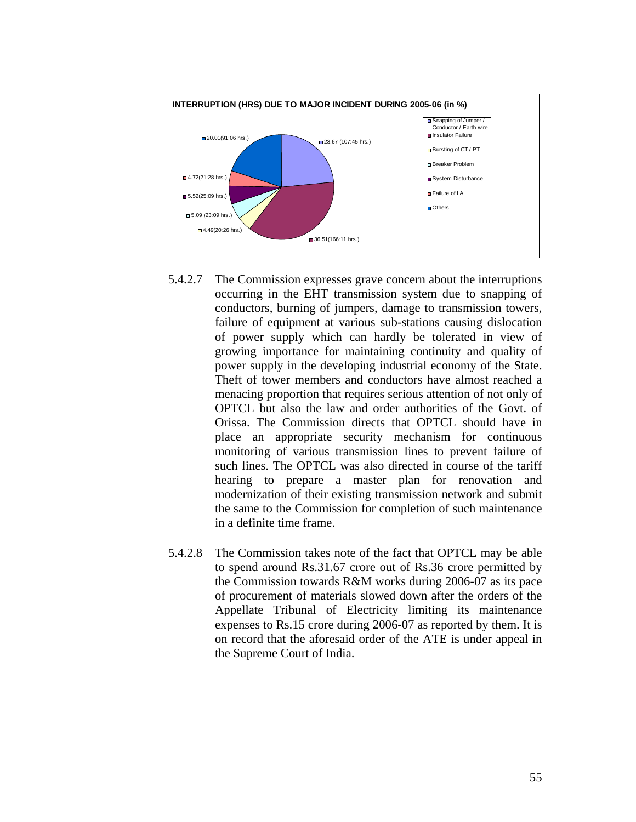

- 5.4.2.7 The Commission expresses grave concern about the interruptions occurring in the EHT transmission system due to snapping of conductors, burning of jumpers, damage to transmission towers, failure of equipment at various sub-stations causing dislocation of power supply which can hardly be tolerated in view of growing importance for maintaining continuity and quality of power supply in the developing industrial economy of the State. Theft of tower members and conductors have almost reached a menacing proportion that requires serious attention of not only of OPTCL but also the law and order authorities of the Govt. of Orissa. The Commission directs that OPTCL should have in place an appropriate security mechanism for continuous monitoring of various transmission lines to prevent failure of such lines. The OPTCL was also directed in course of the tariff hearing to prepare a master plan for renovation and modernization of their existing transmission network and submit the same to the Commission for completion of such maintenance in a definite time frame.
- 5.4.2.8 The Commission takes note of the fact that OPTCL may be able to spend around Rs.31.67 crore out of Rs.36 crore permitted by the Commission towards R&M works during 2006-07 as its pace of procurement of materials slowed down after the orders of the Appellate Tribunal of Electricity limiting its maintenance expenses to Rs.15 crore during 2006-07 as reported by them. It is on record that the aforesaid order of the ATE is under appeal in the Supreme Court of India.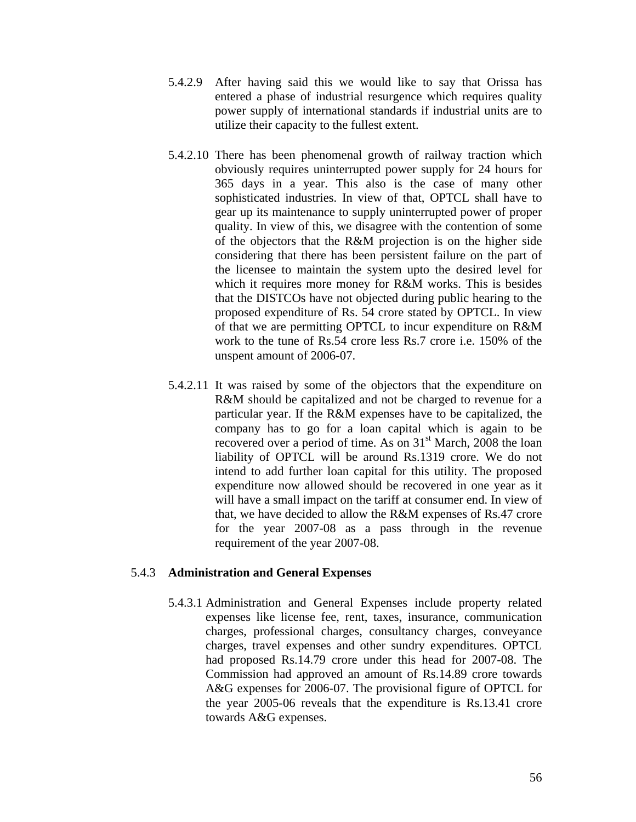- 5.4.2.9 After having said this we would like to say that Orissa has entered a phase of industrial resurgence which requires quality power supply of international standards if industrial units are to utilize their capacity to the fullest extent.
- 5.4.2.10 There has been phenomenal growth of railway traction which obviously requires uninterrupted power supply for 24 hours for 365 days in a year. This also is the case of many other sophisticated industries. In view of that, OPTCL shall have to gear up its maintenance to supply uninterrupted power of proper quality. In view of this, we disagree with the contention of some of the objectors that the R&M projection is on the higher side considering that there has been persistent failure on the part of the licensee to maintain the system upto the desired level for which it requires more money for R&M works. This is besides that the DISTCOs have not objected during public hearing to the proposed expenditure of Rs. 54 crore stated by OPTCL. In view of that we are permitting OPTCL to incur expenditure on R&M work to the tune of Rs.54 crore less Rs.7 crore i.e. 150% of the unspent amount of 2006-07.
- 5.4.2.11 It was raised by some of the objectors that the expenditure on R&M should be capitalized and not be charged to revenue for a particular year. If the R&M expenses have to be capitalized, the company has to go for a loan capital which is again to be recovered over a period of time. As on  $31<sup>st</sup>$  March, 2008 the loan liability of OPTCL will be around Rs.1319 crore. We do not intend to add further loan capital for this utility. The proposed expenditure now allowed should be recovered in one year as it will have a small impact on the tariff at consumer end. In view of that, we have decided to allow the R&M expenses of Rs.47 crore for the year 2007-08 as a pass through in the revenue requirement of the year 2007-08.

# 5.4.3 **Administration and General Expenses**

5.4.3.1 Administration and General Expenses include property related expenses like license fee, rent, taxes, insurance, communication charges, professional charges, consultancy charges, conveyance charges, travel expenses and other sundry expenditures. OPTCL had proposed Rs.14.79 crore under this head for 2007-08. The Commission had approved an amount of Rs.14.89 crore towards A&G expenses for 2006-07. The provisional figure of OPTCL for the year 2005-06 reveals that the expenditure is Rs.13.41 crore towards A&G expenses.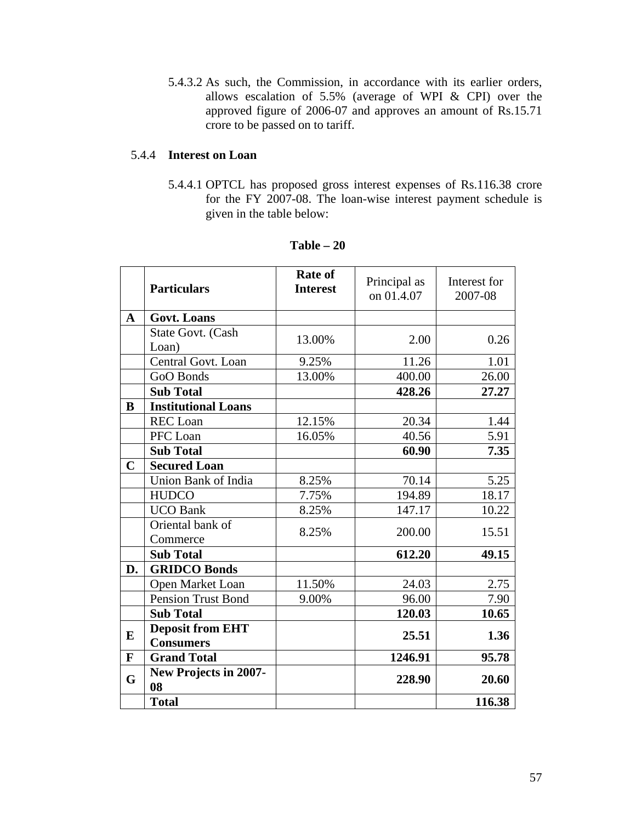5.4.3.2 As such, the Commission, in accordance with its earlier orders, allows escalation of 5.5% (average of WPI & CPI) over the approved figure of 2006-07 and approves an amount of Rs.15.71 crore to be passed on to tariff.

# 5.4.4 **Interest on Loan**

5.4.4.1 OPTCL has proposed gross interest expenses of Rs.116.38 crore for the FY 2007-08. The loan-wise interest payment schedule is given in the table below:

|              | <b>Particulars</b>                          | <b>Rate of</b><br><b>Interest</b> | Principal as<br>on 01.4.07 | Interest for<br>2007-08 |
|--------------|---------------------------------------------|-----------------------------------|----------------------------|-------------------------|
| $\mathbf A$  | <b>Govt. Loans</b>                          |                                   |                            |                         |
|              | State Govt. (Cash<br>Loan)                  | 13.00%                            | 2.00                       | 0.26                    |
|              | Central Govt. Loan                          | 9.25%                             | 11.26                      | 1.01                    |
|              | GoO Bonds                                   | 13.00%                            | 400.00                     | 26.00                   |
|              | <b>Sub Total</b>                            |                                   | 428.26                     | 27.27                   |
| B            | <b>Institutional Loans</b>                  |                                   |                            |                         |
|              | <b>REC</b> Loan                             | 12.15%                            | 20.34                      | 1.44                    |
|              | PFC Loan                                    | 16.05%                            | 40.56                      | 5.91                    |
|              | <b>Sub Total</b>                            |                                   | 60.90                      | 7.35                    |
| $\mathbf C$  | <b>Secured Loan</b>                         |                                   |                            |                         |
|              | Union Bank of India                         | 8.25%                             | 70.14                      | 5.25                    |
|              | <b>HUDCO</b>                                | 7.75%                             | 194.89                     | 18.17                   |
|              | <b>UCO Bank</b>                             | 8.25%                             | 147.17                     | 10.22                   |
|              | Oriental bank of<br>Commerce                | 8.25%                             | 200.00                     | 15.51                   |
|              | <b>Sub Total</b>                            |                                   | 612.20                     | 49.15                   |
| D.           | <b>GRIDCO Bonds</b>                         |                                   |                            |                         |
|              | Open Market Loan                            | 11.50%                            | 24.03                      | 2.75                    |
|              | <b>Pension Trust Bond</b>                   | 9.00%                             | 96.00                      | 7.90                    |
|              | <b>Sub Total</b>                            |                                   | 120.03                     | 10.65                   |
| E            | <b>Deposit from EHT</b><br><b>Consumers</b> |                                   | 25.51                      | 1.36                    |
| $\mathbf{F}$ | <b>Grand Total</b>                          |                                   | 1246.91                    | 95.78                   |
| G            | <b>New Projects in 2007-</b><br>08          |                                   | 228.90                     | 20.60                   |
|              | <b>Total</b>                                |                                   |                            | 116.38                  |

**Table – 20**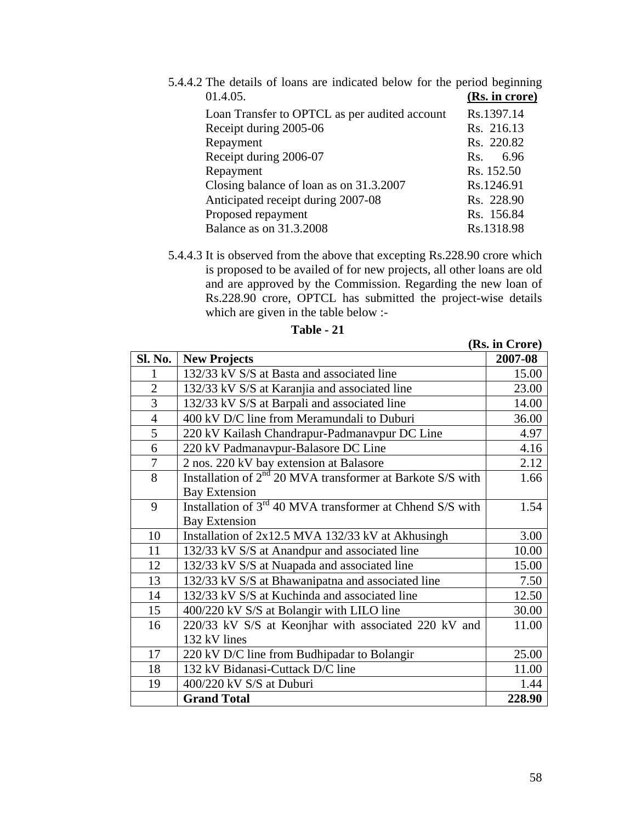| 5.4.4.2 The details of loans are indicated below for the period beginning |                |
|---------------------------------------------------------------------------|----------------|
| 01.4.05.                                                                  | (Rs. in crore) |
| Loan Transfer to OPTCL as per audited account                             | Rs.1397.14     |
| Receipt during 2005-06                                                    | Rs. 216.13     |
| Repayment                                                                 | Rs. 220.82     |
| Receipt during 2006-07                                                    | 6.96<br>Rs.    |
| Repayment                                                                 | Rs. 152.50     |
| Closing balance of loan as on 31.3.2007                                   | Rs.1246.91     |
| Anticipated receipt during 2007-08                                        | Rs. 228.90     |
| Proposed repayment                                                        | Rs. 156.84     |
| <b>Balance as on 31.3.2008</b>                                            | Rs.1318.98     |

5.4.4.3 It is observed from the above that excepting Rs.228.90 crore which is proposed to be availed of for new projects, all other loans are old and are approved by the Commission. Regarding the new loan of Rs.228.90 crore, OPTCL has submitted the project-wise details which are given in the table below :-

| Sl. No.        | <b>New Projects</b>                                                   | 2007-08 |
|----------------|-----------------------------------------------------------------------|---------|
| 1              | 132/33 kV S/S at Basta and associated line                            | 15.00   |
| $\overline{2}$ | 132/33 kV S/S at Karanjia and associated line                         | 23.00   |
| 3              | 132/33 kV S/S at Barpali and associated line                          | 14.00   |
| $\overline{4}$ | 400 kV D/C line from Meramundali to Duburi                            | 36.00   |
| 5              | 220 kV Kailash Chandrapur-Padmanavpur DC Line                         | 4.97    |
| 6              | 220 kV Padmanavpur-Balasore DC Line                                   | 4.16    |
| $\overline{7}$ | 2 nos. 220 kV bay extension at Balasore                               | 2.12    |
| 8              | Installation of $2nd$ 20 MVA transformer at Barkote S/S with          | 1.66    |
|                | <b>Bay Extension</b>                                                  |         |
| 9              | Installation of 3 <sup>rd</sup> 40 MVA transformer at Chhend S/S with | 1.54    |
|                | <b>Bay Extension</b>                                                  |         |
| 10             | Installation of $2x12.5$ MVA 132/33 kV at Akhusingh                   | 3.00    |
| 11             | 132/33 kV S/S at Anandpur and associated line                         | 10.00   |
| 12             | 132/33 kV S/S at Nuapada and associated line                          | 15.00   |
| 13             | 132/33 kV S/S at Bhawanipatna and associated line                     | 7.50    |
| 14             | 132/33 kV S/S at Kuchinda and associated line                         | 12.50   |
| 15             | 400/220 kV S/S at Bolangir with LILO line                             | 30.00   |
| 16             | 220/33 kV S/S at Keonjhar with associated 220 kV and                  | 11.00   |
|                | 132 kV lines                                                          |         |
| 17             | 220 kV D/C line from Budhipadar to Bolangir                           | 25.00   |
| 18             | 132 kV Bidanasi-Cuttack D/C line                                      | 11.00   |
| 19             | 400/220 kV S/S at Duburi                                              | 1.44    |
|                | <b>Grand Total</b>                                                    | 228.90  |

| 'able |  |
|-------|--|
|-------|--|

**(Rs. in Crore)**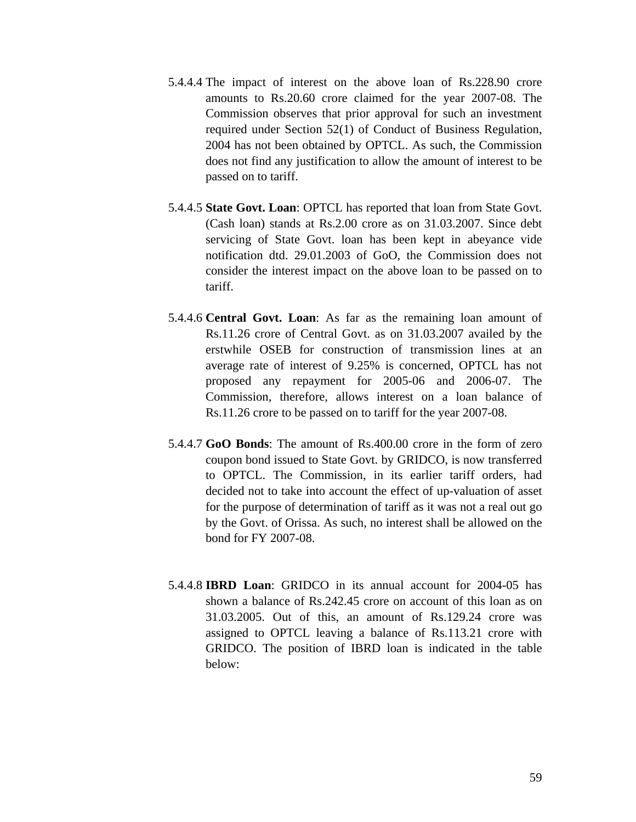- 5.4.4.4 The impact of interest on the above loan of Rs.228.90 crore amounts to Rs.20.60 crore claimed for the year 2007-08. The Commission observes that prior approval for such an investment required under Section 52(1) of Conduct of Business Regulation, 2004 has not been obtained by OPTCL. As such, the Commission does not find any justification to allow the amount of interest to be passed on to tariff.
- 5.4.4.5 **State Govt. Loan**: OPTCL has reported that loan from State Govt. (Cash loan) stands at Rs.2.00 crore as on 31.03.2007. Since debt servicing of State Govt. loan has been kept in abeyance vide notification dtd. 29.01.2003 of GoO, the Commission does not consider the interest impact on the above loan to be passed on to tariff.
- 5.4.4.6 **Central Govt. Loan**: As far as the remaining loan amount of Rs.11.26 crore of Central Govt. as on 31.03.2007 availed by the erstwhile OSEB for construction of transmission lines at an average rate of interest of 9.25% is concerned, OPTCL has not proposed any repayment for 2005-06 and 2006-07. The Commission, therefore, allows interest on a loan balance of Rs.11.26 crore to be passed on to tariff for the year 2007-08.
- 5.4.4.7 **GoO Bonds**: The amount of Rs.400.00 crore in the form of zero coupon bond issued to State Govt. by GRIDCO, is now transferred to OPTCL. The Commission, in its earlier tariff orders, had decided not to take into account the effect of up-valuation of asset for the purpose of determination of tariff as it was not a real out go by the Govt. of Orissa. As such, no interest shall be allowed on the bond for FY 2007-08.
- 5.4.4.8 **IBRD Loan**: GRIDCO in its annual account for 2004-05 has shown a balance of Rs.242.45 crore on account of this loan as on 31.03.2005. Out of this, an amount of Rs.129.24 crore was assigned to OPTCL leaving a balance of Rs.113.21 crore with GRIDCO. The position of IBRD loan is indicated in the table below: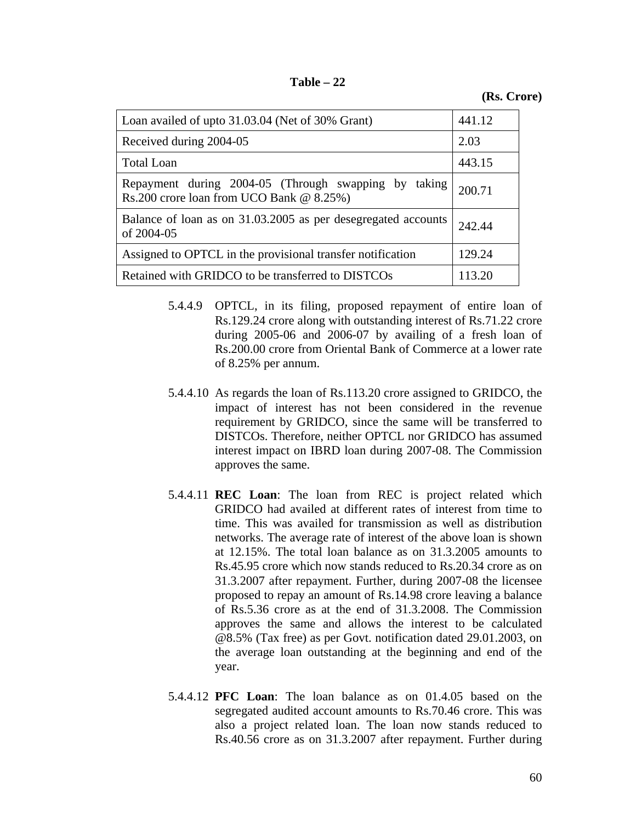| Table |  |
|-------|--|
|-------|--|

**(Rs. Crore)** 

| Loan availed of upto 31.03.04 (Net of 30% Grant)                                                 | 441.12 |
|--------------------------------------------------------------------------------------------------|--------|
| Received during 2004-05                                                                          | 2.03   |
| <b>Total Loan</b>                                                                                | 443.15 |
| Repayment during 2004-05 (Through swapping by taking<br>Rs.200 crore loan from UCO Bank @ 8.25%) | 200.71 |
| Balance of loan as on 31.03.2005 as per desegregated accounts<br>of 2004-05                      | 242.44 |
| Assigned to OPTCL in the provisional transfer notification                                       | 129.24 |
| Retained with GRIDCO to be transferred to DISTCOs                                                | 113.20 |

- 5.4.4.9 OPTCL, in its filing, proposed repayment of entire loan of Rs.129.24 crore along with outstanding interest of Rs.71.22 crore during 2005-06 and 2006-07 by availing of a fresh loan of Rs.200.00 crore from Oriental Bank of Commerce at a lower rate of 8.25% per annum.
- 5.4.4.10 As regards the loan of Rs.113.20 crore assigned to GRIDCO, the impact of interest has not been considered in the revenue requirement by GRIDCO, since the same will be transferred to DISTCOs. Therefore, neither OPTCL nor GRIDCO has assumed interest impact on IBRD loan during 2007-08. The Commission approves the same.
- 5.4.4.11 **REC Loan**: The loan from REC is project related which GRIDCO had availed at different rates of interest from time to time. This was availed for transmission as well as distribution networks. The average rate of interest of the above loan is shown at 12.15%. The total loan balance as on 31.3.2005 amounts to Rs.45.95 crore which now stands reduced to Rs.20.34 crore as on 31.3.2007 after repayment. Further, during 2007-08 the licensee proposed to repay an amount of Rs.14.98 crore leaving a balance of Rs.5.36 crore as at the end of 31.3.2008. The Commission approves the same and allows the interest to be calculated @8.5% (Tax free) as per Govt. notification dated 29.01.2003, on the average loan outstanding at the beginning and end of the year.
- 5.4.4.12 **PFC Loan**: The loan balance as on 01.4.05 based on the segregated audited account amounts to Rs.70.46 crore. This was also a project related loan. The loan now stands reduced to Rs.40.56 crore as on 31.3.2007 after repayment. Further during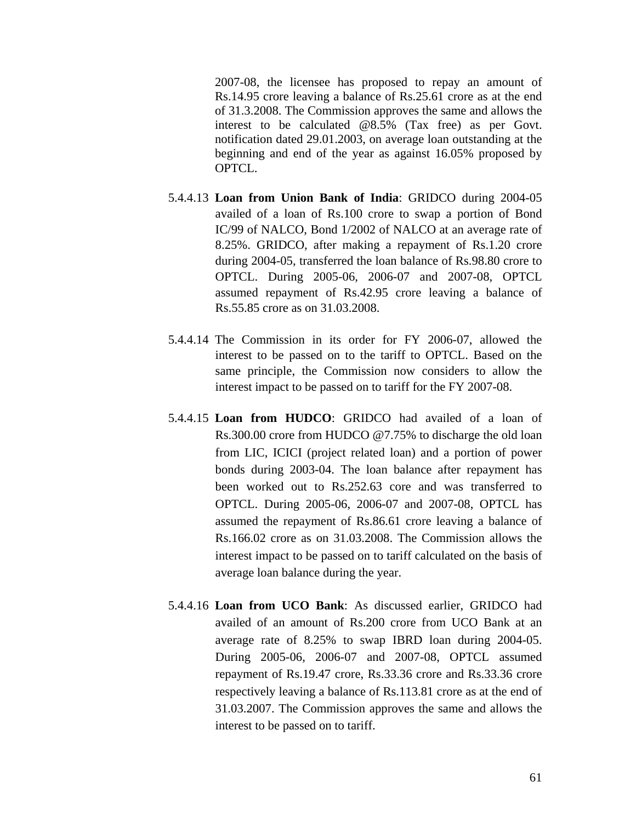2007-08, the licensee has proposed to repay an amount of Rs.14.95 crore leaving a balance of Rs.25.61 crore as at the end of 31.3.2008. The Commission approves the same and allows the interest to be calculated @8.5% (Tax free) as per Govt. notification dated 29.01.2003, on average loan outstanding at the beginning and end of the year as against 16.05% proposed by OPTCL.

- 5.4.4.13 **Loan from Union Bank of India**: GRIDCO during 2004-05 availed of a loan of Rs.100 crore to swap a portion of Bond IC/99 of NALCO, Bond 1/2002 of NALCO at an average rate of 8.25%. GRIDCO, after making a repayment of Rs.1.20 crore during 2004-05, transferred the loan balance of Rs.98.80 crore to OPTCL. During 2005-06, 2006-07 and 2007-08, OPTCL assumed repayment of Rs.42.95 crore leaving a balance of Rs.55.85 crore as on 31.03.2008.
- 5.4.4.14 The Commission in its order for FY 2006-07, allowed the interest to be passed on to the tariff to OPTCL. Based on the same principle, the Commission now considers to allow the interest impact to be passed on to tariff for the FY 2007-08.
- 5.4.4.15 **Loan from HUDCO**: GRIDCO had availed of a loan of Rs.300.00 crore from HUDCO @7.75% to discharge the old loan from LIC, ICICI (project related loan) and a portion of power bonds during 2003-04. The loan balance after repayment has been worked out to Rs.252.63 core and was transferred to OPTCL. During 2005-06, 2006-07 and 2007-08, OPTCL has assumed the repayment of Rs.86.61 crore leaving a balance of Rs.166.02 crore as on 31.03.2008. The Commission allows the interest impact to be passed on to tariff calculated on the basis of average loan balance during the year.
- 5.4.4.16 **Loan from UCO Bank**: As discussed earlier, GRIDCO had availed of an amount of Rs.200 crore from UCO Bank at an average rate of 8.25% to swap IBRD loan during 2004-05. During 2005-06, 2006-07 and 2007-08, OPTCL assumed repayment of Rs.19.47 crore, Rs.33.36 crore and Rs.33.36 crore respectively leaving a balance of Rs.113.81 crore as at the end of 31.03.2007. The Commission approves the same and allows the interest to be passed on to tariff.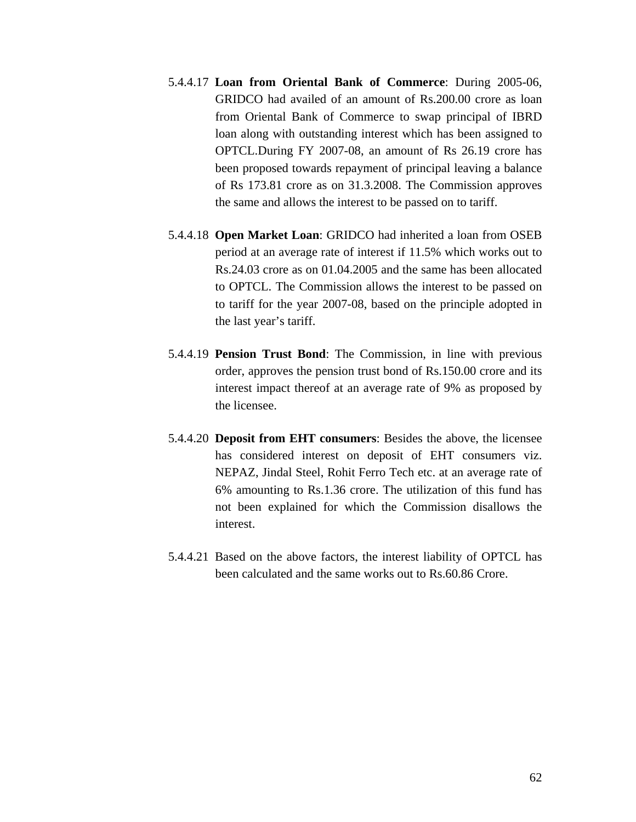- 5.4.4.17 **Loan from Oriental Bank of Commerce**: During 2005-06, GRIDCO had availed of an amount of Rs.200.00 crore as loan from Oriental Bank of Commerce to swap principal of IBRD loan along with outstanding interest which has been assigned to OPTCL.During FY 2007-08, an amount of Rs 26.19 crore has been proposed towards repayment of principal leaving a balance of Rs 173.81 crore as on 31.3.2008. The Commission approves the same and allows the interest to be passed on to tariff.
- 5.4.4.18 **Open Market Loan**: GRIDCO had inherited a loan from OSEB period at an average rate of interest if 11.5% which works out to Rs.24.03 crore as on 01.04.2005 and the same has been allocated to OPTCL. The Commission allows the interest to be passed on to tariff for the year 2007-08, based on the principle adopted in the last year's tariff.
- 5.4.4.19 **Pension Trust Bond**: The Commission, in line with previous order, approves the pension trust bond of Rs.150.00 crore and its interest impact thereof at an average rate of 9% as proposed by the licensee.
- 5.4.4.20 **Deposit from EHT consumers**: Besides the above, the licensee has considered interest on deposit of EHT consumers viz. NEPAZ, Jindal Steel, Rohit Ferro Tech etc. at an average rate of 6% amounting to Rs.1.36 crore. The utilization of this fund has not been explained for which the Commission disallows the interest.
- 5.4.4.21 Based on the above factors, the interest liability of OPTCL has been calculated and the same works out to Rs.60.86 Crore.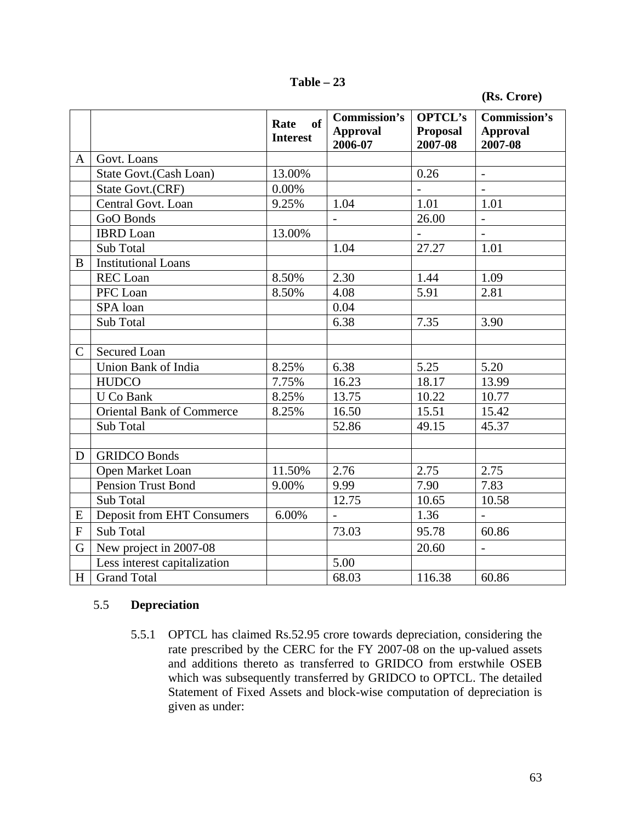**Table – 23** 

|              |                                  | of<br>Rate<br><b>Interest</b> | <b>Commission's</b><br><b>Approval</b><br>2006-07 | <b>OPTCL's</b><br><b>Proposal</b><br>2007-08 | Commission's<br><b>Approval</b><br>2007-08 |
|--------------|----------------------------------|-------------------------------|---------------------------------------------------|----------------------------------------------|--------------------------------------------|
| A            | Govt. Loans                      |                               |                                                   |                                              |                                            |
|              | State Govt. (Cash Loan)          | 13.00%                        |                                                   | 0.26                                         | $\overline{a}$                             |
|              | State Govt.(CRF)                 | 0.00%                         |                                                   |                                              |                                            |
|              | Central Govt. Loan               | 9.25%                         | 1.04                                              | 1.01                                         | 1.01                                       |
|              | GoO Bonds                        |                               | $\blacksquare$                                    | 26.00                                        | $\overline{a}$                             |
|              | <b>IBRD</b> Loan                 | 13.00%                        |                                                   | $\frac{1}{2}$                                | $\overline{a}$                             |
|              | Sub Total                        |                               | 1.04                                              | 27.27                                        | 1.01                                       |
| B            | <b>Institutional Loans</b>       |                               |                                                   |                                              |                                            |
|              | <b>REC</b> Loan                  | 8.50%                         | 2.30                                              | 1.44                                         | 1.09                                       |
|              | PFC Loan                         | 8.50%                         | 4.08                                              | 5.91                                         | 2.81                                       |
|              | SPA loan                         |                               | 0.04                                              |                                              |                                            |
|              | Sub Total                        |                               | 6.38                                              | 7.35                                         | 3.90                                       |
|              |                                  |                               |                                                   |                                              |                                            |
| $\mathsf{C}$ | <b>Secured Loan</b>              |                               |                                                   |                                              |                                            |
|              | Union Bank of India              | 8.25%                         | 6.38                                              | 5.25                                         | 5.20                                       |
|              | <b>HUDCO</b>                     | 7.75%                         | 16.23                                             | 18.17                                        | 13.99                                      |
|              | U Co Bank                        | 8.25%                         | 13.75                                             | 10.22                                        | 10.77                                      |
|              | <b>Oriental Bank of Commerce</b> | 8.25%                         | 16.50                                             | 15.51                                        | 15.42                                      |
|              | Sub Total                        |                               | 52.86                                             | 49.15                                        | 45.37                                      |
|              |                                  |                               |                                                   |                                              |                                            |
| D            | <b>GRIDCO Bonds</b>              |                               |                                                   |                                              |                                            |
|              | Open Market Loan                 | 11.50%                        | 2.76                                              | 2.75                                         | 2.75                                       |
|              | <b>Pension Trust Bond</b>        | 9.00%                         | 9.99                                              | 7.90                                         | 7.83                                       |
|              | Sub Total                        |                               | 12.75                                             | 10.65                                        | 10.58                                      |
| E            | Deposit from EHT Consumers       | 6.00%                         | $\overline{a}$                                    | 1.36                                         | $\overline{a}$                             |
| ${\bf F}$    | <b>Sub Total</b>                 |                               | 73.03                                             | 95.78                                        | 60.86                                      |
| G            | New project in 2007-08           |                               |                                                   | 20.60                                        | $\overline{a}$                             |
|              | Less interest capitalization     |                               | 5.00                                              |                                              |                                            |
| H            | <b>Grand Total</b>               |                               | 68.03                                             | 116.38                                       | 60.86                                      |

# 5.5 **Depreciation**

5.5.1 OPTCL has claimed Rs.52.95 crore towards depreciation, considering the rate prescribed by the CERC for the FY 2007-08 on the up-valued assets and additions thereto as transferred to GRIDCO from erstwhile OSEB which was subsequently transferred by GRIDCO to OPTCL. The detailed Statement of Fixed Assets and block-wise computation of depreciation is given as under: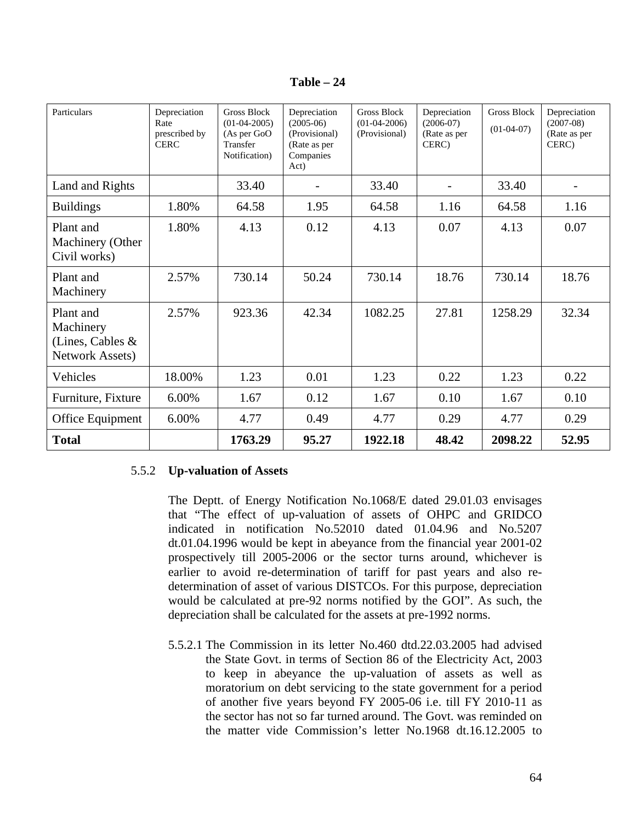| Fable |  |
|-------|--|
|-------|--|

| Particulars                                                      | Depreciation<br>Rate<br>prescribed by<br><b>CERC</b> | Gross Block<br>$(01-04-2005)$<br>(As per GoO<br>Transfer<br>Notification) | Depreciation<br>$(2005-06)$<br>(Provisional)<br>(Rate as per<br>Companies<br>Act) | Gross Block<br>$(01-04-2006)$<br>(Provisional) | Depreciation<br>$(2006-07)$<br>(Rate as per<br>CERC) | <b>Gross Block</b><br>$(01-04-07)$ | Depreciation<br>$(2007-08)$<br>(Rate as per<br>CERC) |
|------------------------------------------------------------------|------------------------------------------------------|---------------------------------------------------------------------------|-----------------------------------------------------------------------------------|------------------------------------------------|------------------------------------------------------|------------------------------------|------------------------------------------------------|
| Land and Rights                                                  |                                                      | 33.40                                                                     |                                                                                   | 33.40                                          |                                                      | 33.40                              |                                                      |
| <b>Buildings</b>                                                 | 1.80%                                                | 64.58                                                                     | 1.95                                                                              | 64.58                                          | 1.16                                                 | 64.58                              | 1.16                                                 |
| Plant and<br>Machinery (Other<br>Civil works)                    | 1.80%                                                | 4.13                                                                      | 0.12                                                                              | 4.13                                           | 0.07                                                 | 4.13                               | 0.07                                                 |
| Plant and<br>Machinery                                           | 2.57%                                                | 730.14                                                                    | 50.24                                                                             | 730.14                                         | 18.76                                                | 730.14                             | 18.76                                                |
| Plant and<br>Machinery<br>(Lines, Cables $\&$<br>Network Assets) | 2.57%                                                | 923.36                                                                    | 42.34                                                                             | 1082.25                                        | 27.81                                                | 1258.29                            | 32.34                                                |
| Vehicles                                                         | 18.00%                                               | 1.23                                                                      | 0.01                                                                              | 1.23                                           | 0.22                                                 | 1.23                               | 0.22                                                 |
| Furniture, Fixture                                               | 6.00%                                                | 1.67                                                                      | 0.12                                                                              | 1.67                                           | 0.10                                                 | 1.67                               | 0.10                                                 |
| Office Equipment                                                 | 6.00%                                                | 4.77                                                                      | 0.49                                                                              | 4.77                                           | 0.29                                                 | 4.77                               | 0.29                                                 |
| <b>Total</b>                                                     |                                                      | 1763.29                                                                   | 95.27                                                                             | 1922.18                                        | 48.42                                                | 2098.22                            | 52.95                                                |

# 5.5.2 **Up-valuation of Assets**

The Deptt. of Energy Notification No.1068/E dated 29.01.03 envisages that "The effect of up-valuation of assets of OHPC and GRIDCO indicated in notification No.52010 dated 01.04.96 and No.5207 dt.01.04.1996 would be kept in abeyance from the financial year 2001-02 prospectively till 2005-2006 or the sector turns around, whichever is earlier to avoid re-determination of tariff for past years and also redetermination of asset of various DISTCOs. For this purpose, depreciation would be calculated at pre-92 norms notified by the GOI". As such, the depreciation shall be calculated for the assets at pre-1992 norms.

5.5.2.1 The Commission in its letter No.460 dtd.22.03.2005 had advised the State Govt. in terms of Section 86 of the Electricity Act, 2003 to keep in abeyance the up-valuation of assets as well as moratorium on debt servicing to the state government for a period of another five years beyond FY 2005-06 i.e. till FY 2010-11 as the sector has not so far turned around. The Govt. was reminded on the matter vide Commission's letter No.1968 dt.16.12.2005 to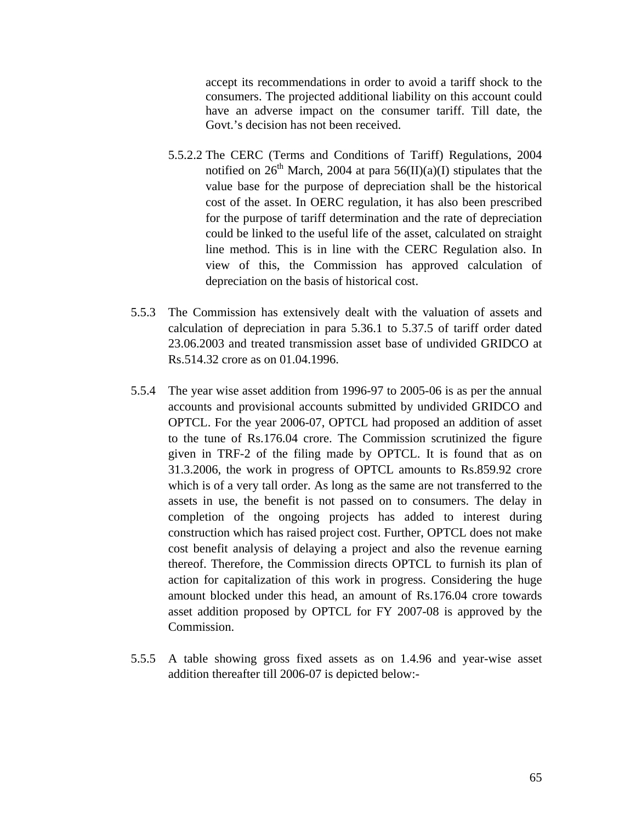accept its recommendations in order to avoid a tariff shock to the consumers. The projected additional liability on this account could have an adverse impact on the consumer tariff. Till date, the Govt.'s decision has not been received.

- 5.5.2.2 The CERC (Terms and Conditions of Tariff) Regulations, 2004 notified on  $26<sup>th</sup>$  March, 2004 at para  $56(II)(a)(I)$  stipulates that the value base for the purpose of depreciation shall be the historical cost of the asset. In OERC regulation, it has also been prescribed for the purpose of tariff determination and the rate of depreciation could be linked to the useful life of the asset, calculated on straight line method. This is in line with the CERC Regulation also. In view of this, the Commission has approved calculation of depreciation on the basis of historical cost.
- 5.5.3 The Commission has extensively dealt with the valuation of assets and calculation of depreciation in para 5.36.1 to 5.37.5 of tariff order dated 23.06.2003 and treated transmission asset base of undivided GRIDCO at Rs.514.32 crore as on 01.04.1996.
- 5.5.4 The year wise asset addition from 1996-97 to 2005-06 is as per the annual accounts and provisional accounts submitted by undivided GRIDCO and OPTCL. For the year 2006-07, OPTCL had proposed an addition of asset to the tune of Rs.176.04 crore. The Commission scrutinized the figure given in TRF-2 of the filing made by OPTCL. It is found that as on 31.3.2006, the work in progress of OPTCL amounts to Rs.859.92 crore which is of a very tall order. As long as the same are not transferred to the assets in use, the benefit is not passed on to consumers. The delay in completion of the ongoing projects has added to interest during construction which has raised project cost. Further, OPTCL does not make cost benefit analysis of delaying a project and also the revenue earning thereof. Therefore, the Commission directs OPTCL to furnish its plan of action for capitalization of this work in progress. Considering the huge amount blocked under this head, an amount of Rs.176.04 crore towards asset addition proposed by OPTCL for FY 2007-08 is approved by the Commission.
- 5.5.5 A table showing gross fixed assets as on 1.4.96 and year-wise asset addition thereafter till 2006-07 is depicted below:-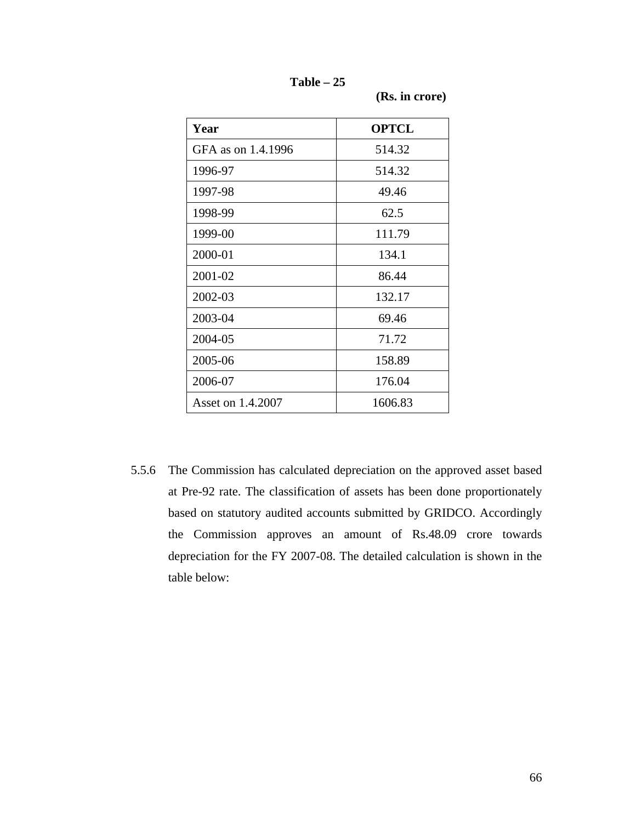**Table – 25** 

 **(Rs. in crore)**

| Year               | <b>OPTCL</b> |
|--------------------|--------------|
| GFA as on 1.4.1996 | 514.32       |
| 1996-97            | 514.32       |
| 1997-98            | 49.46        |
| 1998-99            | 62.5         |
| 1999-00            | 111.79       |
| 2000-01            | 134.1        |
| 2001-02            | 86.44        |
| 2002-03            | 132.17       |
| 2003-04            | 69.46        |
| 2004-05            | 71.72        |
| 2005-06            | 158.89       |
| 2006-07            | 176.04       |
| Asset on 1.4.2007  | 1606.83      |

5.5.6 The Commission has calculated depreciation on the approved asset based at Pre-92 rate. The classification of assets has been done proportionately based on statutory audited accounts submitted by GRIDCO. Accordingly the Commission approves an amount of Rs.48.09 crore towards depreciation for the FY 2007-08. The detailed calculation is shown in the table below: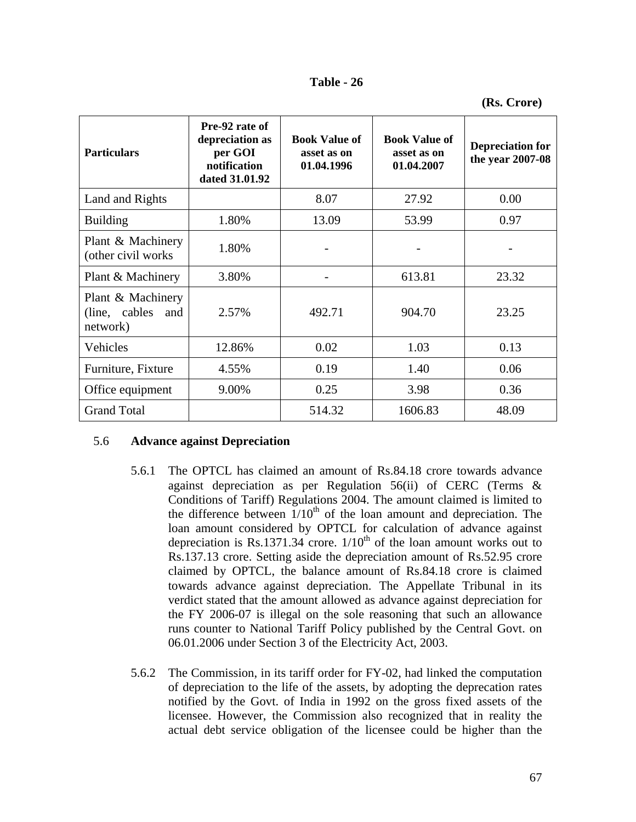| Table |  | 26 |
|-------|--|----|
|-------|--|----|

| <b>Particulars</b>                                 | Pre-92 rate of<br>depreciation as<br>per GOI<br>notification<br>dated 31.01.92 | <b>Book Value of</b><br>asset as on<br>01.04.1996 | <b>Book Value of</b><br>asset as on<br>01.04.2007 | <b>Depreciation for</b><br>the year 2007-08 |
|----------------------------------------------------|--------------------------------------------------------------------------------|---------------------------------------------------|---------------------------------------------------|---------------------------------------------|
| Land and Rights                                    |                                                                                | 8.07                                              | 27.92                                             | 0.00                                        |
| <b>Building</b>                                    | 1.80%                                                                          | 13.09                                             | 53.99                                             | 0.97                                        |
| Plant & Machinery<br>(other civil works            | 1.80%                                                                          |                                                   |                                                   |                                             |
| Plant & Machinery                                  | 3.80%                                                                          |                                                   | 613.81                                            | 23.32                                       |
| Plant & Machinery<br>(line, cables and<br>network) | 2.57%                                                                          | 492.71                                            | 904.70                                            | 23.25                                       |
| Vehicles                                           | 12.86%                                                                         | 0.02                                              | 1.03                                              | 0.13                                        |
| Furniture, Fixture                                 | 4.55%                                                                          | 0.19                                              | 1.40                                              | 0.06                                        |
| Office equipment                                   | 9.00%                                                                          | 0.25                                              | 3.98                                              | 0.36                                        |
| <b>Grand Total</b>                                 |                                                                                | 514.32                                            | 1606.83                                           | 48.09                                       |

# 5.6 **Advance against Depreciation**

- 5.6.1 The OPTCL has claimed an amount of Rs.84.18 crore towards advance against depreciation as per Regulation 56(ii) of CERC (Terms & Conditions of Tariff) Regulations 2004. The amount claimed is limited to the difference between  $1/10^{th}$  of the loan amount and depreciation. The loan amount considered by OPTCL for calculation of advance against depreciation is Rs.1371.34 crore.  $1/10^{th}$  of the loan amount works out to Rs.137.13 crore. Setting aside the depreciation amount of Rs.52.95 crore claimed by OPTCL, the balance amount of Rs.84.18 crore is claimed towards advance against depreciation. The Appellate Tribunal in its verdict stated that the amount allowed as advance against depreciation for the FY 2006-07 is illegal on the sole reasoning that such an allowance runs counter to National Tariff Policy published by the Central Govt. on 06.01.2006 under Section 3 of the Electricity Act, 2003.
- 5.6.2 The Commission, in its tariff order for FY-02, had linked the computation of depreciation to the life of the assets, by adopting the deprecation rates notified by the Govt. of India in 1992 on the gross fixed assets of the licensee. However, the Commission also recognized that in reality the actual debt service obligation of the licensee could be higher than the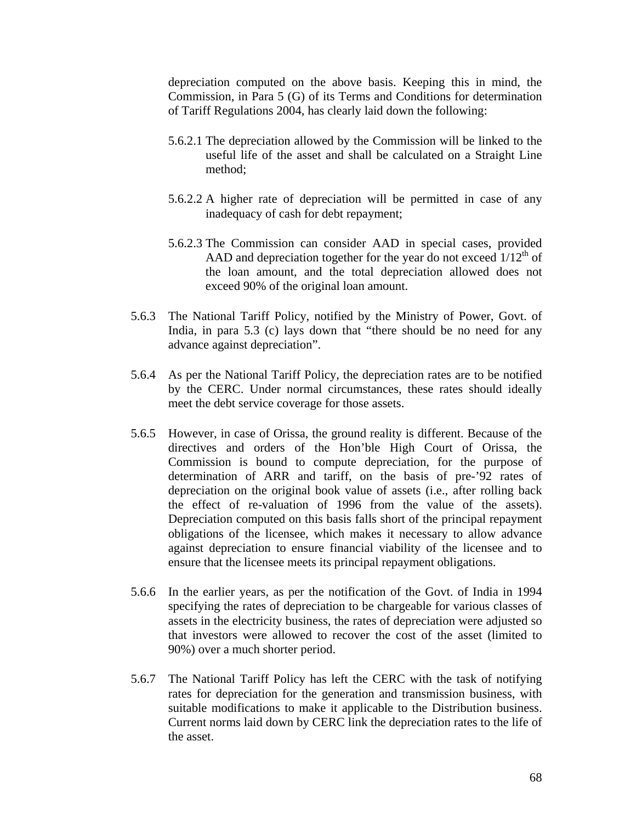depreciation computed on the above basis. Keeping this in mind, the Commission, in Para 5 (G) of its Terms and Conditions for determination of Tariff Regulations 2004, has clearly laid down the following:

- 5.6.2.1 The depreciation allowed by the Commission will be linked to the useful life of the asset and shall be calculated on a Straight Line method;
- 5.6.2.2 A higher rate of depreciation will be permitted in case of any inadequacy of cash for debt repayment;
- 5.6.2.3 The Commission can consider AAD in special cases, provided AAD and depreciation together for the year do not exceed  $1/12<sup>th</sup>$  of the loan amount, and the total depreciation allowed does not exceed 90% of the original loan amount.
- 5.6.3 The National Tariff Policy, notified by the Ministry of Power, Govt. of India, in para 5.3 (c) lays down that "there should be no need for any advance against depreciation".
- 5.6.4 As per the National Tariff Policy, the depreciation rates are to be notified by the CERC. Under normal circumstances, these rates should ideally meet the debt service coverage for those assets.
- 5.6.5 However, in case of Orissa, the ground reality is different. Because of the directives and orders of the Hon'ble High Court of Orissa, the Commission is bound to compute depreciation, for the purpose of determination of ARR and tariff, on the basis of pre-'92 rates of depreciation on the original book value of assets (i.e., after rolling back the effect of re-valuation of 1996 from the value of the assets). Depreciation computed on this basis falls short of the principal repayment obligations of the licensee, which makes it necessary to allow advance against depreciation to ensure financial viability of the licensee and to ensure that the licensee meets its principal repayment obligations.
- 5.6.6 In the earlier years, as per the notification of the Govt. of India in 1994 specifying the rates of depreciation to be chargeable for various classes of assets in the electricity business, the rates of depreciation were adjusted so that investors were allowed to recover the cost of the asset (limited to 90%) over a much shorter period.
- 5.6.7 The National Tariff Policy has left the CERC with the task of notifying rates for depreciation for the generation and transmission business, with suitable modifications to make it applicable to the Distribution business. Current norms laid down by CERC link the depreciation rates to the life of the asset.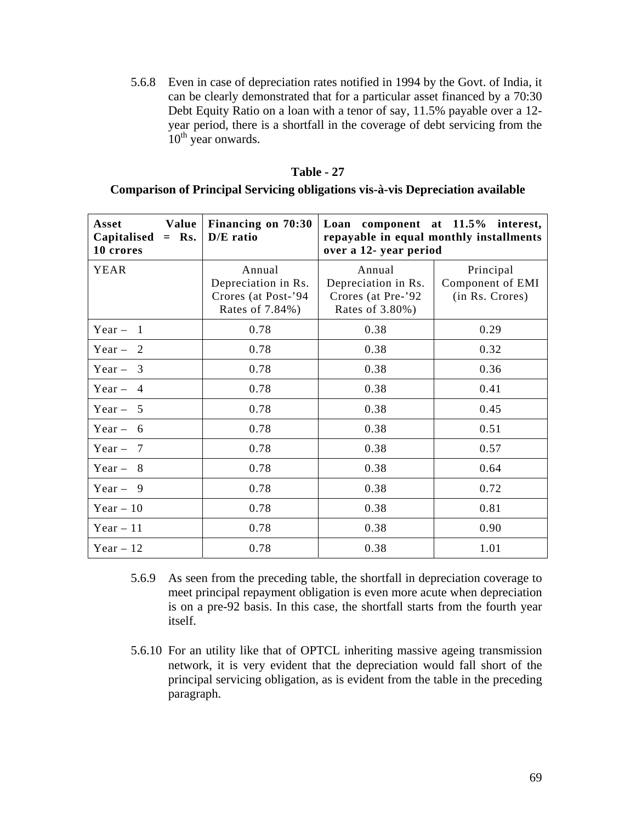5.6.8 Even in case of depreciation rates notified in 1994 by the Govt. of India, it can be clearly demonstrated that for a particular asset financed by a 70:30 Debt Equity Ratio on a loan with a tenor of say, 11.5% payable over a 12 year period, there is a shortfall in the coverage of debt servicing from the 10<sup>th</sup> year onwards.

#### **Table - 27**

# **Comparison of Principal Servicing obligations vis-à-vis Depreciation available**

| Value  <br>Asset<br>Capitalised $=$ Rs.<br>10 crores | Financing on 70:30<br>D/E ratio                                         | Loan component at 11.5% interest,<br>repayable in equal monthly installments<br>over a 12- year period |                                                  |  |
|------------------------------------------------------|-------------------------------------------------------------------------|--------------------------------------------------------------------------------------------------------|--------------------------------------------------|--|
| <b>YEAR</b>                                          | Annual<br>Depreciation in Rs.<br>Crores (at Post-'94<br>Rates of 7.84%) | Annual<br>Depreciation in Rs.<br>Crores (at Pre-'92<br>Rates of 3.80%)                                 | Principal<br>Component of EMI<br>(in Rs. Crores) |  |
| Year $-1$                                            | 0.78                                                                    | 0.38                                                                                                   | 0.29                                             |  |
| Year $-2$                                            | 0.78                                                                    | 0.38                                                                                                   | 0.32                                             |  |
| Year $-3$                                            | 0.78                                                                    | 0.38                                                                                                   | 0.36                                             |  |
| Year $-4$                                            | 0.78                                                                    | 0.38                                                                                                   | 0.41                                             |  |
| Year $-5$                                            | 0.78                                                                    | 0.38                                                                                                   | 0.45                                             |  |
| Year $-6$                                            | 0.78                                                                    | 0.38                                                                                                   | 0.51                                             |  |
| Year $-7$                                            | 0.78                                                                    | 0.38                                                                                                   | 0.57                                             |  |
| Year $-8$                                            | 0.78                                                                    | 0.38                                                                                                   | 0.64                                             |  |
| Year $-9$                                            | 0.78                                                                    | 0.38                                                                                                   | 0.72                                             |  |
| Year $-10$                                           | 0.78                                                                    | 0.38                                                                                                   | 0.81                                             |  |
| Year $-11$                                           | 0.78                                                                    | 0.38                                                                                                   | 0.90                                             |  |
| Year $-12$                                           | 0.78                                                                    | 0.38                                                                                                   | 1.01                                             |  |

- 5.6.9 As seen from the preceding table, the shortfall in depreciation coverage to meet principal repayment obligation is even more acute when depreciation is on a pre-92 basis. In this case, the shortfall starts from the fourth year itself.
- 5.6.10 For an utility like that of OPTCL inheriting massive ageing transmission network, it is very evident that the depreciation would fall short of the principal servicing obligation, as is evident from the table in the preceding paragraph.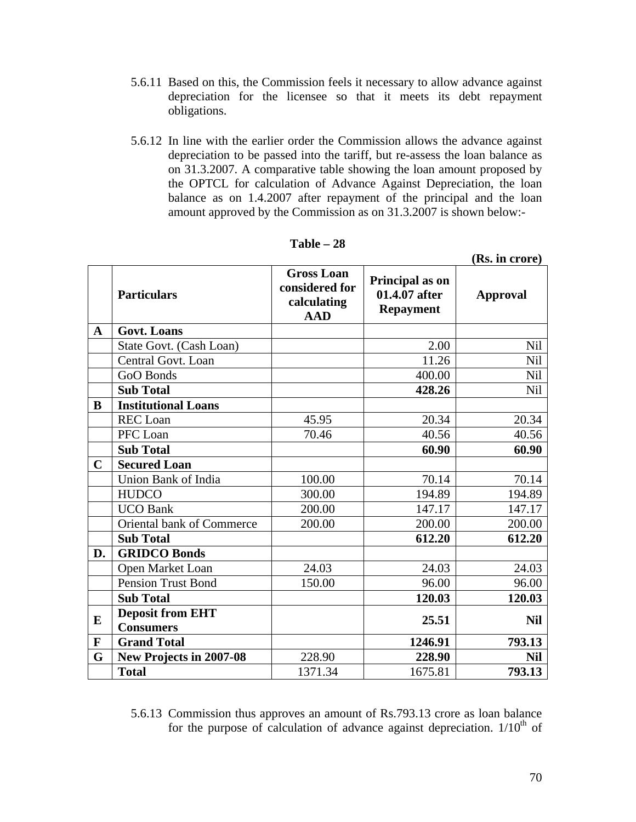- 5.6.11 Based on this, the Commission feels it necessary to allow advance against depreciation for the licensee so that it meets its debt repayment obligations.
- 5.6.12 In line with the earlier order the Commission allows the advance against depreciation to be passed into the tariff, but re-assess the loan balance as on 31.3.2007. A comparative table showing the loan amount proposed by the OPTCL for calculation of Advance Against Depreciation, the loan balance as on 1.4.2007 after repayment of the principal and the loan amount approved by the Commission as on 31.3.2007 is shown below:-

|             |                            |                                                                  |                                                      | 1190 MI CLOIV   |
|-------------|----------------------------|------------------------------------------------------------------|------------------------------------------------------|-----------------|
|             | <b>Particulars</b>         | <b>Gross Loan</b><br>considered for<br>calculating<br><b>AAD</b> | Principal as on<br>01.4.07 after<br><b>Repayment</b> | <b>Approval</b> |
| $\mathbf A$ | <b>Govt. Loans</b>         |                                                                  |                                                      |                 |
|             | State Govt. (Cash Loan)    |                                                                  | 2.00                                                 | Nil             |
|             | Central Govt. Loan         |                                                                  | 11.26                                                | Nil             |
|             | GoO Bonds                  |                                                                  | 400.00                                               | Nil             |
|             | <b>Sub Total</b>           |                                                                  | 428.26                                               | <b>Nil</b>      |
| B           | <b>Institutional Loans</b> |                                                                  |                                                      |                 |
|             | <b>REC</b> Loan            | 45.95                                                            | 20.34                                                | 20.34           |
|             | PFC Loan                   | 70.46                                                            | 40.56                                                | 40.56           |
|             | <b>Sub Total</b>           |                                                                  | 60.90                                                | 60.90           |
| $\mathbf C$ | <b>Secured Loan</b>        |                                                                  |                                                      |                 |
|             | Union Bank of India        | 100.00                                                           | 70.14                                                | 70.14           |
|             | <b>HUDCO</b>               | 300.00                                                           | 194.89                                               | 194.89          |
|             | <b>UCO Bank</b>            | 200.00                                                           | 147.17                                               | 147.17          |
|             | Oriental bank of Commerce  | 200.00                                                           | 200.00                                               | 200.00          |
|             | <b>Sub Total</b>           |                                                                  | 612.20                                               | 612.20          |
| D.          | <b>GRIDCO Bonds</b>        |                                                                  |                                                      |                 |
|             | Open Market Loan           | 24.03                                                            | 24.03                                                | 24.03           |
|             | <b>Pension Trust Bond</b>  | 150.00                                                           | 96.00                                                | 96.00           |
|             | <b>Sub Total</b>           |                                                                  | 120.03                                               | 120.03          |
| E           | <b>Deposit from EHT</b>    |                                                                  | 25.51                                                | <b>Nil</b>      |
|             | <b>Consumers</b>           |                                                                  |                                                      |                 |
| $\mathbf F$ | <b>Grand Total</b>         |                                                                  | 1246.91                                              | 793.13          |
| G           | New Projects in 2007-08    | 228.90                                                           | 228.90                                               | <b>Nil</b>      |
|             | <b>Total</b>               | 1371.34                                                          | 1675.81                                              | 793.13          |

**Table – 28** 

5.6.13 Commission thus approves an amount of Rs.793.13 crore as loan balance for the purpose of calculation of advance against depreciation.  $1/10<sup>th</sup>$  of

**(Rs. in crore)**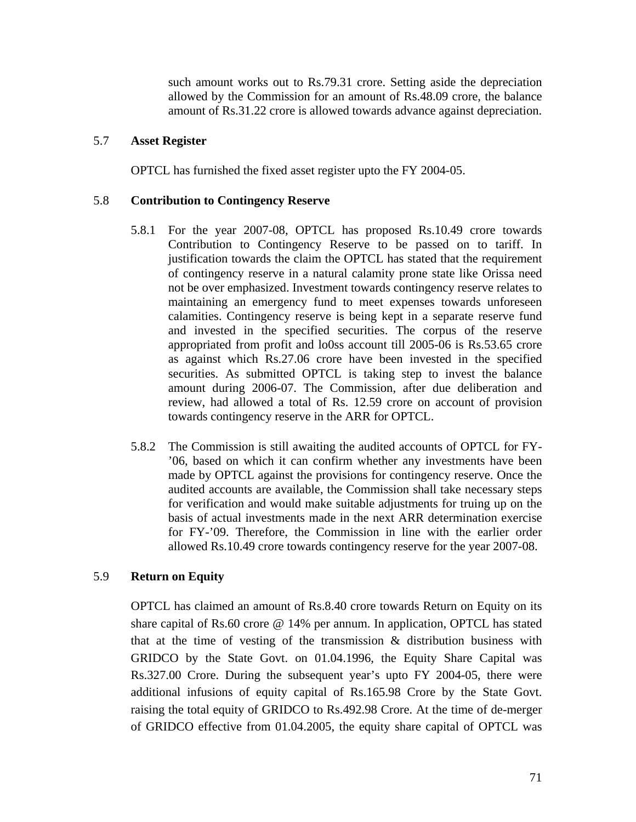such amount works out to Rs.79.31 crore. Setting aside the depreciation allowed by the Commission for an amount of Rs.48.09 crore, the balance amount of Rs.31.22 crore is allowed towards advance against depreciation.

### 5.7 **Asset Register**

OPTCL has furnished the fixed asset register upto the FY 2004-05.

### 5.8 **Contribution to Contingency Reserve**

- 5.8.1 For the year 2007-08, OPTCL has proposed Rs.10.49 crore towards Contribution to Contingency Reserve to be passed on to tariff. In justification towards the claim the OPTCL has stated that the requirement of contingency reserve in a natural calamity prone state like Orissa need not be over emphasized. Investment towards contingency reserve relates to maintaining an emergency fund to meet expenses towards unforeseen calamities. Contingency reserve is being kept in a separate reserve fund and invested in the specified securities. The corpus of the reserve appropriated from profit and lo0ss account till 2005-06 is Rs.53.65 crore as against which Rs.27.06 crore have been invested in the specified securities. As submitted OPTCL is taking step to invest the balance amount during 2006-07. The Commission, after due deliberation and review, had allowed a total of Rs. 12.59 crore on account of provision towards contingency reserve in the ARR for OPTCL.
- 5.8.2 The Commission is still awaiting the audited accounts of OPTCL for FY- '06, based on which it can confirm whether any investments have been made by OPTCL against the provisions for contingency reserve. Once the audited accounts are available, the Commission shall take necessary steps for verification and would make suitable adjustments for truing up on the basis of actual investments made in the next ARR determination exercise for FY-'09. Therefore, the Commission in line with the earlier order allowed Rs.10.49 crore towards contingency reserve for the year 2007-08.

# 5.9 **Return on Equity**

OPTCL has claimed an amount of Rs.8.40 crore towards Return on Equity on its share capital of Rs.60 crore @ 14% per annum. In application, OPTCL has stated that at the time of vesting of the transmission  $\&$  distribution business with GRIDCO by the State Govt. on 01.04.1996, the Equity Share Capital was Rs.327.00 Crore. During the subsequent year's upto FY 2004-05, there were additional infusions of equity capital of Rs.165.98 Crore by the State Govt. raising the total equity of GRIDCO to Rs.492.98 Crore. At the time of de-merger of GRIDCO effective from 01.04.2005, the equity share capital of OPTCL was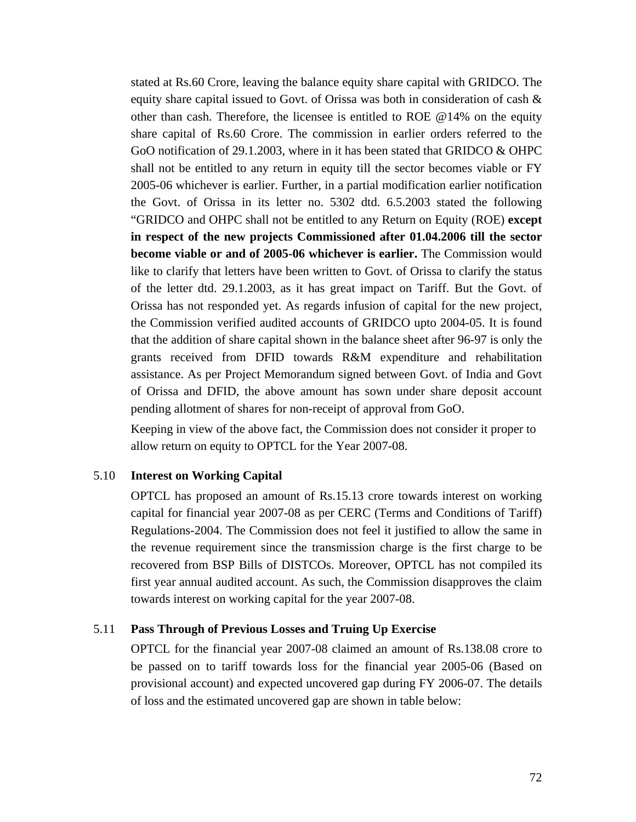stated at Rs.60 Crore, leaving the balance equity share capital with GRIDCO. The equity share capital issued to Govt. of Orissa was both in consideration of cash  $\&$ other than cash. Therefore, the licensee is entitled to ROE @14% on the equity share capital of Rs.60 Crore. The commission in earlier orders referred to the GoO notification of 29.1.2003, where in it has been stated that GRIDCO & OHPC shall not be entitled to any return in equity till the sector becomes viable or FY 2005-06 whichever is earlier. Further, in a partial modification earlier notification the Govt. of Orissa in its letter no. 5302 dtd. 6.5.2003 stated the following "GRIDCO and OHPC shall not be entitled to any Return on Equity (ROE) **except in respect of the new projects Commissioned after 01.04.2006 till the sector become viable or and of 2005-06 whichever is earlier.** The Commission would like to clarify that letters have been written to Govt. of Orissa to clarify the status of the letter dtd. 29.1.2003, as it has great impact on Tariff. But the Govt. of Orissa has not responded yet. As regards infusion of capital for the new project, the Commission verified audited accounts of GRIDCO upto 2004-05. It is found that the addition of share capital shown in the balance sheet after 96-97 is only the grants received from DFID towards R&M expenditure and rehabilitation assistance. As per Project Memorandum signed between Govt. of India and Govt of Orissa and DFID, the above amount has sown under share deposit account pending allotment of shares for non-receipt of approval from GoO.

Keeping in view of the above fact, the Commission does not consider it proper to allow return on equity to OPTCL for the Year 2007-08.

### 5.10 **Interest on Working Capital**

OPTCL has proposed an amount of Rs.15.13 crore towards interest on working capital for financial year 2007-08 as per CERC (Terms and Conditions of Tariff) Regulations-2004. The Commission does not feel it justified to allow the same in the revenue requirement since the transmission charge is the first charge to be recovered from BSP Bills of DISTCOs. Moreover, OPTCL has not compiled its first year annual audited account. As such, the Commission disapproves the claim towards interest on working capital for the year 2007-08.

#### 5.11 **Pass Through of Previous Losses and Truing Up Exercise**

OPTCL for the financial year 2007-08 claimed an amount of Rs.138.08 crore to be passed on to tariff towards loss for the financial year 2005-06 (Based on provisional account) and expected uncovered gap during FY 2006-07. The details of loss and the estimated uncovered gap are shown in table below: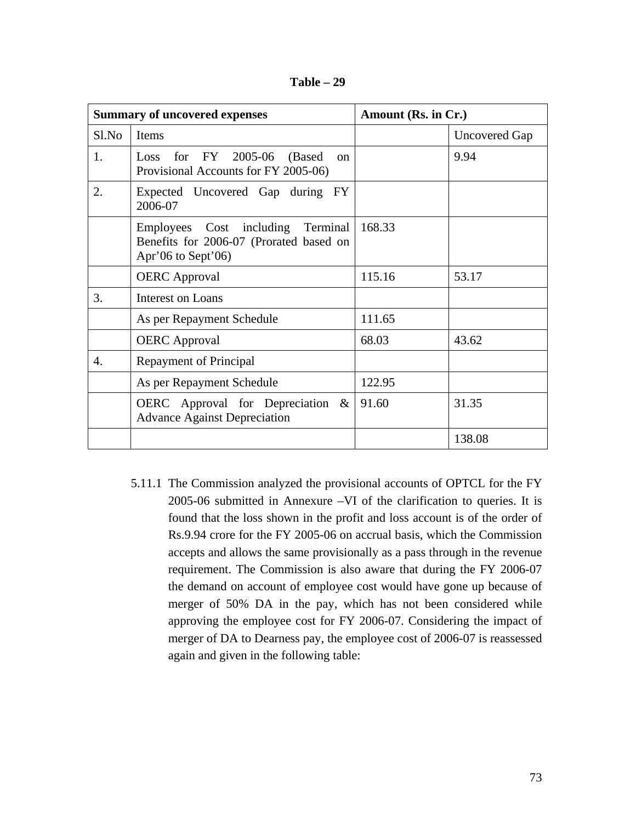| Table |  |
|-------|--|
|-------|--|

| <b>Summary of uncovered expenses</b> |                                                                                                    | Amount (Rs. in Cr.) |               |
|--------------------------------------|----------------------------------------------------------------------------------------------------|---------------------|---------------|
| $S1$ . No                            | <b>Items</b>                                                                                       |                     | Uncovered Gap |
| 1.                                   | Loss for $FY$ 2005-06<br>(Based)<br>$\alpha$<br>Provisional Accounts for FY 2005-06)               |                     | 9.94          |
| 2.                                   | Expected Uncovered Gap during FY<br>2006-07                                                        |                     |               |
|                                      | Employees Cost including Terminal<br>Benefits for 2006-07 (Prorated based on<br>Apr'06 to Sept'06) | 168.33              |               |
|                                      | <b>OERC</b> Approval                                                                               | 115.16              | 53.17         |
| 3.                                   | <b>Interest on Loans</b>                                                                           |                     |               |
|                                      | As per Repayment Schedule                                                                          | 111.65              |               |
|                                      | <b>OERC</b> Approval                                                                               | 68.03               | 43.62         |
| 4.                                   | <b>Repayment of Principal</b>                                                                      |                     |               |
|                                      | As per Repayment Schedule                                                                          | 122.95              |               |
|                                      | OERC Approval for Depreciation $\&$<br><b>Advance Against Depreciation</b>                         | 91.60               | 31.35         |
|                                      |                                                                                                    |                     | 138.08        |

5.11.1 The Commission analyzed the provisional accounts of OPTCL for the FY 2005-06 submitted in Annexure –VI of the clarification to queries. It is found that the loss shown in the profit and loss account is of the order of Rs.9.94 crore for the FY 2005-06 on accrual basis, which the Commission accepts and allows the same provisionally as a pass through in the revenue requirement. The Commission is also aware that during the FY 2006-07 the demand on account of employee cost would have gone up because of merger of 50% DA in the pay, which has not been considered while approving the employee cost for FY 2006-07. Considering the impact of merger of DA to Dearness pay, the employee cost of 2006-07 is reassessed again and given in the following table: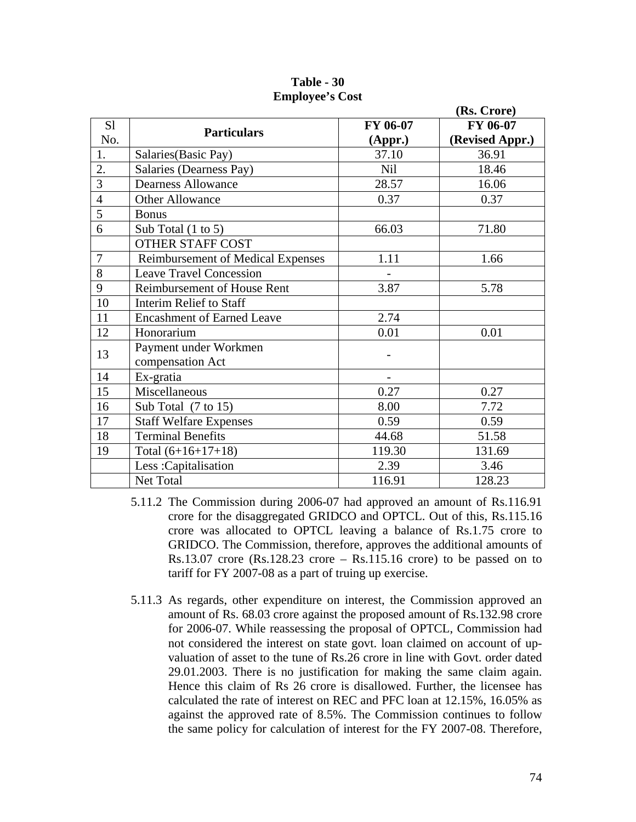|                |                                          |            | (Rs. Crore)     |
|----------------|------------------------------------------|------------|-----------------|
| S <sub>1</sub> | <b>Particulars</b>                       | FY 06-07   | FY 06-07        |
| No.            |                                          | (Appr.)    | (Revised Appr.) |
| 1.             | Salaries (Basic Pay)                     | 37.10      | 36.91           |
| 2.             | Salaries (Dearness Pay)                  | <b>Nil</b> | 18.46           |
| 3              | <b>Dearness Allowance</b>                | 28.57      | 16.06           |
| $\overline{4}$ | <b>Other Allowance</b>                   | 0.37       | 0.37            |
| 5              | <b>Bonus</b>                             |            |                 |
| 6              | Sub Total $(1 \text{ to } 5)$            | 66.03      | 71.80           |
|                | OTHER STAFF COST                         |            |                 |
| $\overline{7}$ | <b>Reimbursement of Medical Expenses</b> | 1.11       | 1.66            |
| 8              | <b>Leave Travel Concession</b>           |            |                 |
| 9              | Reimbursement of House Rent              | 3.87       | 5.78            |
| 10             | <b>Interim Relief to Staff</b>           |            |                 |
| 11             | <b>Encashment of Earned Leave</b>        | 2.74       |                 |
| 12             | Honorarium                               | 0.01       | 0.01            |
| 13             | Payment under Workmen                    |            |                 |
|                | compensation Act                         |            |                 |
| 14             | Ex-gratia                                |            |                 |
| 15             | Miscellaneous                            | 0.27       | 0.27            |
| 16             | Sub Total (7 to 15)                      | 8.00       | 7.72            |
| 17             | <b>Staff Welfare Expenses</b>            | 0.59       | 0.59            |
| 18             | <b>Terminal Benefits</b>                 | 44.68      | 51.58           |
| 19             | Total $(6+16+17+18)$                     | 119.30     | 131.69          |
|                | Less: Capitalisation                     | 2.39       | 3.46            |
|                | Net Total                                | 116.91     | 128.23          |

**Table - 30 Employee's Cost** 

- 5.11.2 The Commission during 2006-07 had approved an amount of Rs.116.91 crore for the disaggregated GRIDCO and OPTCL. Out of this, Rs.115.16 crore was allocated to OPTCL leaving a balance of Rs.1.75 crore to GRIDCO. The Commission, therefore, approves the additional amounts of Rs.13.07 crore  $(Rs.128.23$  crore – Rs.115.16 crore) to be passed on to tariff for FY 2007-08 as a part of truing up exercise.
- 5.11.3 As regards, other expenditure on interest, the Commission approved an amount of Rs. 68.03 crore against the proposed amount of Rs.132.98 crore for 2006-07. While reassessing the proposal of OPTCL, Commission had not considered the interest on state govt. loan claimed on account of upvaluation of asset to the tune of Rs.26 crore in line with Govt. order dated 29.01.2003. There is no justification for making the same claim again. Hence this claim of Rs 26 crore is disallowed. Further, the licensee has calculated the rate of interest on REC and PFC loan at 12.15%, 16.05% as against the approved rate of 8.5%. The Commission continues to follow the same policy for calculation of interest for the FY 2007-08. Therefore,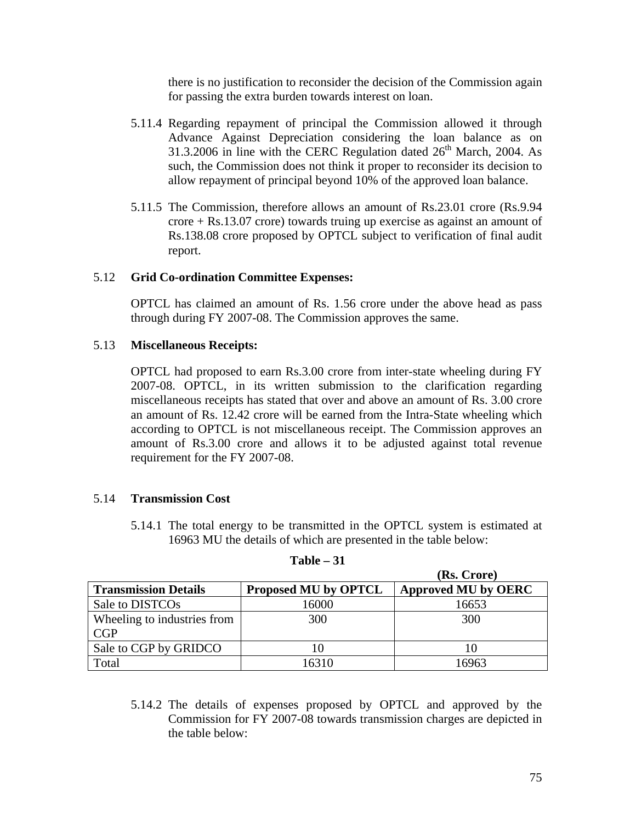there is no justification to reconsider the decision of the Commission again for passing the extra burden towards interest on loan.

- 5.11.4 Regarding repayment of principal the Commission allowed it through Advance Against Depreciation considering the loan balance as on 31.3.2006 in line with the CERC Regulation dated  $26<sup>th</sup>$  March, 2004. As such, the Commission does not think it proper to reconsider its decision to allow repayment of principal beyond 10% of the approved loan balance.
- 5.11.5 The Commission, therefore allows an amount of Rs.23.01 crore (Rs.9.94 crore + Rs.13.07 crore) towards truing up exercise as against an amount of Rs.138.08 crore proposed by OPTCL subject to verification of final audit report.

# 5.12 **Grid Co-ordination Committee Expenses:**

OPTCL has claimed an amount of Rs. 1.56 crore under the above head as pass through during FY 2007-08. The Commission approves the same.

# 5.13 **Miscellaneous Receipts:**

OPTCL had proposed to earn Rs.3.00 crore from inter-state wheeling during FY 2007-08. OPTCL, in its written submission to the clarification regarding miscellaneous receipts has stated that over and above an amount of Rs. 3.00 crore an amount of Rs. 12.42 crore will be earned from the Intra-State wheeling which according to OPTCL is not miscellaneous receipt. The Commission approves an amount of Rs.3.00 crore and allows it to be adjusted against total revenue requirement for the FY 2007-08.

# 5.14 **Transmission Cost**

5.14.1 The total energy to be transmitted in the OPTCL system is estimated at 16963 MU the details of which are presented in the table below:

|                             |                             | (Rs. Crore)                |
|-----------------------------|-----------------------------|----------------------------|
| <b>Transmission Details</b> | <b>Proposed MU by OPTCL</b> | <b>Approved MU by OERC</b> |
| Sale to DISTCO <sub>s</sub> | 16000                       | 16653                      |
| Wheeling to industries from | 300                         | 300                        |
| CGP                         |                             |                            |
| Sale to CGP by GRIDCO       |                             | 10                         |
| Total                       | 16310                       | 16963                      |

### **Table – 31**

5.14.2 The details of expenses proposed by OPTCL and approved by the Commission for FY 2007-08 towards transmission charges are depicted in the table below: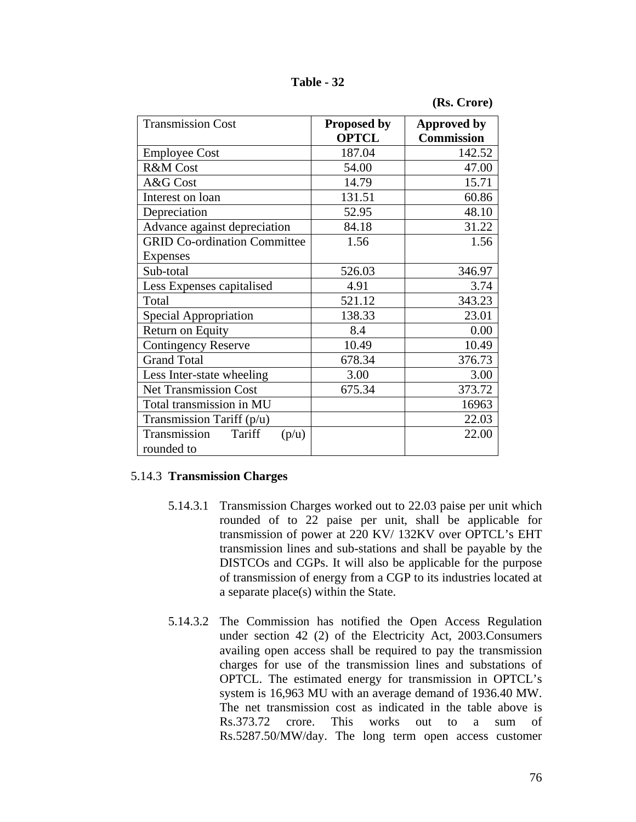**Table - 32** 

|  | (Rs. Crore) |
|--|-------------|
|--|-------------|

| <b>Transmission Cost</b>                      | <b>Proposed by</b> | <b>Approved by</b> |
|-----------------------------------------------|--------------------|--------------------|
|                                               | <b>OPTCL</b>       | <b>Commission</b>  |
| <b>Employee Cost</b>                          | 187.04             | 142.52             |
| R&M Cost                                      | 54.00              | 47.00              |
| A&G Cost                                      | 14.79              | 15.71              |
| Interest on loan                              | 131.51             | 60.86              |
| Depreciation                                  | 52.95              | 48.10              |
| Advance against depreciation                  | 84.18              | 31.22              |
| <b>GRID Co-ordination Committee</b>           | 1.56               | 1.56               |
| Expenses                                      |                    |                    |
| Sub-total                                     | 526.03             | 346.97             |
| Less Expenses capitalised                     | 4.91               | 3.74               |
| Total                                         | 521.12             | 343.23             |
| Special Appropriation                         | 138.33             | 23.01              |
| Return on Equity                              | 8.4                | 0.00               |
| <b>Contingency Reserve</b>                    | 10.49              | 10.49              |
| <b>Grand Total</b>                            | 678.34             | 376.73             |
| Less Inter-state wheeling                     | 3.00               | 3.00               |
| <b>Net Transmission Cost</b>                  | 675.34             | 373.72             |
| Total transmission in MU                      |                    | 16963              |
| Transmission Tariff $(p/u)$                   |                    | 22.03              |
| Transmission<br>Tariff<br>(p/u)<br>rounded to |                    | 22.00              |

# 5.14.3 **Transmission Charges**

- 5.14.3.1 Transmission Charges worked out to 22.03 paise per unit which rounded of to 22 paise per unit, shall be applicable for transmission of power at 220 KV/ 132KV over OPTCL's EHT transmission lines and sub-stations and shall be payable by the DISTCOs and CGPs. It will also be applicable for the purpose of transmission of energy from a CGP to its industries located at a separate place(s) within the State.
- 5.14.3.2 The Commission has notified the Open Access Regulation under section 42 (2) of the Electricity Act, 2003.Consumers availing open access shall be required to pay the transmission charges for use of the transmission lines and substations of OPTCL. The estimated energy for transmission in OPTCL's system is 16,963 MU with an average demand of 1936.40 MW. The net transmission cost as indicated in the table above is Rs.373.72 crore. This works out to a sum of Rs.5287.50/MW/day. The long term open access customer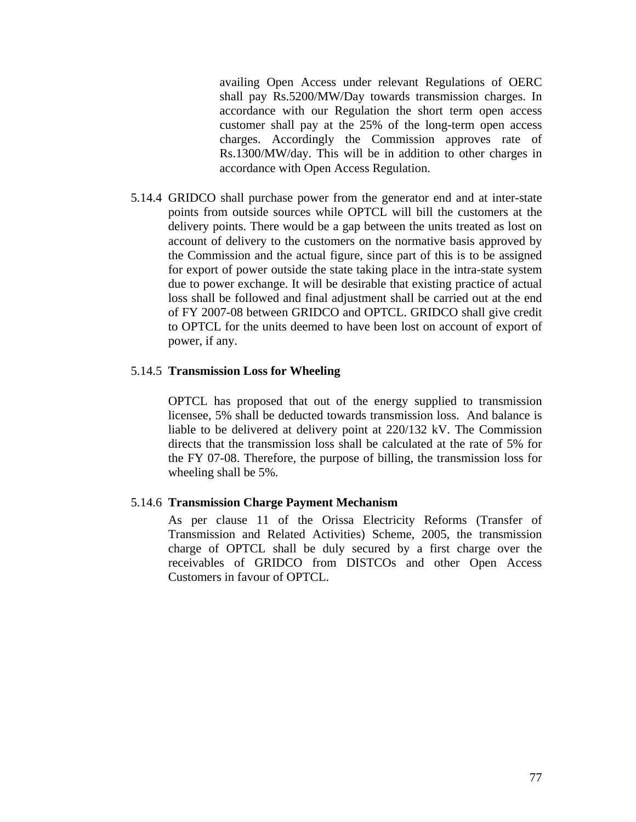availing Open Access under relevant Regulations of OERC shall pay Rs.5200/MW/Day towards transmission charges. In accordance with our Regulation the short term open access customer shall pay at the 25% of the long-term open access charges. Accordingly the Commission approves rate of Rs.1300/MW/day. This will be in addition to other charges in accordance with Open Access Regulation.

5.14.4 GRIDCO shall purchase power from the generator end and at inter-state points from outside sources while OPTCL will bill the customers at the delivery points. There would be a gap between the units treated as lost on account of delivery to the customers on the normative basis approved by the Commission and the actual figure, since part of this is to be assigned for export of power outside the state taking place in the intra-state system due to power exchange. It will be desirable that existing practice of actual loss shall be followed and final adjustment shall be carried out at the end of FY 2007-08 between GRIDCO and OPTCL. GRIDCO shall give credit to OPTCL for the units deemed to have been lost on account of export of power, if any.

### 5.14.5 **Transmission Loss for Wheeling**

OPTCL has proposed that out of the energy supplied to transmission licensee, 5% shall be deducted towards transmission loss. And balance is liable to be delivered at delivery point at 220/132 kV. The Commission directs that the transmission loss shall be calculated at the rate of 5% for the FY 07-08. Therefore, the purpose of billing, the transmission loss for wheeling shall be 5%.

### 5.14.6 **Transmission Charge Payment Mechanism**

As per clause 11 of the Orissa Electricity Reforms (Transfer of Transmission and Related Activities) Scheme, 2005, the transmission charge of OPTCL shall be duly secured by a first charge over the receivables of GRIDCO from DISTCOs and other Open Access Customers in favour of OPTCL.